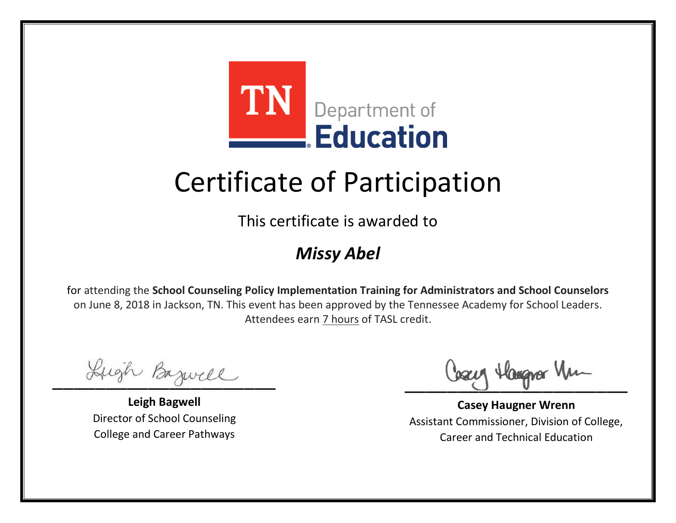

This certificate is awarded to

### *Missy Abel*

Lugh Bazwell

**Leigh Bagwell** Director of School Counseling College and Career Pathways

Losey Hangra Um

**Casey Haugner Wrenn** Assistant Commissioner, Division of College, Career and Technical Education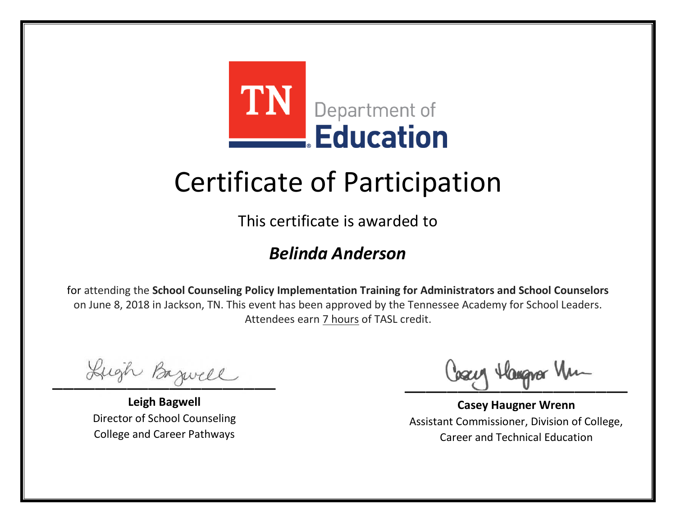

This certificate is awarded to

#### *Belinda Anderson*

Lugh Bazwell

**Leigh Bagwell** Director of School Counseling College and Career Pathways

Losey Hangra Um

**Casey Haugner Wrenn** Assistant Commissioner, Division of College, Career and Technical Education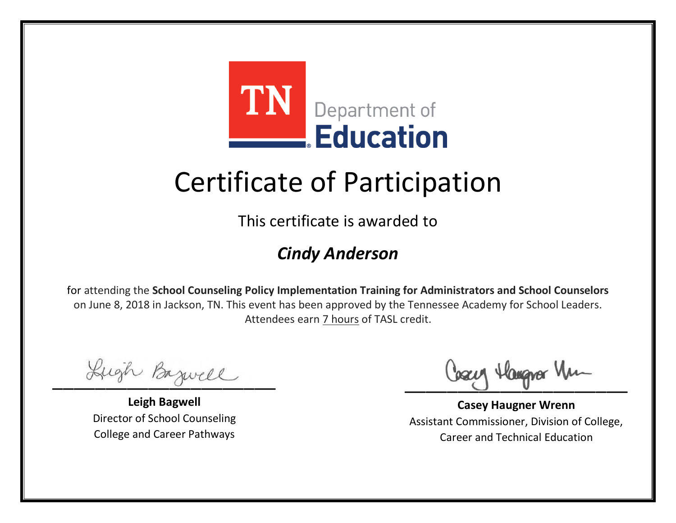

This certificate is awarded to

### *Cindy Anderson*

Lugh Bazwell

**Leigh Bagwell** Director of School Counseling College and Career Pathways

Losey Hangra Um

**Casey Haugner Wrenn** Assistant Commissioner, Division of College, Career and Technical Education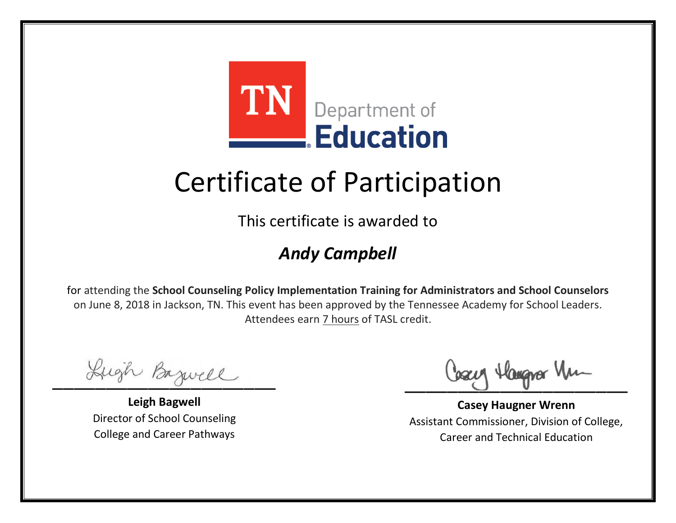

This certificate is awarded to

### *Andy Campbell*

Lugh Bazwell

**Leigh Bagwell** Director of School Counseling College and Career Pathways

Losey Hangra Um

**Casey Haugner Wrenn** Assistant Commissioner, Division of College, Career and Technical Education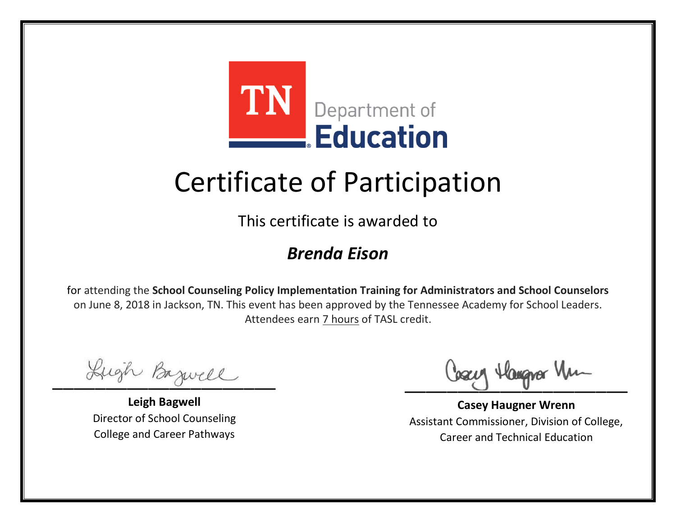

This certificate is awarded to

### *Brenda Eison*

Lugh Bazwell

**Leigh Bagwell** Director of School Counseling College and Career Pathways

Losey Hangra Um

**Casey Haugner Wrenn** Assistant Commissioner, Division of College, Career and Technical Education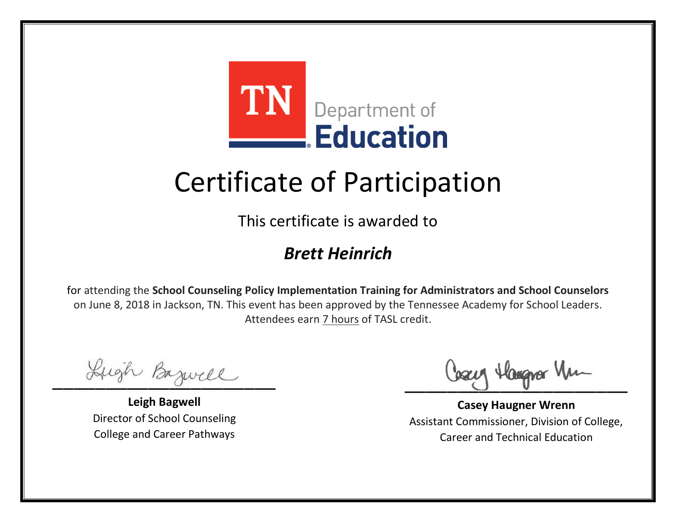

This certificate is awarded to

### *Brett Heinrich*

Lugh Bazwell

**Leigh Bagwell** Director of School Counseling College and Career Pathways

Losey Hangra Um

**Casey Haugner Wrenn** Assistant Commissioner, Division of College, Career and Technical Education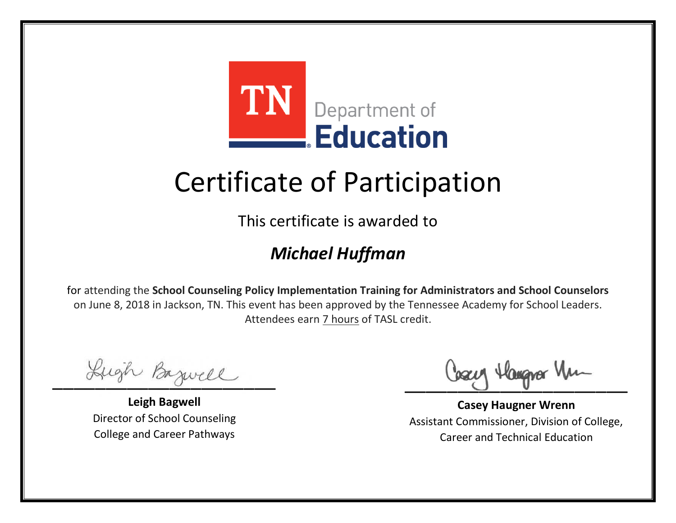

This certificate is awarded to

### *Michael Huffman*

Lugh Bazwell

**Leigh Bagwell** Director of School Counseling College and Career Pathways

Losey Hangra Um

**Casey Haugner Wrenn** Assistant Commissioner, Division of College, Career and Technical Education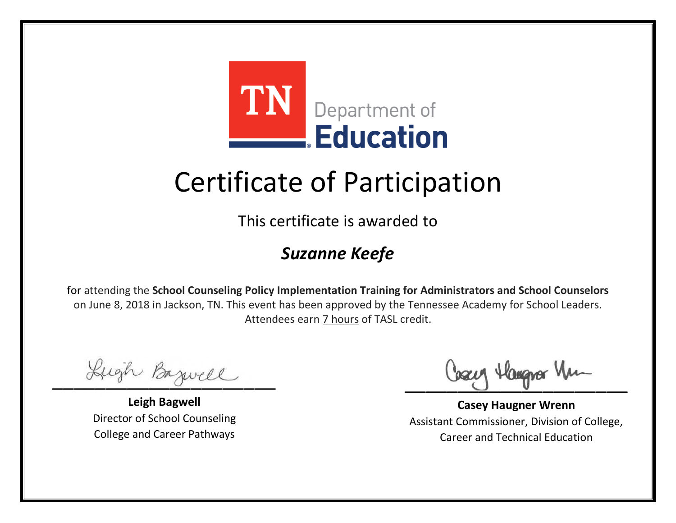

This certificate is awarded to

### *Suzanne Keefe*

Lugh Bazwell

**Leigh Bagwell** Director of School Counseling College and Career Pathways

Losey Hangra Um

**Casey Haugner Wrenn** Assistant Commissioner, Division of College, Career and Technical Education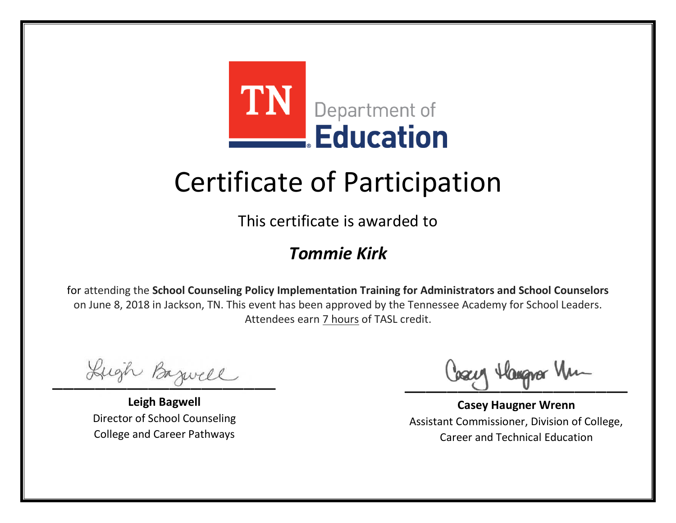

This certificate is awarded to

### *Tommie Kirk*

Lugh Bazwell

**Leigh Bagwell** Director of School Counseling College and Career Pathways

Losey Hangra Um

**Casey Haugner Wrenn** Assistant Commissioner, Division of College, Career and Technical Education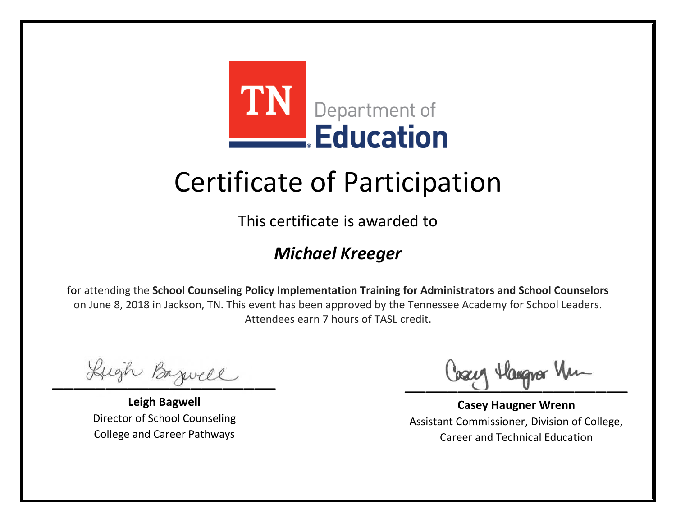

This certificate is awarded to

### *Michael Kreeger*

Lugh Bazwell

**Leigh Bagwell** Director of School Counseling College and Career Pathways

Losey Hangra Um

**Casey Haugner Wrenn** Assistant Commissioner, Division of College, Career and Technical Education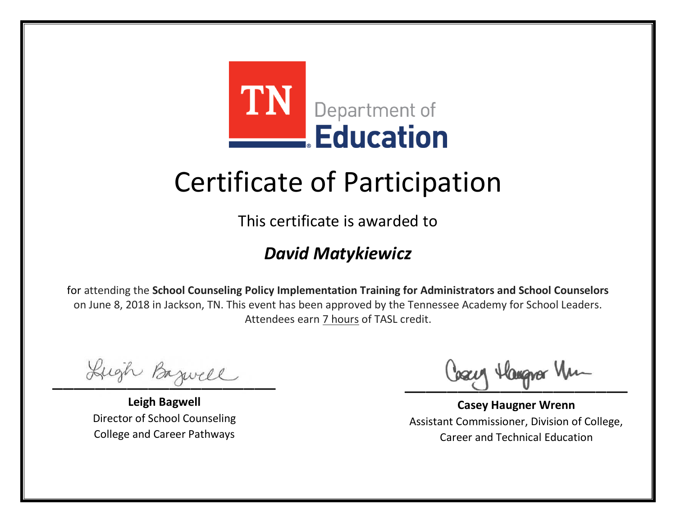

This certificate is awarded to

### *David Matykiewicz*

Lugh Bazwell

**Leigh Bagwell** Director of School Counseling College and Career Pathways

Losey Hangra Um

**Casey Haugner Wrenn** Assistant Commissioner, Division of College, Career and Technical Education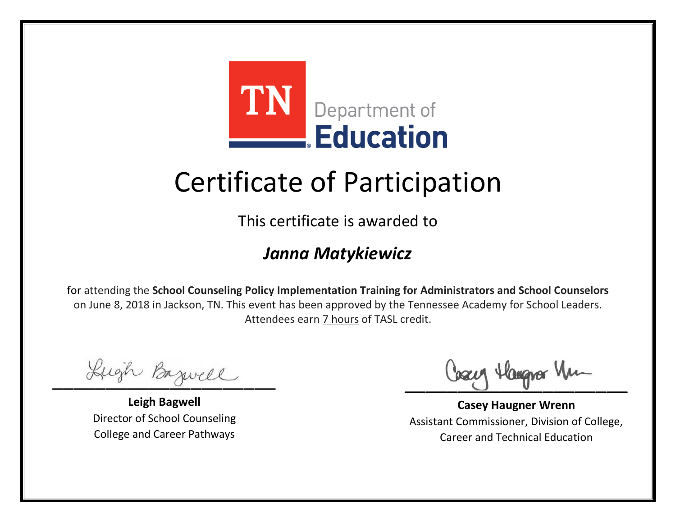

This certificate is awarded to

### *Janna Matykiewicz*

Lugh Bazwell

**Leigh Bagwell** Director of School Counseling College and Career Pathways

Losey Hangra Um

**Casey Haugner Wrenn** Assistant Commissioner, Division of College, Career and Technical Education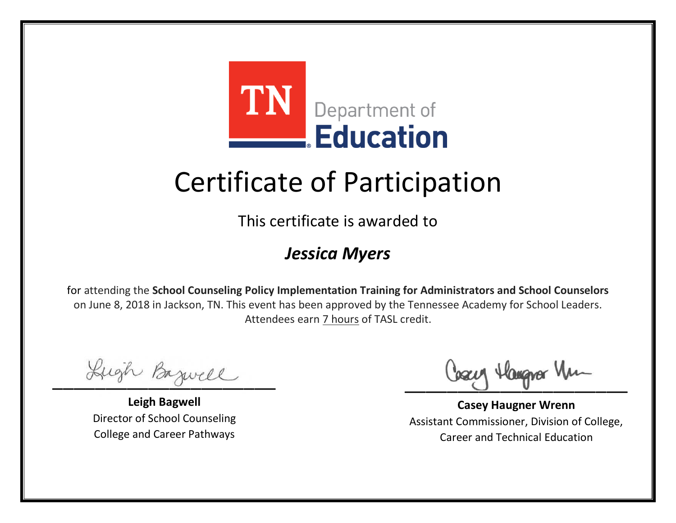

This certificate is awarded to

#### *Jessica Myers*

Lugh Bazwell

**Leigh Bagwell** Director of School Counseling College and Career Pathways

Losey Hangra Um

**Casey Haugner Wrenn** Assistant Commissioner, Division of College, Career and Technical Education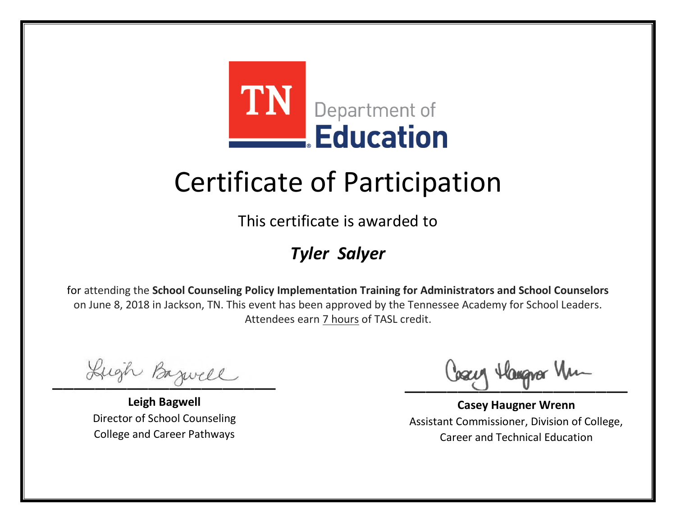

This certificate is awarded to

### *Tyler Salyer*

Lugh Bazwell

**Leigh Bagwell** Director of School Counseling College and Career Pathways

Losey Hangra Um

**Casey Haugner Wrenn** Assistant Commissioner, Division of College, Career and Technical Education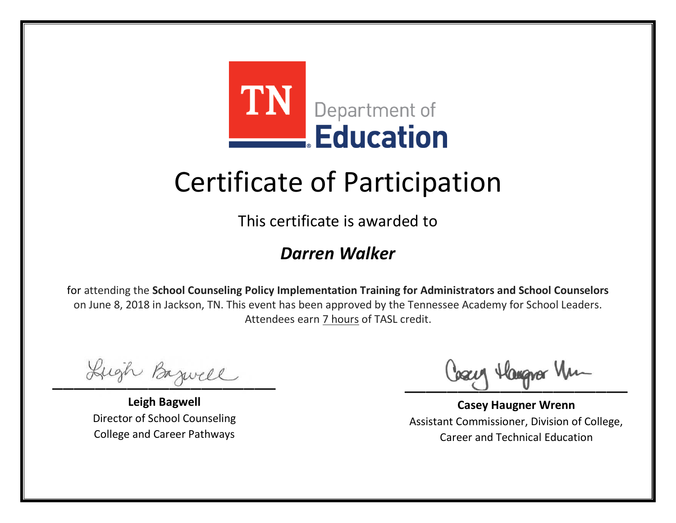

This certificate is awarded to

#### *Darren Walker*

Lugh Bazwell

**Leigh Bagwell** Director of School Counseling College and Career Pathways

Losey Hangra Um

**Casey Haugner Wrenn** Assistant Commissioner, Division of College, Career and Technical Education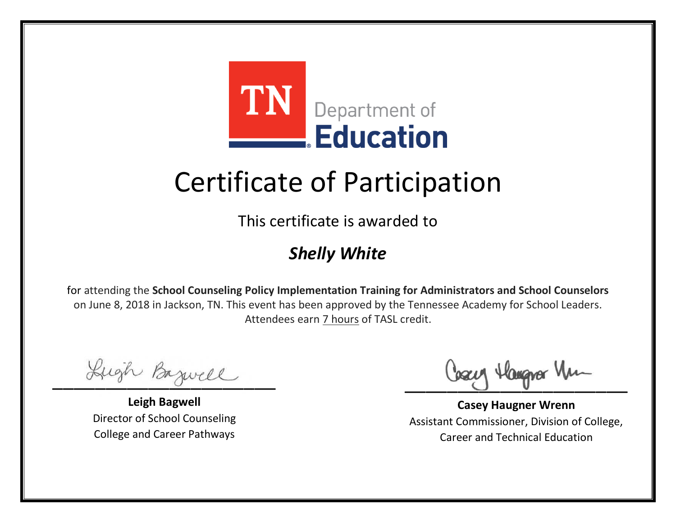

This certificate is awarded to

### *Shelly White*

Lugh Bazwell

**Leigh Bagwell** Director of School Counseling College and Career Pathways

Losey Hangra Um

**Casey Haugner Wrenn** Assistant Commissioner, Division of College, Career and Technical Education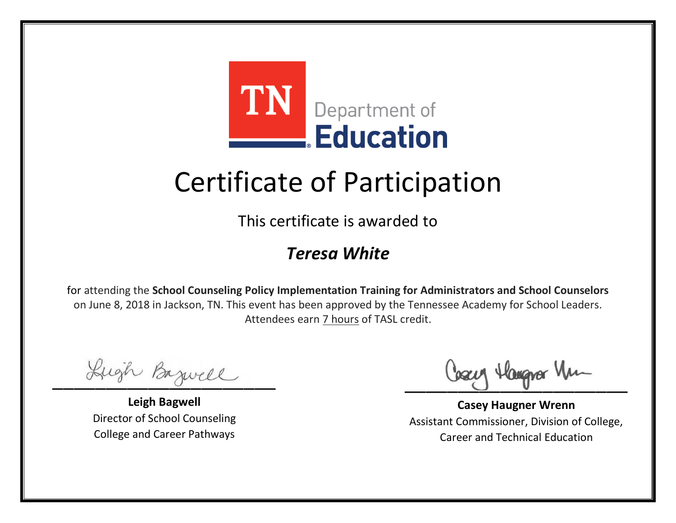

This certificate is awarded to

### *Teresa White*

Lugh Bazwell

**Leigh Bagwell** Director of School Counseling College and Career Pathways

Losey Hangra Um

**Casey Haugner Wrenn** Assistant Commissioner, Division of College, Career and Technical Education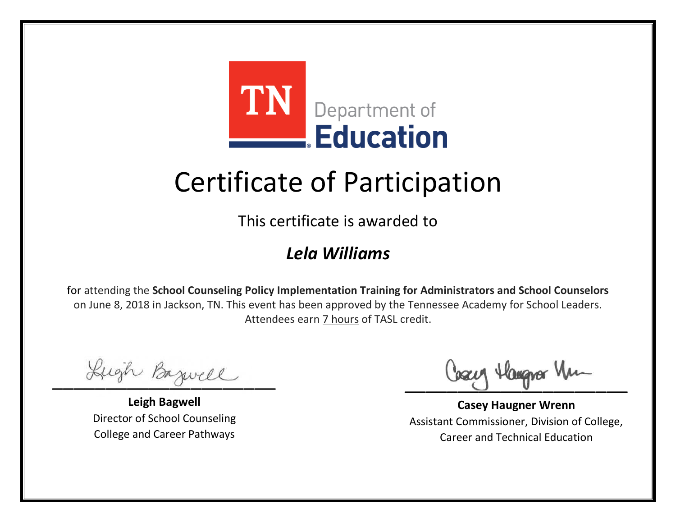

This certificate is awarded to

### *Lela Williams*

Lugh Bazwell

**Leigh Bagwell** Director of School Counseling College and Career Pathways

Losey Hangra Um

**Casey Haugner Wrenn** Assistant Commissioner, Division of College, Career and Technical Education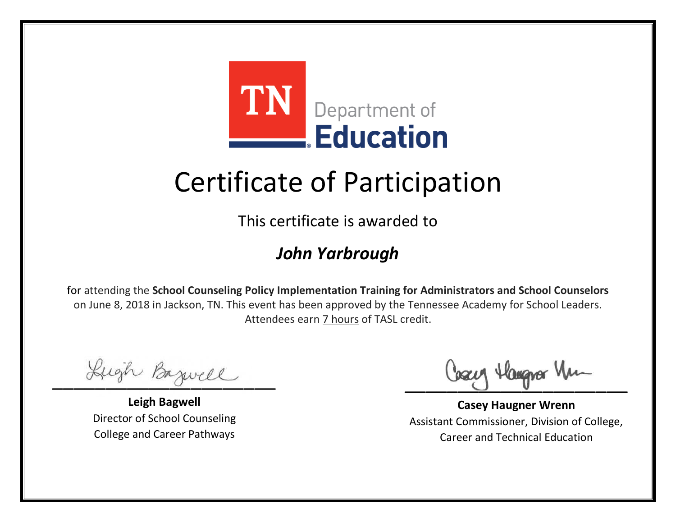

This certificate is awarded to

### *John Yarbrough*

Lugh Bazwell

**Leigh Bagwell** Director of School Counseling College and Career Pathways

Losey Hangra Um

**Casey Haugner Wrenn** Assistant Commissioner, Division of College, Career and Technical Education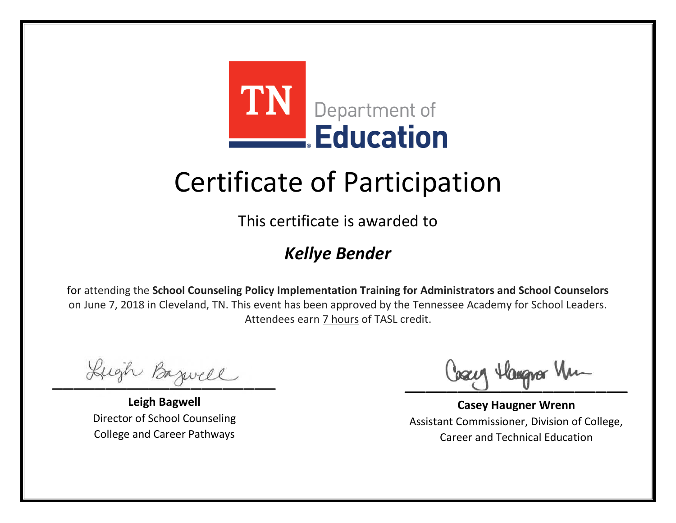

This certificate is awarded to

### *Kellye Bender*

Lugh Bazwell

**Leigh Bagwell** Director of School Counseling College and Career Pathways

Losey Hangra Um

**Casey Haugner Wrenn** Assistant Commissioner, Division of College, Career and Technical Education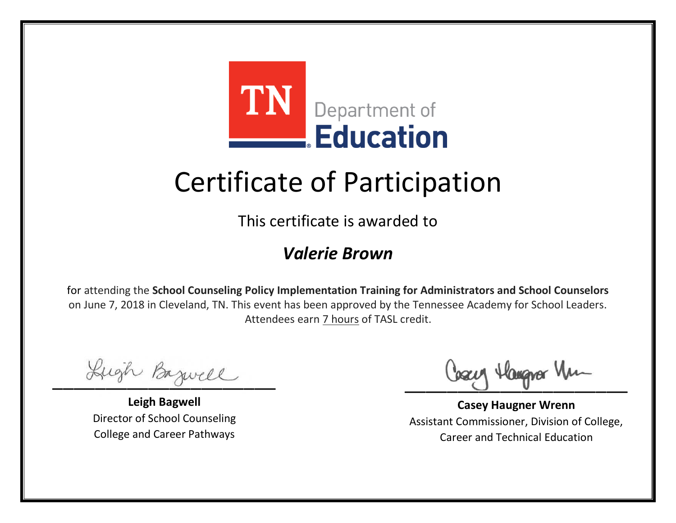

This certificate is awarded to

#### *Valerie Brown*

Lugh Bazwell

**Leigh Bagwell** Director of School Counseling College and Career Pathways

Losey Hangra Um

**Casey Haugner Wrenn** Assistant Commissioner, Division of College, Career and Technical Education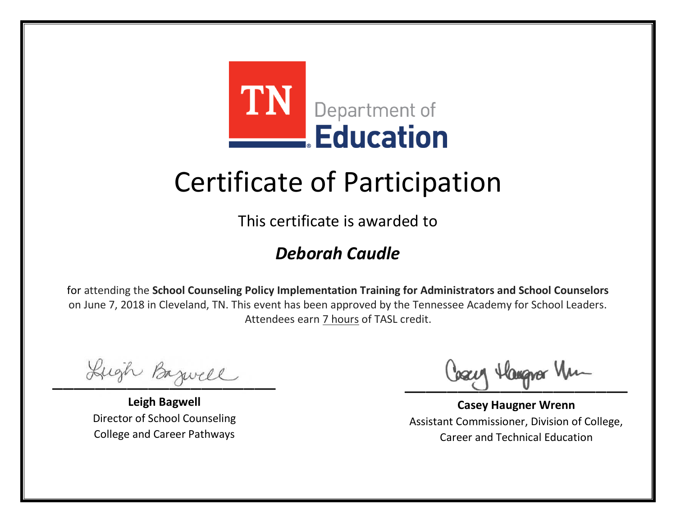

This certificate is awarded to

### *Deborah Caudle*

Lugh Bazwell

**Leigh Bagwell** Director of School Counseling College and Career Pathways

Losey Hangra Um

**Casey Haugner Wrenn** Assistant Commissioner, Division of College, Career and Technical Education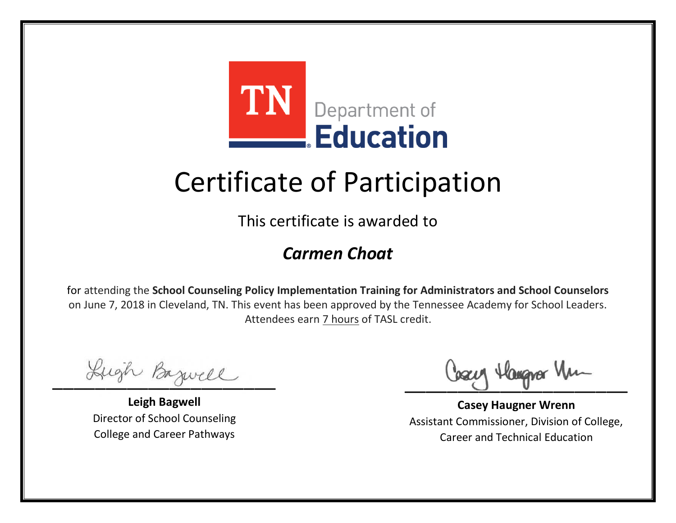

This certificate is awarded to

### *Carmen Choat*

Lugh Bazwell

**Leigh Bagwell** Director of School Counseling College and Career Pathways

Losey Hangra Um

**Casey Haugner Wrenn** Assistant Commissioner, Division of College, Career and Technical Education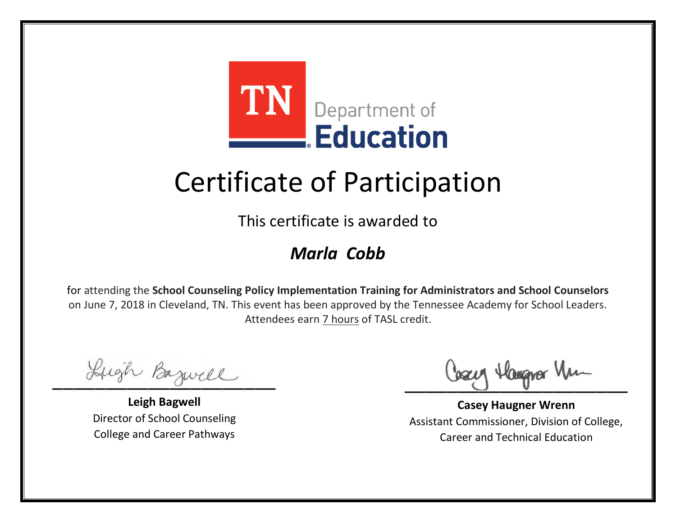

This certificate is awarded to

### *Marla Cobb*

Lugh Bazwell

**Leigh Bagwell** Director of School Counseling College and Career Pathways

Losey Hangra Um

**Casey Haugner Wrenn** Assistant Commissioner, Division of College, Career and Technical Education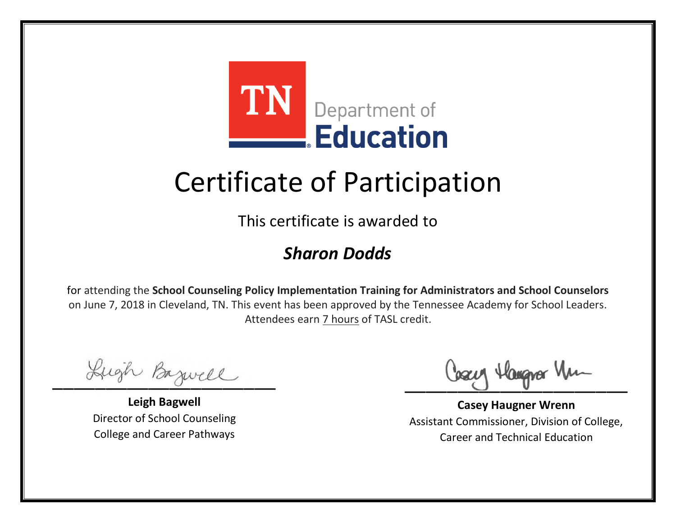

This certificate is awarded to

### *Sharon Dodds*

Lugh Bazwell

**Leigh Bagwell** Director of School Counseling College and Career Pathways

Losey Hangra Um

**Casey Haugner Wrenn** Assistant Commissioner, Division of College, Career and Technical Education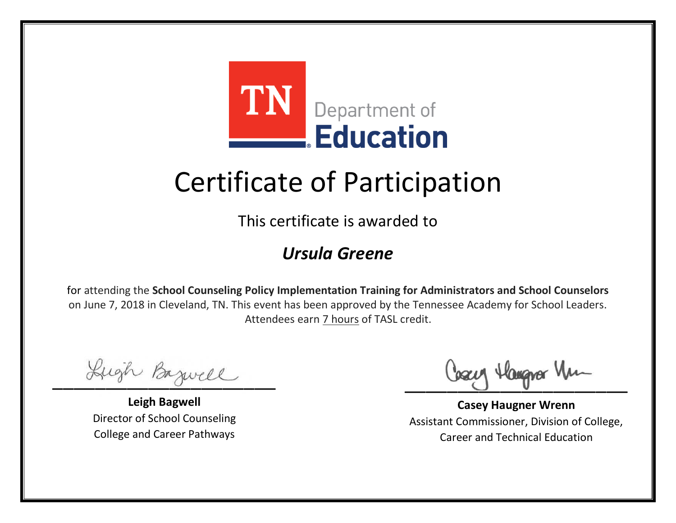

This certificate is awarded to

### *Ursula Greene*

Lugh Bazwell

**Leigh Bagwell** Director of School Counseling College and Career Pathways

Losey Hangra Um

**Casey Haugner Wrenn** Assistant Commissioner, Division of College, Career and Technical Education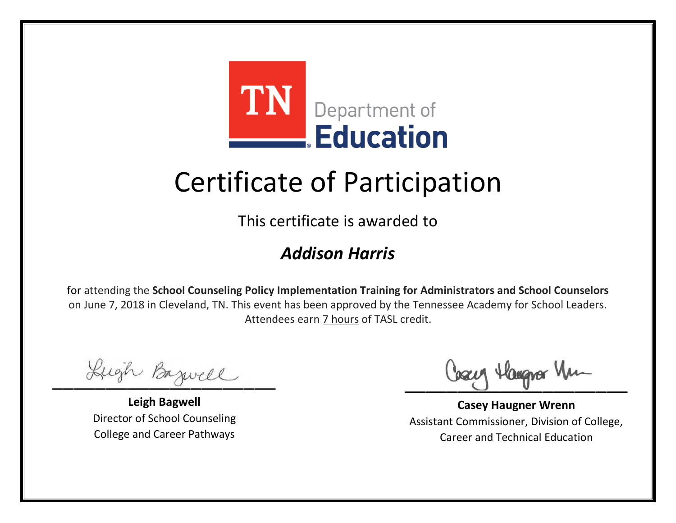

This certificate is awarded to

### *Addison Harris*

Lugh Bazwell

**Leigh Bagwell** Director of School Counseling College and Career Pathways

Losey Hangra Um

**Casey Haugner Wrenn** Assistant Commissioner, Division of College, Career and Technical Education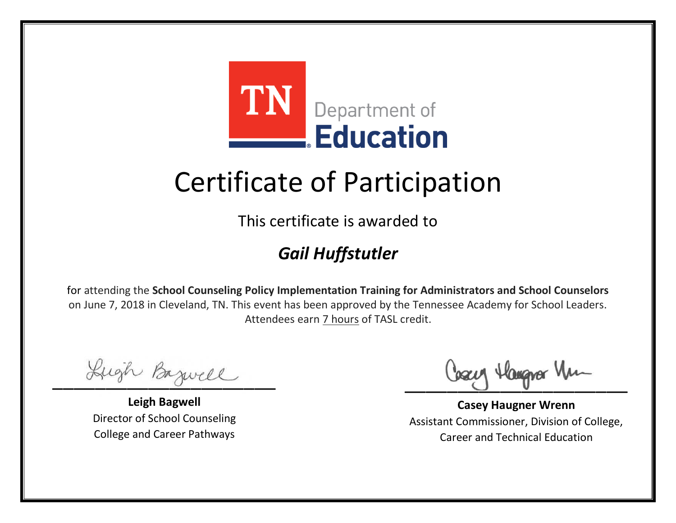

This certificate is awarded to

### *Gail Huffstutler*

Lugh Bazwell

**Leigh Bagwell** Director of School Counseling College and Career Pathways

Losey Hangra Um

**Casey Haugner Wrenn** Assistant Commissioner, Division of College, Career and Technical Education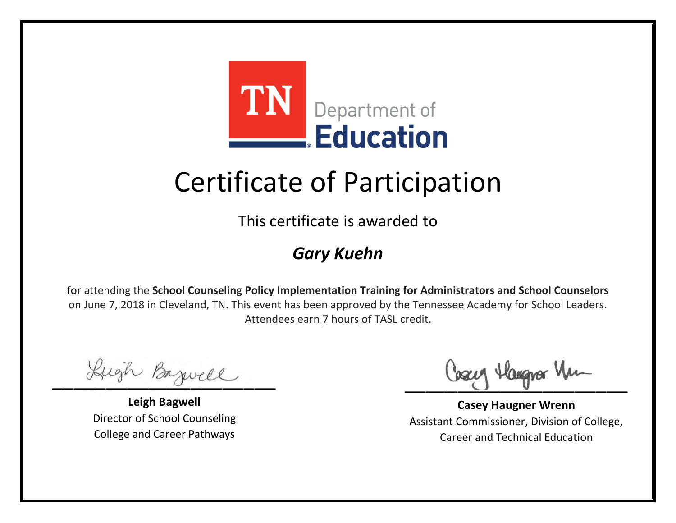

This certificate is awarded to

### *Gary Kuehn*

Lugh Bazwell

**Leigh Bagwell** Director of School Counseling College and Career Pathways

Losey Hangra Um

**Casey Haugner Wrenn** Assistant Commissioner, Division of College, Career and Technical Education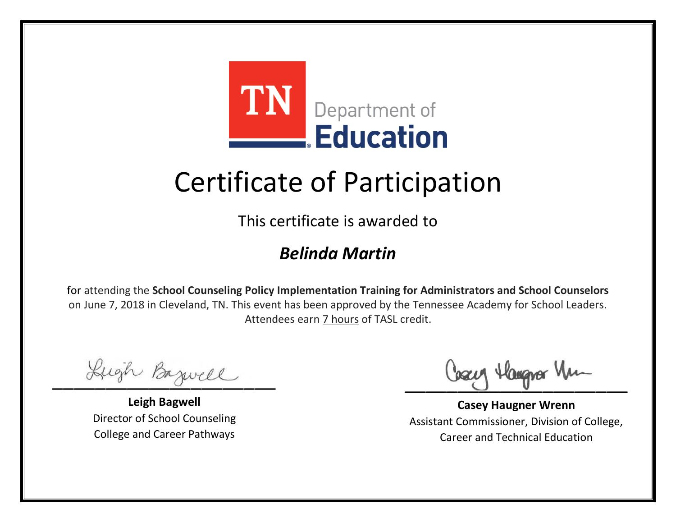

This certificate is awarded to

### *Belinda Martin*

Lugh Bazwell

**Leigh Bagwell** Director of School Counseling College and Career Pathways

Losey Hangra Um

**Casey Haugner Wrenn** Assistant Commissioner, Division of College, Career and Technical Education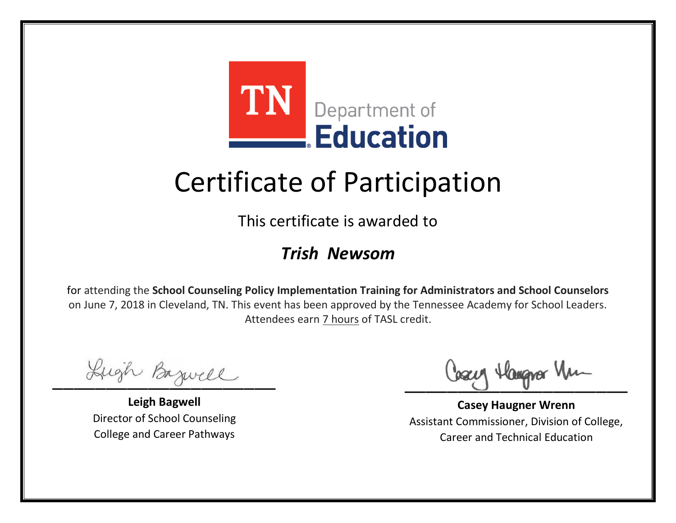

This certificate is awarded to

#### *Trish Newsom*

Lugh Bazwell

**Leigh Bagwell** Director of School Counseling College and Career Pathways

Losey Hangra Um

**Casey Haugner Wrenn** Assistant Commissioner, Division of College, Career and Technical Education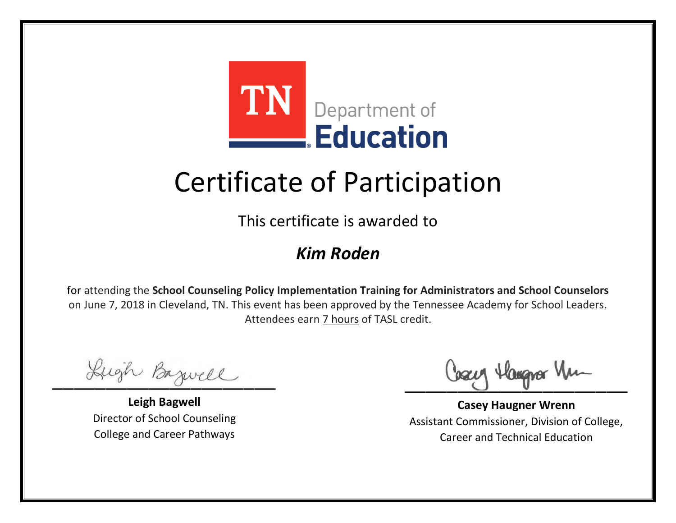

This certificate is awarded to

### *Kim Roden*

Lugh Bazwell

**Leigh Bagwell** Director of School Counseling College and Career Pathways

Losey Hangra Um

**Casey Haugner Wrenn** Assistant Commissioner, Division of College, Career and Technical Education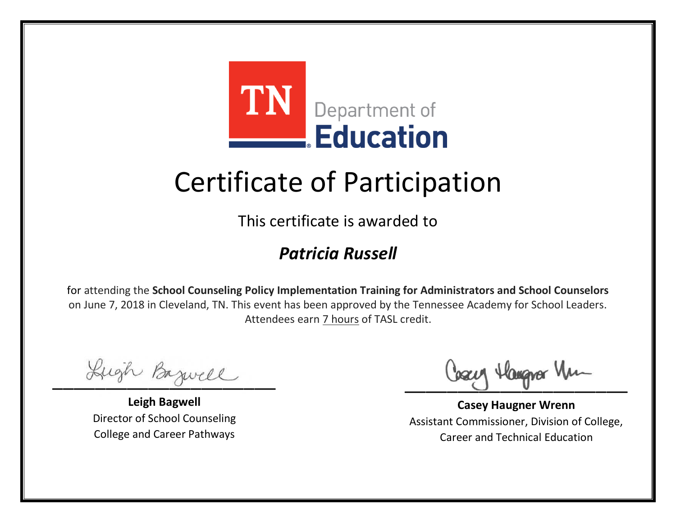

This certificate is awarded to

### *Patricia Russell*

Lugh Bazwell

**Leigh Bagwell** Director of School Counseling College and Career Pathways

Losey Hangra Um

**Casey Haugner Wrenn** Assistant Commissioner, Division of College, Career and Technical Education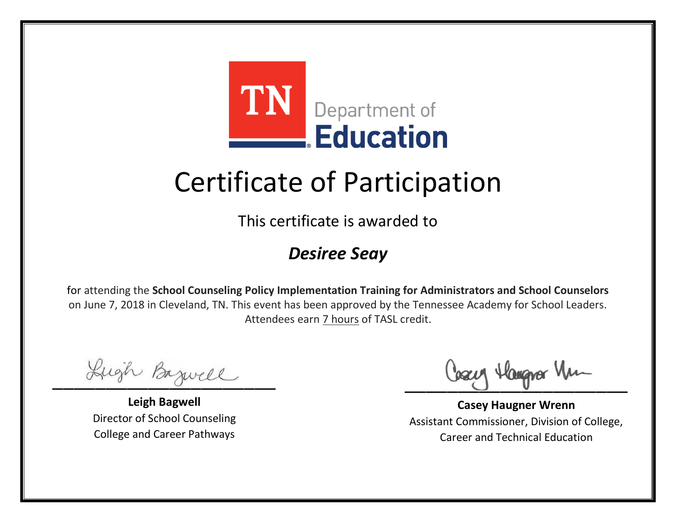

This certificate is awarded to

### *Desiree Seay*

Lugh Bazwell

**Leigh Bagwell** Director of School Counseling College and Career Pathways

Losey Hangra Um

**Casey Haugner Wrenn** Assistant Commissioner, Division of College, Career and Technical Education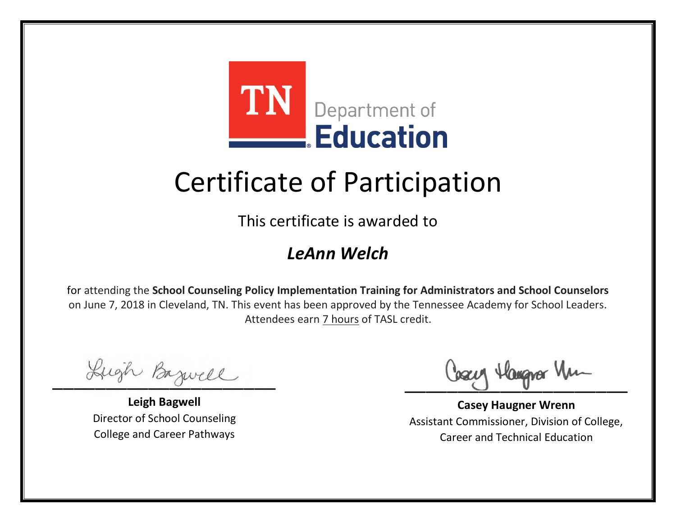

This certificate is awarded to

#### *LeAnn Welch*

Lugh Bazwell

**Leigh Bagwell** Director of School Counseling College and Career Pathways

Losey Hangra Um

**Casey Haugner Wrenn** Assistant Commissioner, Division of College, Career and Technical Education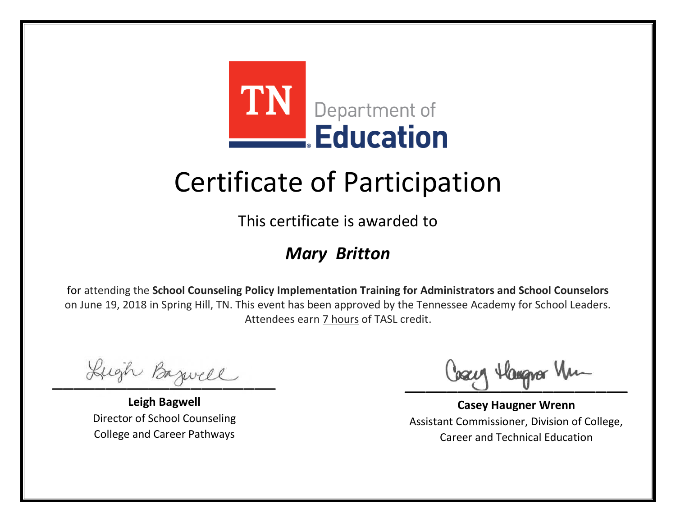

This certificate is awarded to

### *Mary Britton*

Lugh Bazwell

**Leigh Bagwell** Director of School Counseling College and Career Pathways

Losey Hangra Um

**Casey Haugner Wrenn** Assistant Commissioner, Division of College, Career and Technical Education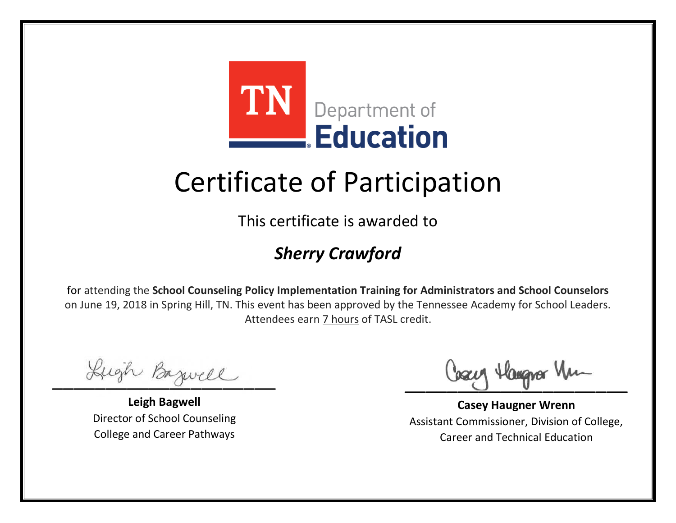

This certificate is awarded to

### *Sherry Crawford*

Lugh Bazwell

**Leigh Bagwell** Director of School Counseling College and Career Pathways

Lissey Hangpar Vin

**Casey Haugner Wrenn** Assistant Commissioner, Division of College, Career and Technical Education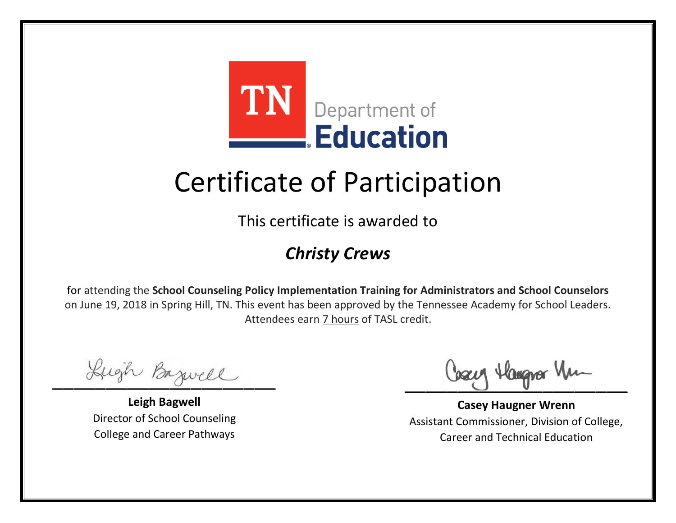

This certificate is awarded to

### *Christy Crews*

Lugh Bazwell

**Leigh Bagwell** Director of School Counseling College and Career Pathways

Losey Hangra Um

**Casey Haugner Wrenn** Assistant Commissioner, Division of College, Career and Technical Education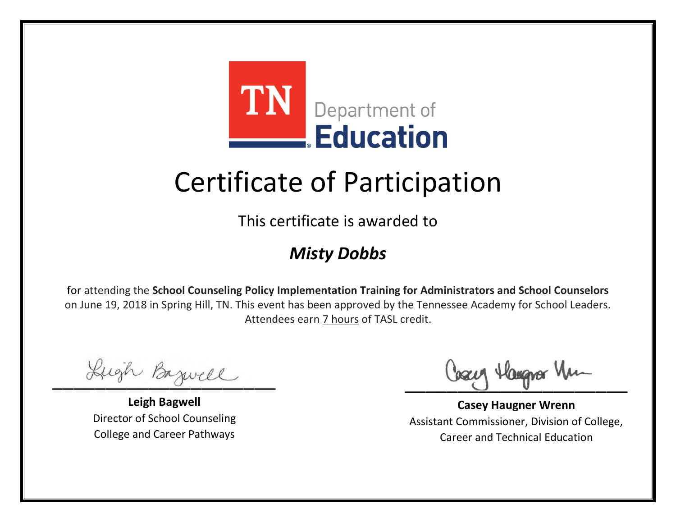

This certificate is awarded to

### *Misty Dobbs*

Lugh Bazwell

**Leigh Bagwell** Director of School Counseling College and Career Pathways

Losey Hangra Um

**Casey Haugner Wrenn** Assistant Commissioner, Division of College, Career and Technical Education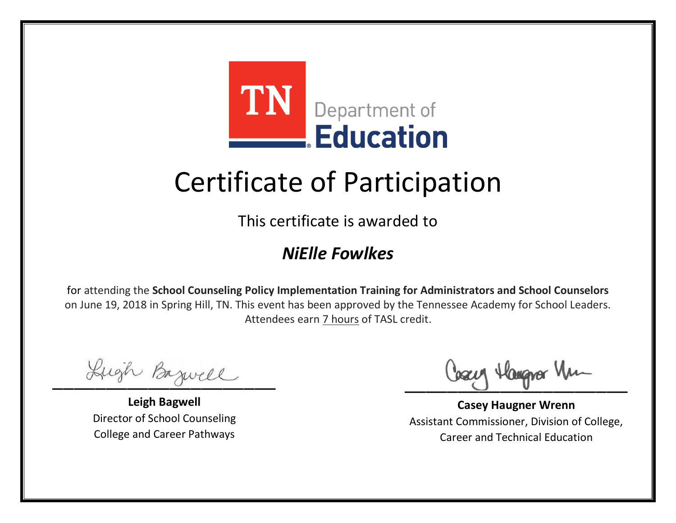

This certificate is awarded to

#### *NiElle Fowlkes*

Lugh Bazwell

**Leigh Bagwell** Director of School Counseling College and Career Pathways

Losey Hangra Um

**Casey Haugner Wrenn** Assistant Commissioner, Division of College, Career and Technical Education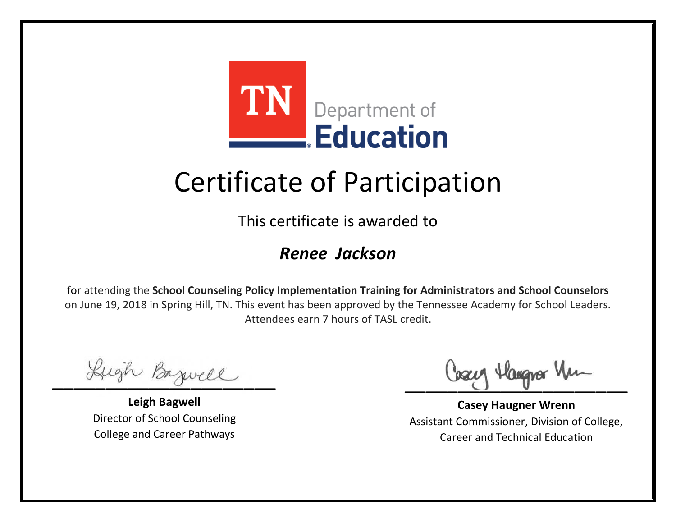

This certificate is awarded to

#### *Renee Jackson*

Lugh Bazwell

**Leigh Bagwell** Director of School Counseling College and Career Pathways

Losey Hangra Um

**Casey Haugner Wrenn** Assistant Commissioner, Division of College, Career and Technical Education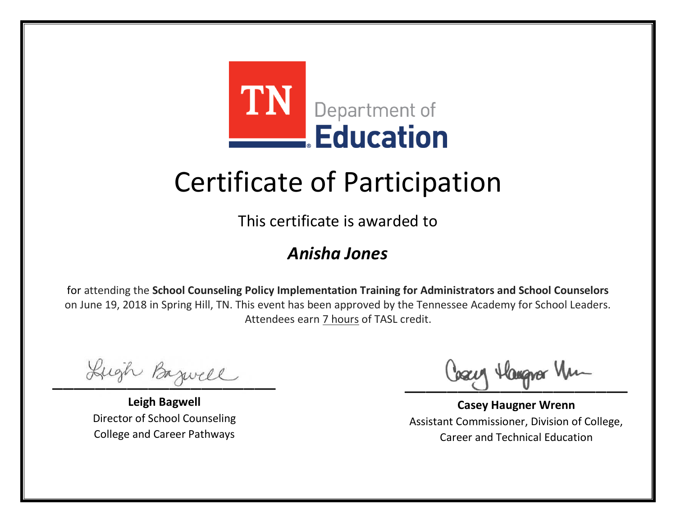

This certificate is awarded to

#### *Anisha Jones*

Lugh Bazwell

**Leigh Bagwell** Director of School Counseling College and Career Pathways

Losey Hangra Um

**Casey Haugner Wrenn** Assistant Commissioner, Division of College, Career and Technical Education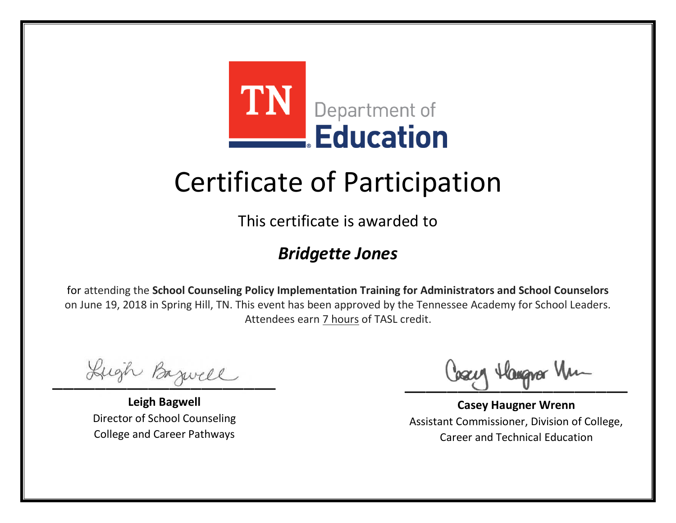

This certificate is awarded to

#### *Bridgette Jones*

Lugh Bazwell

**Leigh Bagwell** Director of School Counseling College and Career Pathways

Losey Hangra Um

**Casey Haugner Wrenn** Assistant Commissioner, Division of College, Career and Technical Education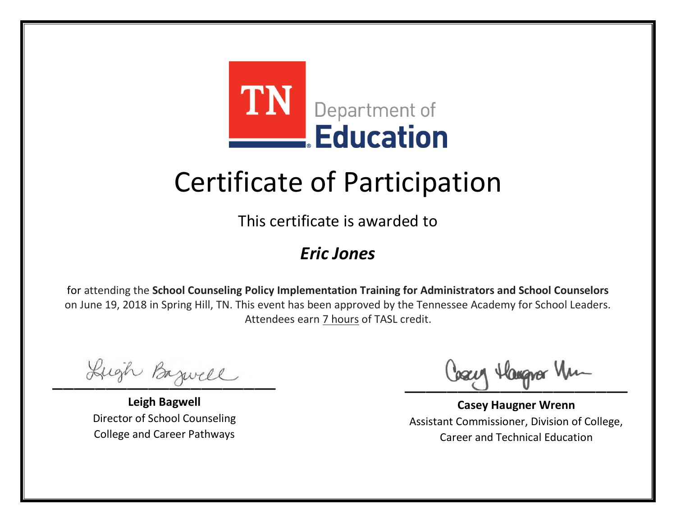

This certificate is awarded to

#### *Eric Jones*

Lugh Bazwell

**Leigh Bagwell** Director of School Counseling College and Career Pathways

Losey Hangra Um

**Casey Haugner Wrenn** Assistant Commissioner, Division of College, Career and Technical Education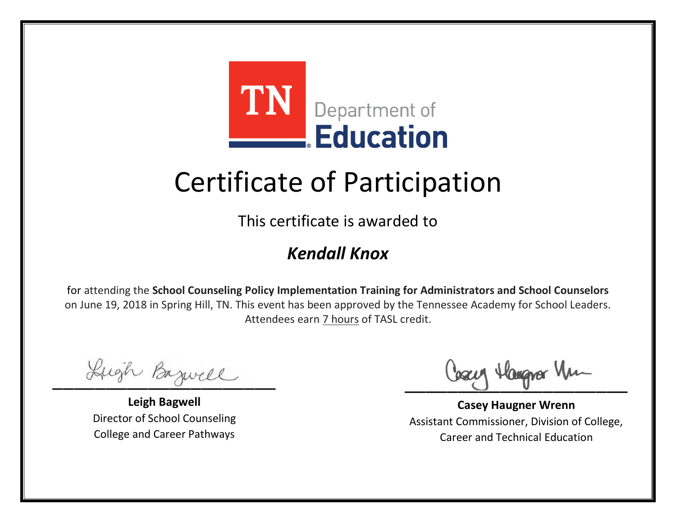

This certificate is awarded to

#### *Kendall Knox*

Lugh Bazwell

**Leigh Bagwell** Director of School Counseling College and Career Pathways

Losey Hangra Um

**Casey Haugner Wrenn** Assistant Commissioner, Division of College, Career and Technical Education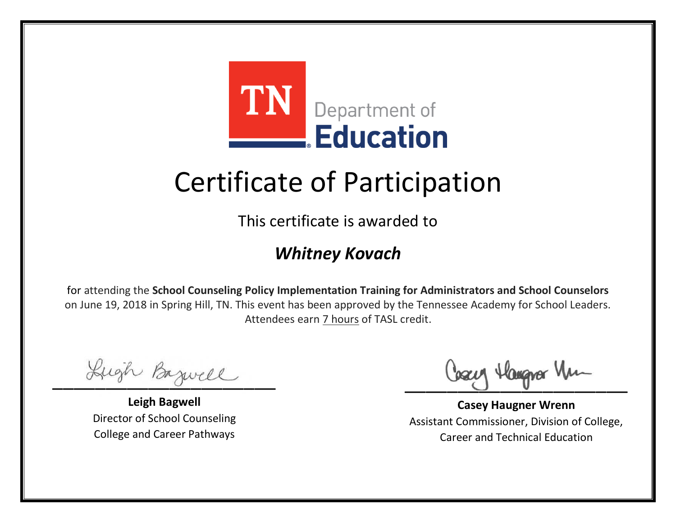

This certificate is awarded to

#### *Whitney Kovach*

Lugh Bazwell

**Leigh Bagwell** Director of School Counseling College and Career Pathways

Losey Hangra Um

**Casey Haugner Wrenn** Assistant Commissioner, Division of College, Career and Technical Education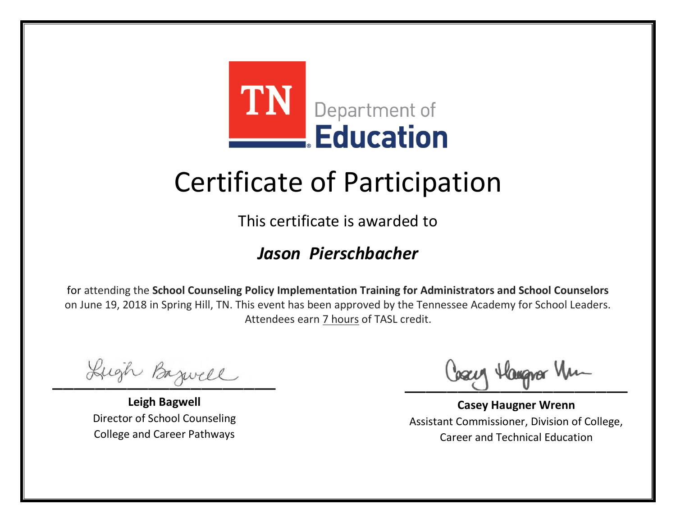

This certificate is awarded to

#### *Jason Pierschbacher*

Lugh Bazwell

**Leigh Bagwell** Director of School Counseling College and Career Pathways

Losey Hangra Um

**Casey Haugner Wrenn** Assistant Commissioner, Division of College, Career and Technical Education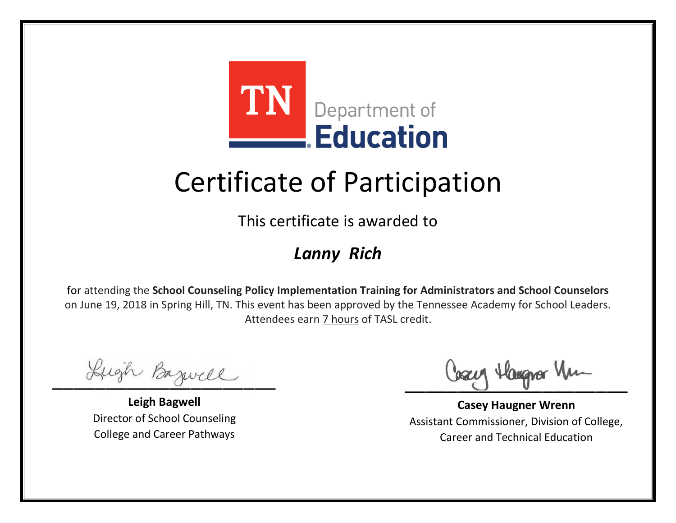

This certificate is awarded to

### *Lanny Rich*

Lugh Bazwell

**Leigh Bagwell** Director of School Counseling College and Career Pathways

Losey Hangra Um

**Casey Haugner Wrenn** Assistant Commissioner, Division of College, Career and Technical Education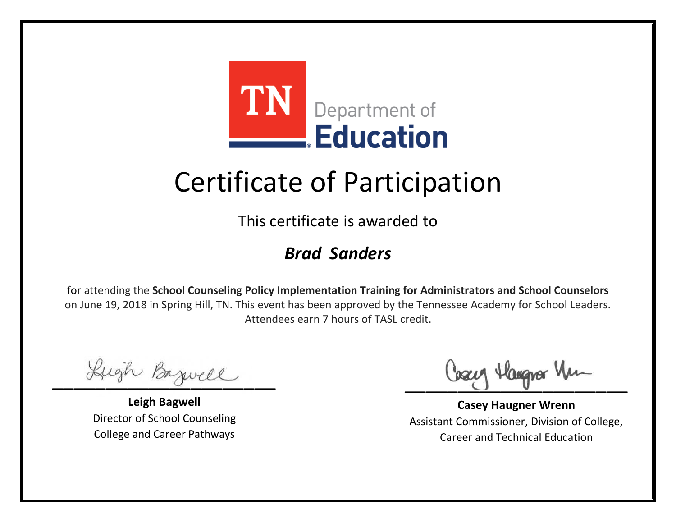

This certificate is awarded to

#### *Brad Sanders*

Lugh Bazwell

**Leigh Bagwell** Director of School Counseling College and Career Pathways

Losey Hangra Um

**Casey Haugner Wrenn** Assistant Commissioner, Division of College, Career and Technical Education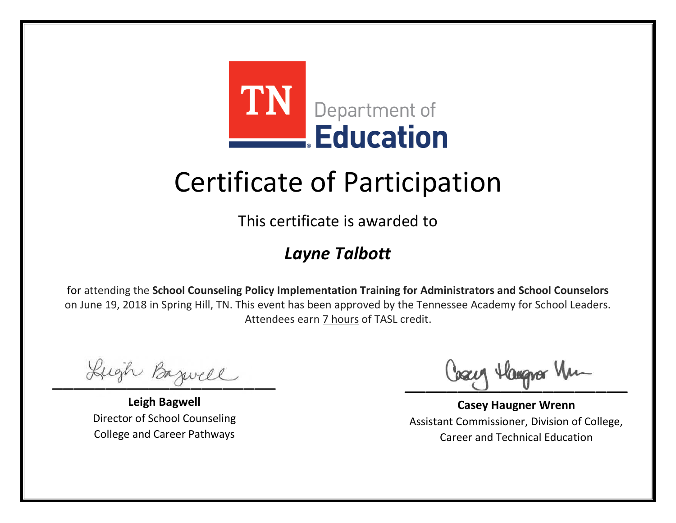

This certificate is awarded to

### *Layne Talbott*

Lugh Bazwell

**Leigh Bagwell** Director of School Counseling College and Career Pathways

Losey Hangra Um

**Casey Haugner Wrenn** Assistant Commissioner, Division of College, Career and Technical Education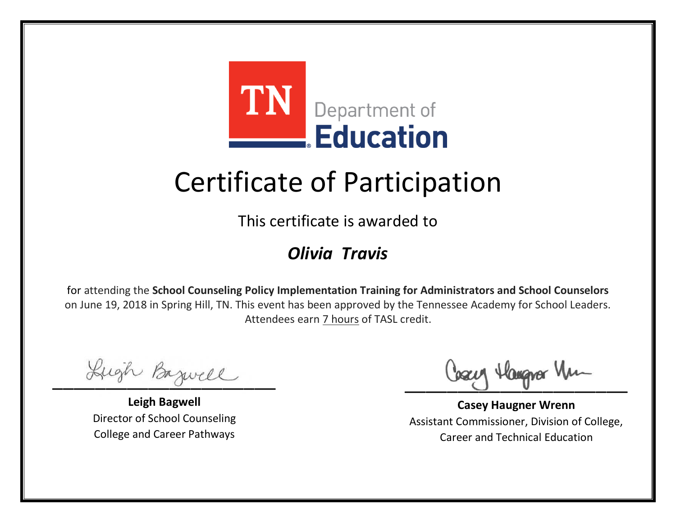

This certificate is awarded to

### *Olivia Travis*

Lugh Bazwell

**Leigh Bagwell** Director of School Counseling College and Career Pathways

Losey Hangra Um

**Casey Haugner Wrenn** Assistant Commissioner, Division of College, Career and Technical Education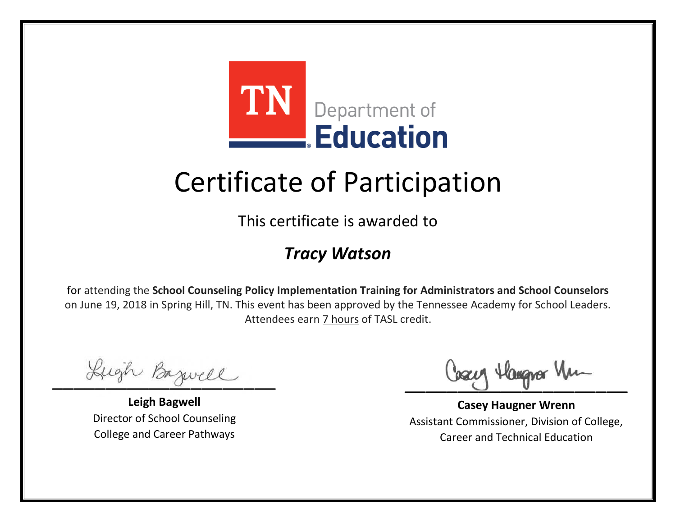

This certificate is awarded to

#### *Tracy Watson*

Lugh Bazwell

**Leigh Bagwell** Director of School Counseling College and Career Pathways

Losey Hangra Um

**Casey Haugner Wrenn** Assistant Commissioner, Division of College, Career and Technical Education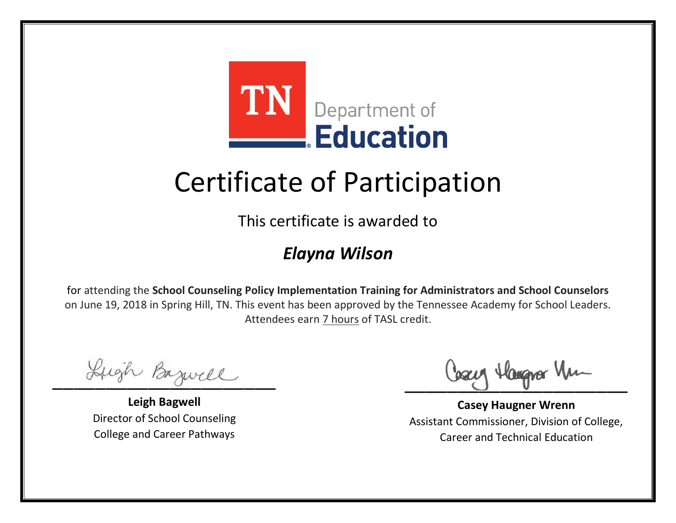

This certificate is awarded to

### *Elayna Wilson*

Lugh Bazwell

**Leigh Bagwell** Director of School Counseling College and Career Pathways

Losey Hangra Um

**Casey Haugner Wrenn** Assistant Commissioner, Division of College, Career and Technical Education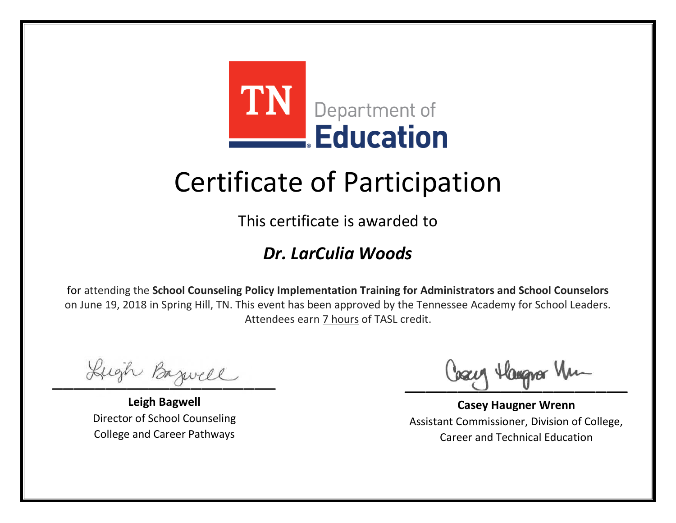

This certificate is awarded to

### *Dr. LarCulia Woods*

Lugh Bazwell

**Leigh Bagwell** Director of School Counseling College and Career Pathways

Losey Hangra Um

**Casey Haugner Wrenn** Assistant Commissioner, Division of College, Career and Technical Education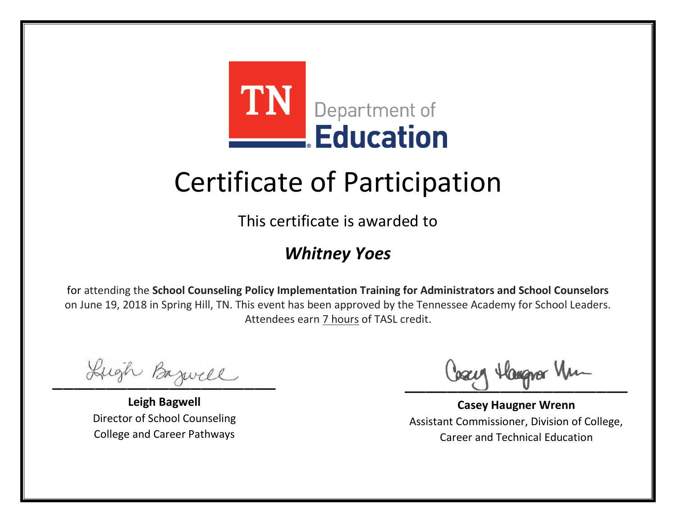

This certificate is awarded to

#### *Whitney Yoes*

Lugh Bazwell

**Leigh Bagwell** Director of School Counseling College and Career Pathways

Losey Hangra Um

**Casey Haugner Wrenn** Assistant Commissioner, Division of College, Career and Technical Education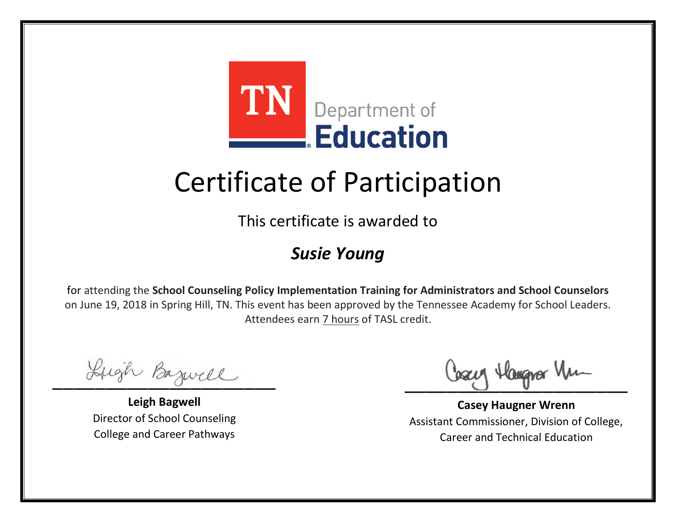

This certificate is awarded to

#### *Susie Young*

Lugh Bazwell

**Leigh Bagwell** Director of School Counseling College and Career Pathways

Losey Hangra Um

**Casey Haugner Wrenn** Assistant Commissioner, Division of College, Career and Technical Education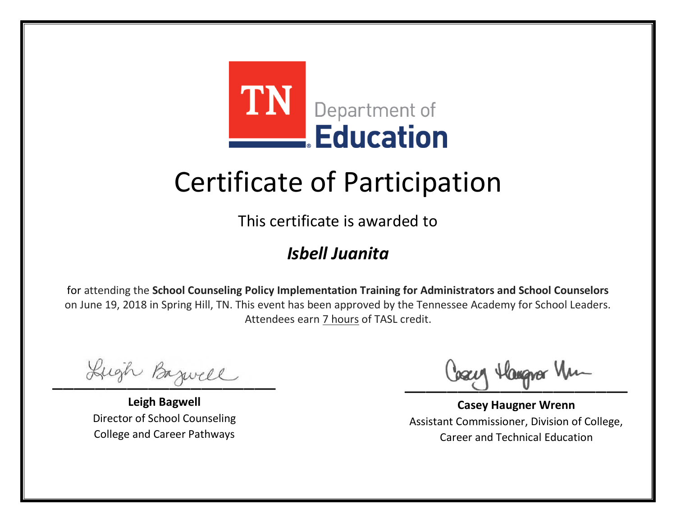

This certificate is awarded to

#### *Isbell Juanita*

Lugh Bazwell

**Leigh Bagwell** Director of School Counseling College and Career Pathways

Losey Hangra Um

**Casey Haugner Wrenn** Assistant Commissioner, Division of College, Career and Technical Education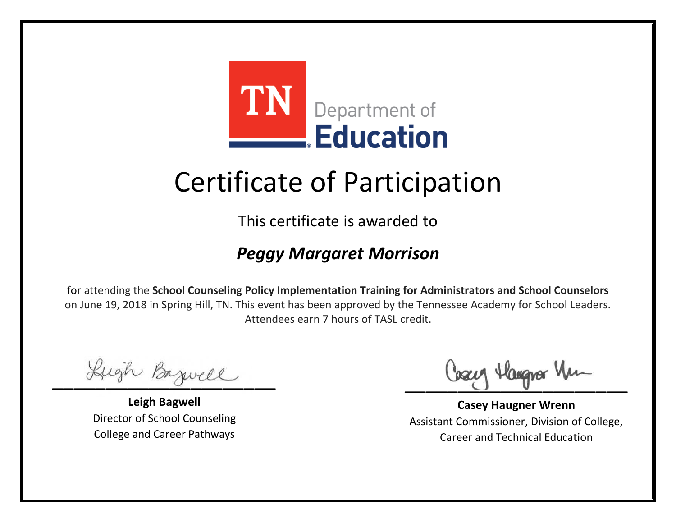

This certificate is awarded to

#### *Peggy Margaret Morrison*

Lugh Bazwell

**Leigh Bagwell** Director of School Counseling College and Career Pathways

Losey Hangrer Vm

**Casey Haugner Wrenn** Assistant Commissioner, Division of College, Career and Technical Education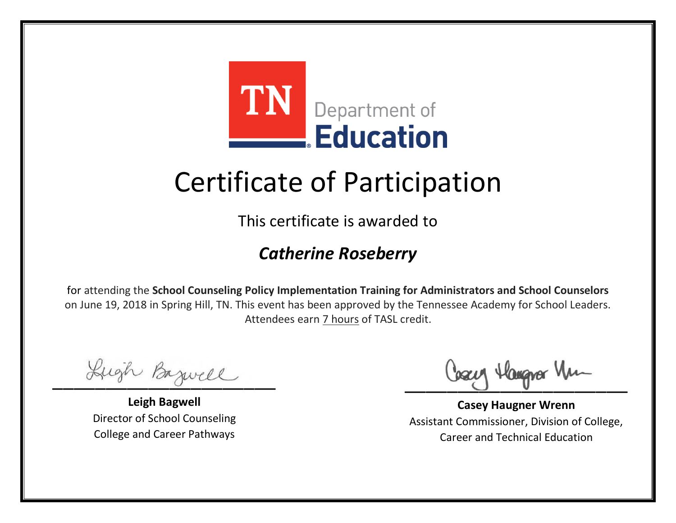

This certificate is awarded to

#### *Catherine Roseberry*

Lugh Bazwell

**Leigh Bagwell** Director of School Counseling College and Career Pathways

Losey Hangrer Vm

**Casey Haugner Wrenn** Assistant Commissioner, Division of College, Career and Technical Education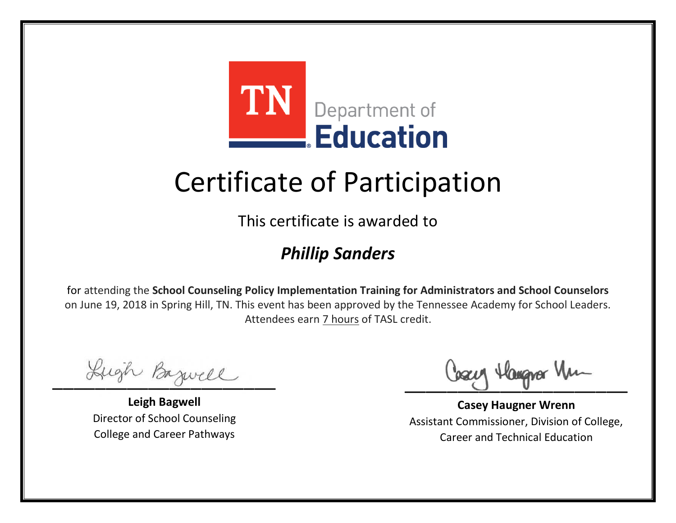

This certificate is awarded to

### *Phillip Sanders*

Lugh Bazwell

**Leigh Bagwell** Director of School Counseling College and Career Pathways

Losey Hangra Um

**Casey Haugner Wrenn** Assistant Commissioner, Division of College, Career and Technical Education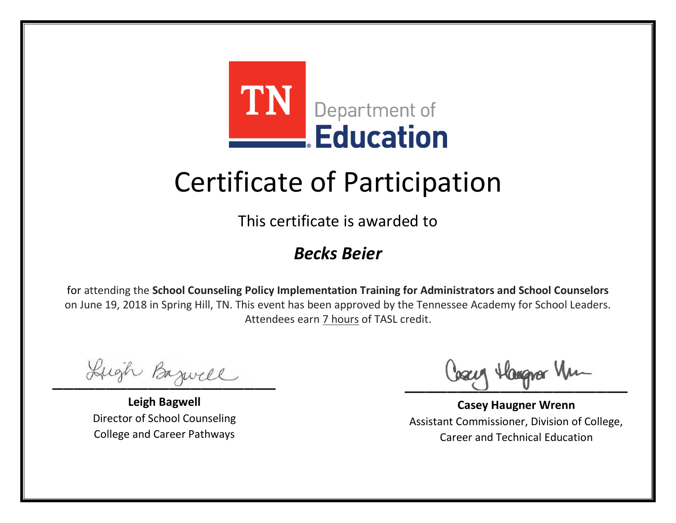

This certificate is awarded to

### *Becks Beier*

Lugh Bazwell

**Leigh Bagwell** Director of School Counseling College and Career Pathways

Losey Hangra Um

**Casey Haugner Wrenn** Assistant Commissioner, Division of College, Career and Technical Education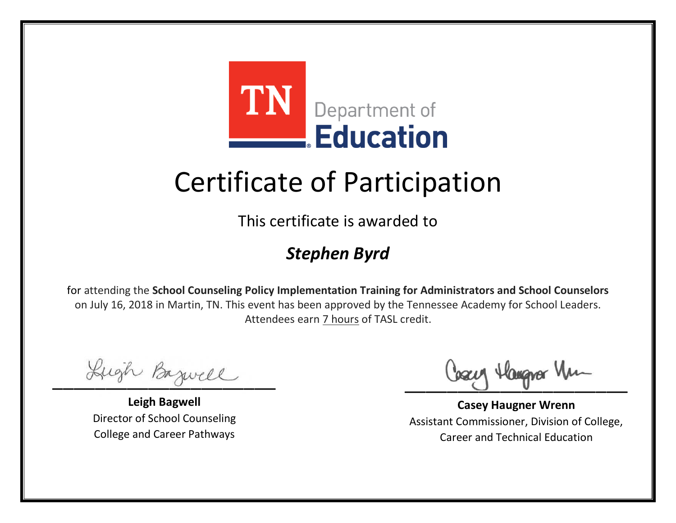

This certificate is awarded to

### *Stephen Byrd*

Lugh Bazwell

**Leigh Bagwell** Director of School Counseling College and Career Pathways

Losey Hangra Um

**Casey Haugner Wrenn** Assistant Commissioner, Division of College, Career and Technical Education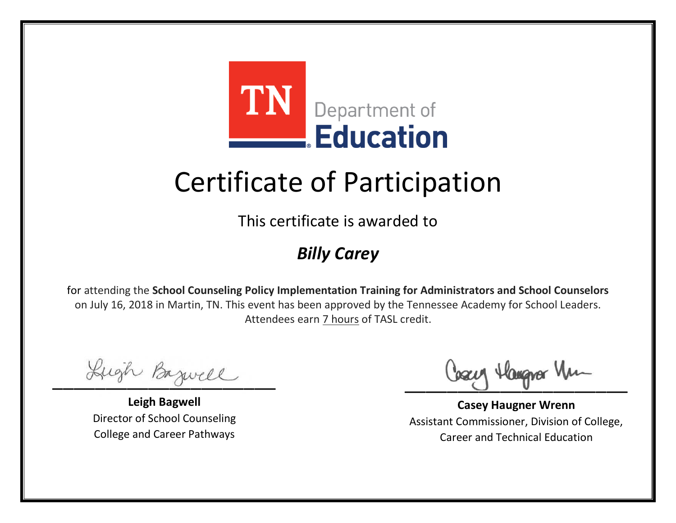

This certificate is awarded to

### *Billy Carey*

Lugh Bazwell

**Leigh Bagwell** Director of School Counseling College and Career Pathways

Losey Hangra Um

**Casey Haugner Wrenn** Assistant Commissioner, Division of College, Career and Technical Education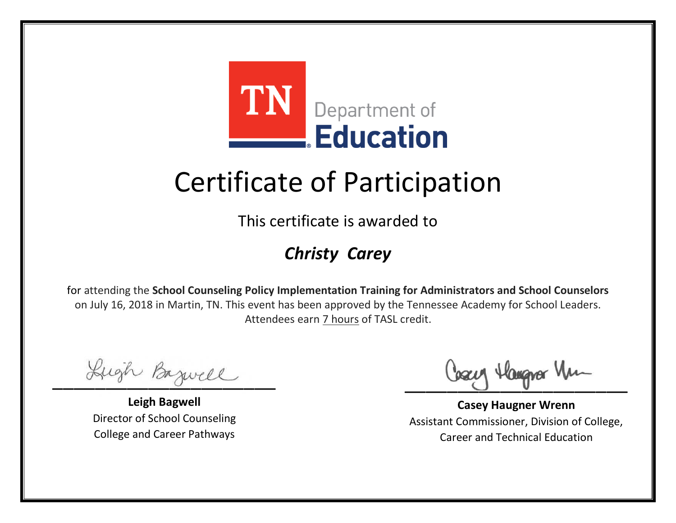

This certificate is awarded to

### *Christy Carey*

Lugh Bazwell

**Leigh Bagwell** Director of School Counseling College and Career Pathways

Losey Hangra Um

**Casey Haugner Wrenn** Assistant Commissioner, Division of College, Career and Technical Education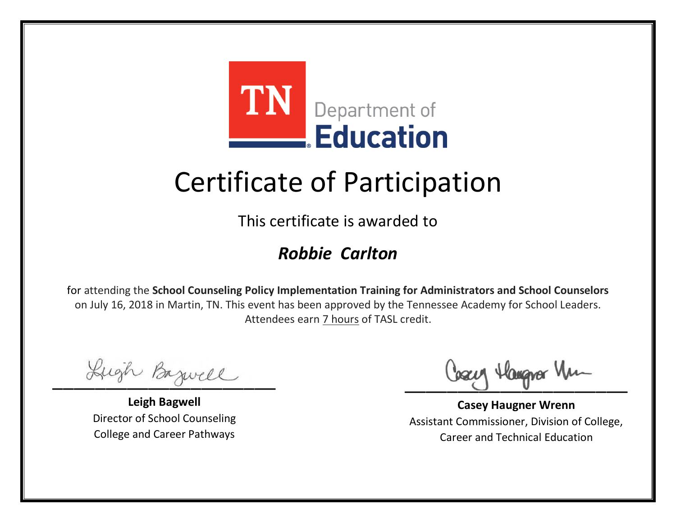

This certificate is awarded to

### *Robbie Carlton*

Lugh Bazwell

**Leigh Bagwell** Director of School Counseling College and Career Pathways

Losey Hangra Um

**Casey Haugner Wrenn** Assistant Commissioner, Division of College, Career and Technical Education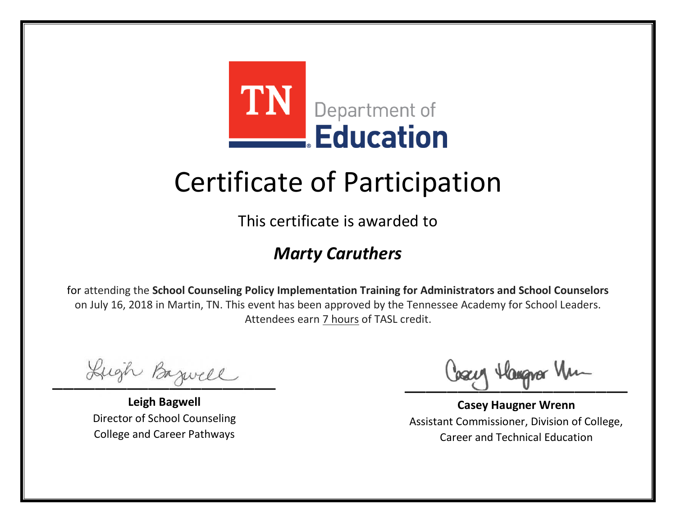

This certificate is awarded to

### *Marty Caruthers*

Lugh Bazwell

**Leigh Bagwell** Director of School Counseling College and Career Pathways

Losey Hangra Um

**Casey Haugner Wrenn** Assistant Commissioner, Division of College, Career and Technical Education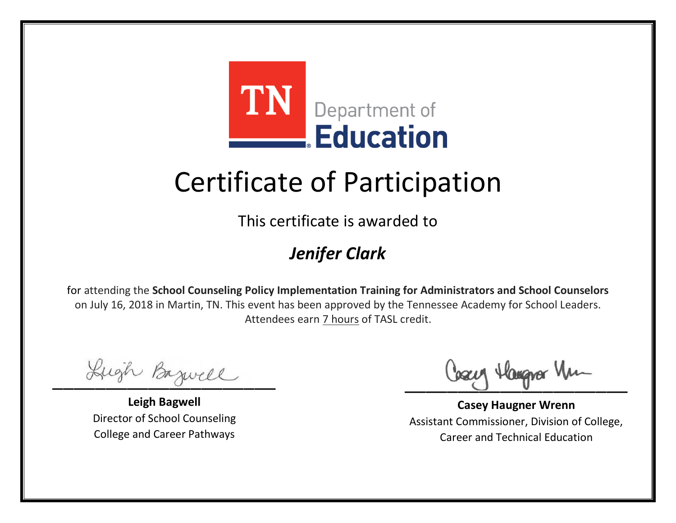

This certificate is awarded to

### *Jenifer Clark*

Lugh Bazwell

**Leigh Bagwell** Director of School Counseling College and Career Pathways

Losey Hangra Um

**Casey Haugner Wrenn** Assistant Commissioner, Division of College, Career and Technical Education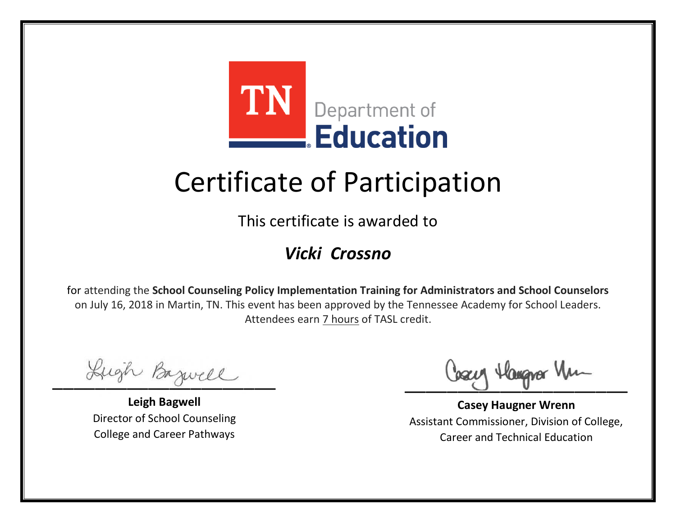

This certificate is awarded to

### *Vicki Crossno*

Lugh Bazwell

**Leigh Bagwell** Director of School Counseling College and Career Pathways

Losey Hangra Um

**Casey Haugner Wrenn** Assistant Commissioner, Division of College, Career and Technical Education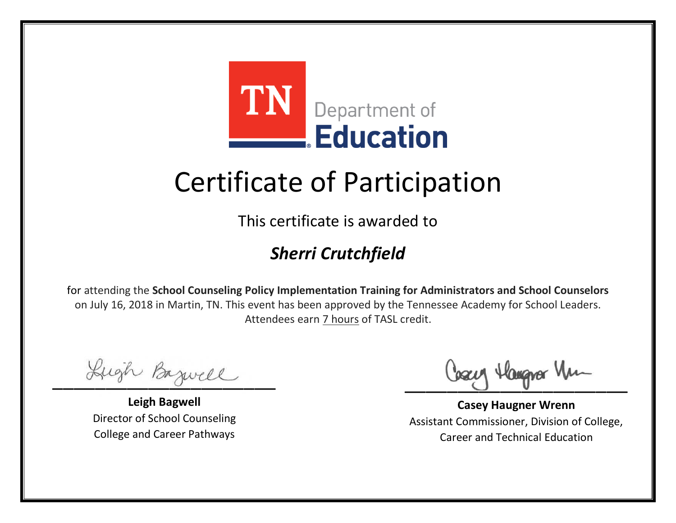

This certificate is awarded to

### *Sherri Crutchfield*

Lugh Bazwell

**Leigh Bagwell** Director of School Counseling College and Career Pathways

Losey Hangra Um

**Casey Haugner Wrenn** Assistant Commissioner, Division of College, Career and Technical Education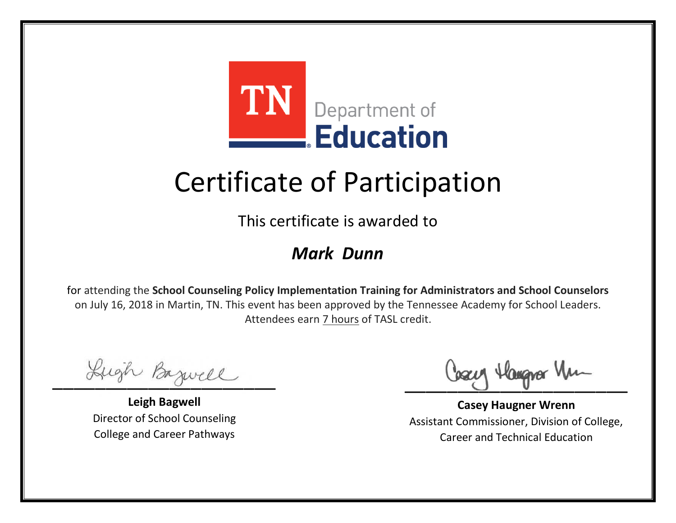

This certificate is awarded to

### *Mark Dunn*

Lugh Bazwell

**Leigh Bagwell** Director of School Counseling College and Career Pathways

Losey Hangra Um

**Casey Haugner Wrenn** Assistant Commissioner, Division of College, Career and Technical Education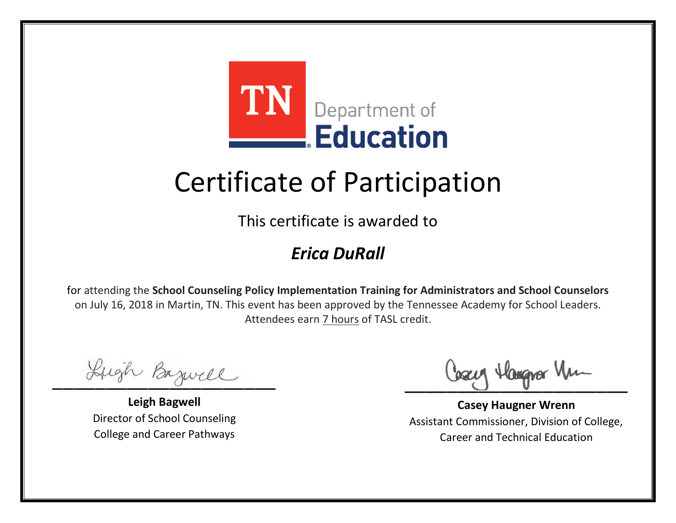

This certificate is awarded to

### *Erica DuRall*

Lugh Bazwell

**Leigh Bagwell** Director of School Counseling College and Career Pathways

Losey Hangra Um

**Casey Haugner Wrenn** Assistant Commissioner, Division of College, Career and Technical Education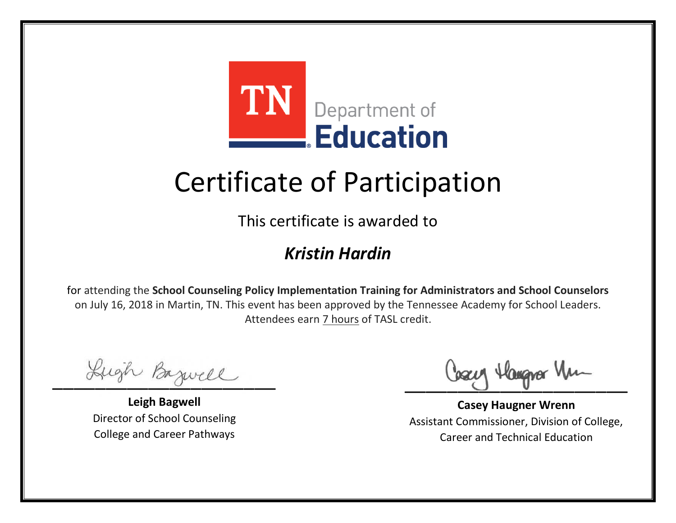

This certificate is awarded to

### *Kristin Hardin*

Lugh Bazwell

**Leigh Bagwell** Director of School Counseling College and Career Pathways

Losey Hangra Um

**Casey Haugner Wrenn** Assistant Commissioner, Division of College, Career and Technical Education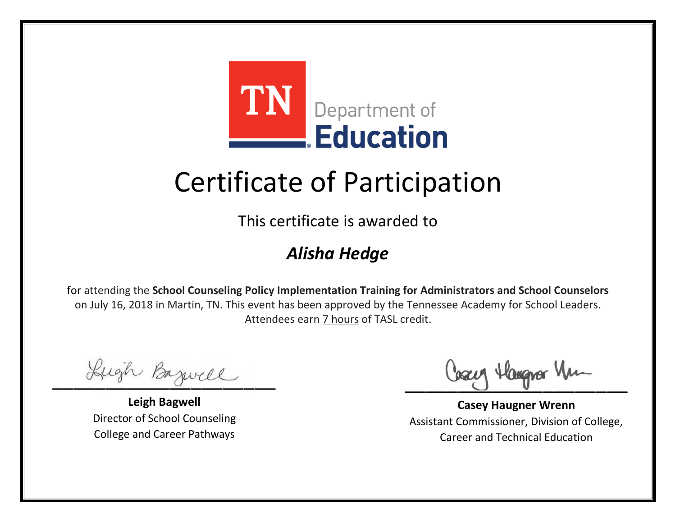

This certificate is awarded to

### *Alisha Hedge*

Lugh Bazwell

**Leigh Bagwell** Director of School Counseling College and Career Pathways

Losey Hangra Um

**Casey Haugner Wrenn** Assistant Commissioner, Division of College, Career and Technical Education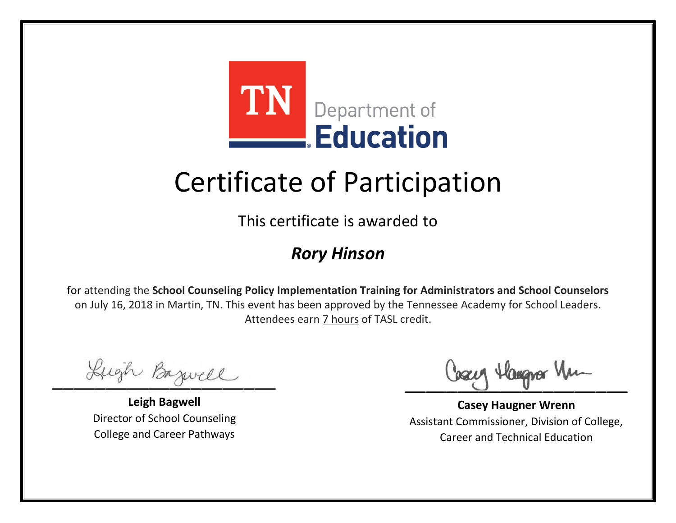

This certificate is awarded to

### *Rory Hinson*

Lugh Bazwell

**Leigh Bagwell** Director of School Counseling College and Career Pathways

Losey Hangra Um

**Casey Haugner Wrenn** Assistant Commissioner, Division of College, Career and Technical Education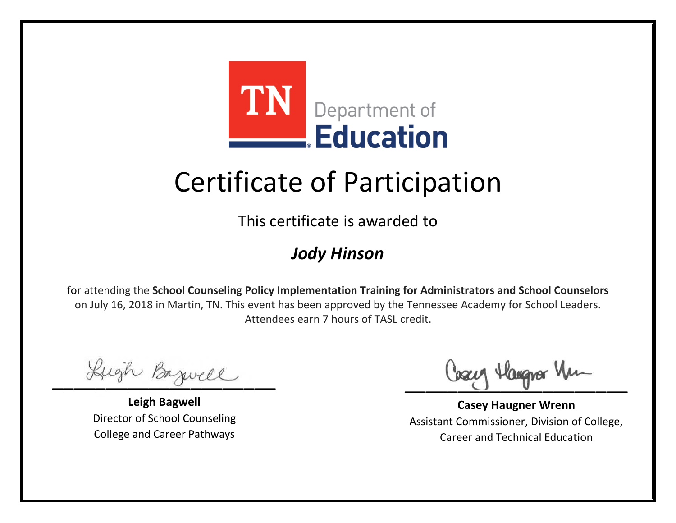

This certificate is awarded to

### *Jody Hinson*

Lugh Bazwell

**Leigh Bagwell** Director of School Counseling College and Career Pathways

Losey Hangra Um

**Casey Haugner Wrenn** Assistant Commissioner, Division of College, Career and Technical Education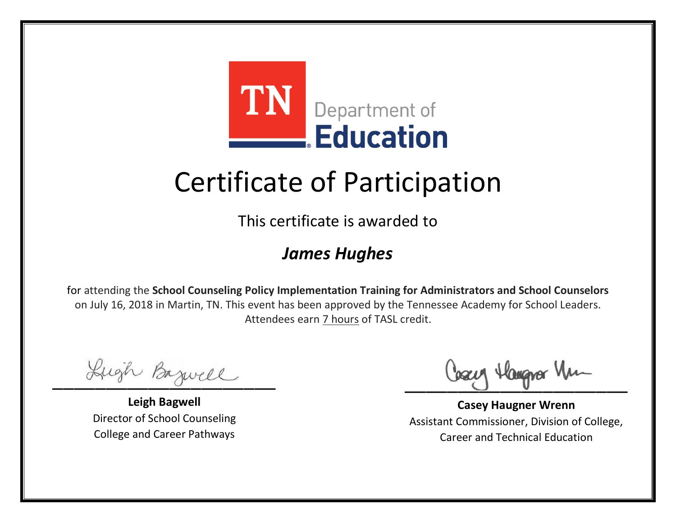

This certificate is awarded to

#### *James Hughes*

Lugh Bazwell

**Leigh Bagwell** Director of School Counseling College and Career Pathways

Losey Hangra Um

**Casey Haugner Wrenn** Assistant Commissioner, Division of College, Career and Technical Education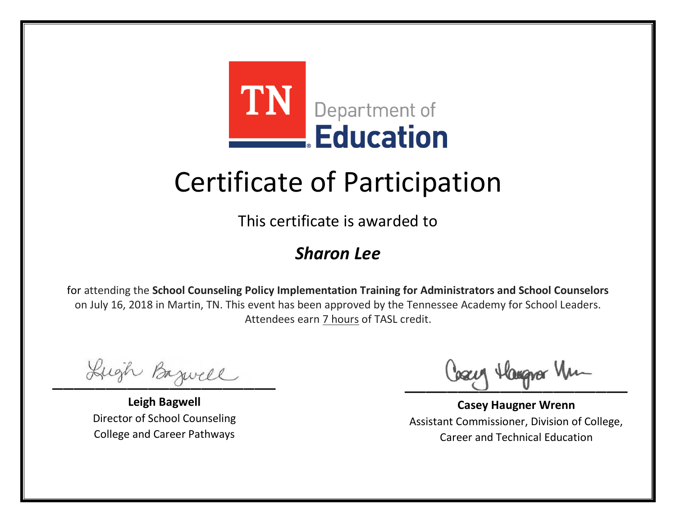

This certificate is awarded to

#### *Sharon Lee*

Lugh Bazwell

**Leigh Bagwell** Director of School Counseling College and Career Pathways

Losey Hangra Um

**Casey Haugner Wrenn** Assistant Commissioner, Division of College, Career and Technical Education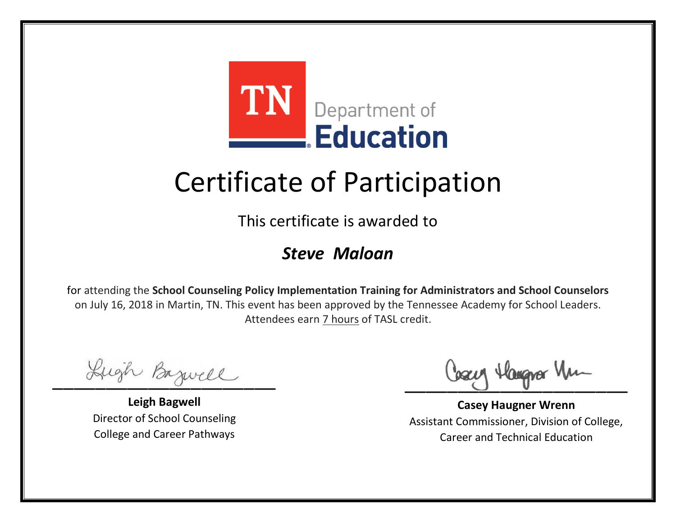

This certificate is awarded to

#### *Steve Maloan*

Lugh Bazwell

**Leigh Bagwell** Director of School Counseling College and Career Pathways

Losey Hangra Um

**Casey Haugner Wrenn** Assistant Commissioner, Division of College, Career and Technical Education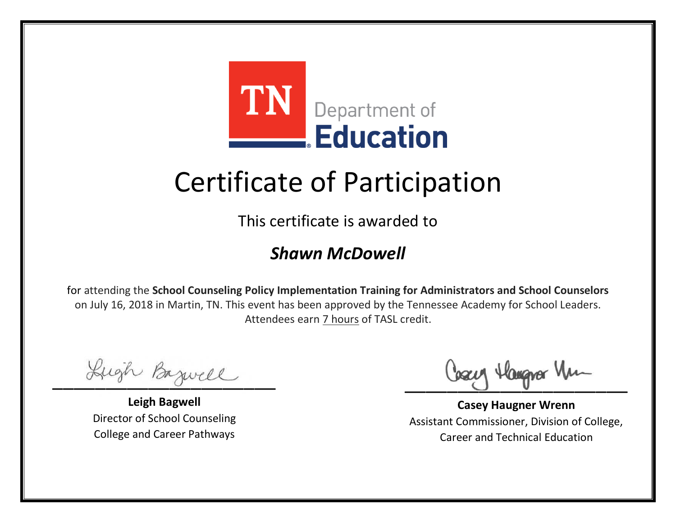

This certificate is awarded to

#### *Shawn McDowell*

Lugh Bazwell

**Leigh Bagwell** Director of School Counseling College and Career Pathways

Losey Hangra Um

**Casey Haugner Wrenn** Assistant Commissioner, Division of College, Career and Technical Education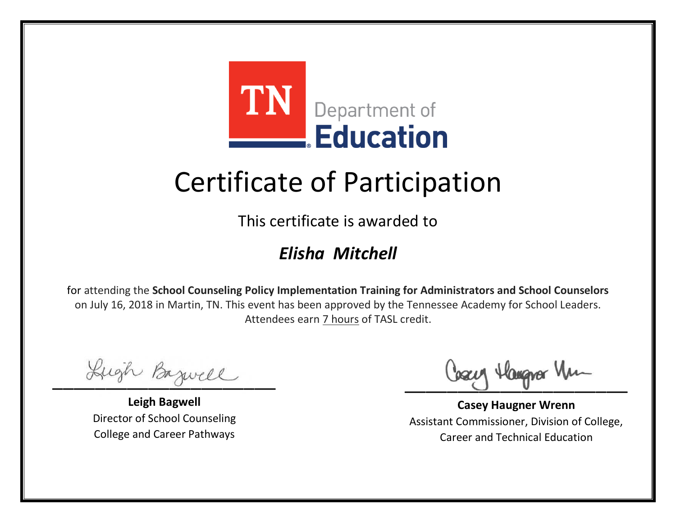

This certificate is awarded to

### *Elisha Mitchell*

Lugh Bazwell

**Leigh Bagwell** Director of School Counseling College and Career Pathways

Losey Hangra Um

**Casey Haugner Wrenn** Assistant Commissioner, Division of College, Career and Technical Education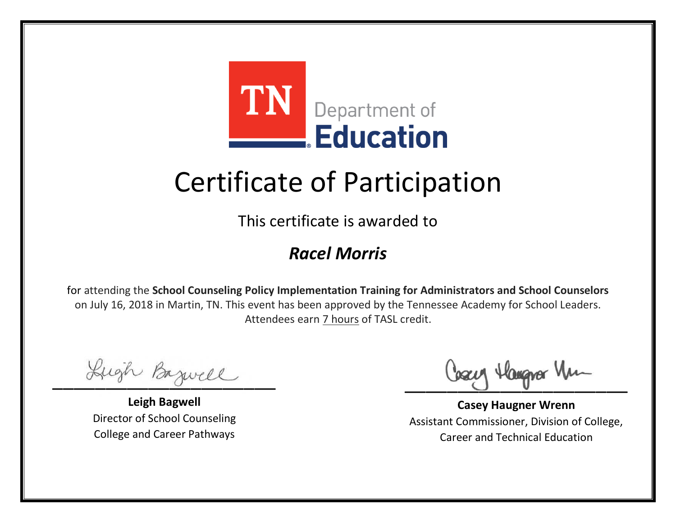

This certificate is awarded to

### *Racel Morris*

Lugh Bazwell

**Leigh Bagwell** Director of School Counseling College and Career Pathways

Losey Hangra Um

**Casey Haugner Wrenn** Assistant Commissioner, Division of College, Career and Technical Education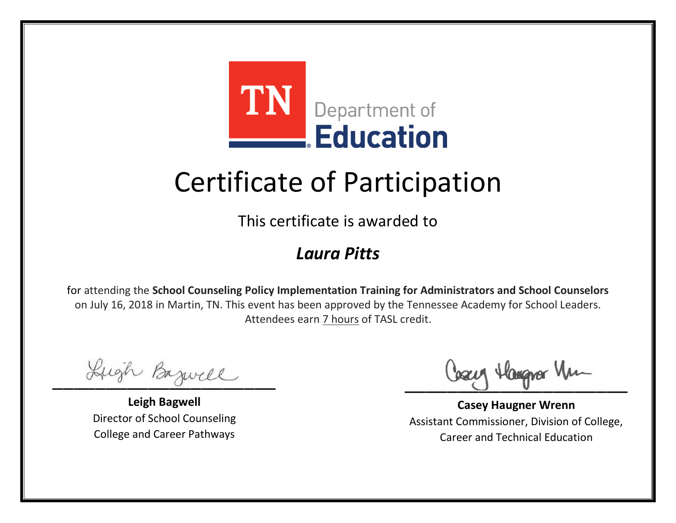

This certificate is awarded to

### *Laura Pitts*

Lugh Bazwell

**Leigh Bagwell** Director of School Counseling College and Career Pathways

Losey Hangra Um

**Casey Haugner Wrenn** Assistant Commissioner, Division of College, Career and Technical Education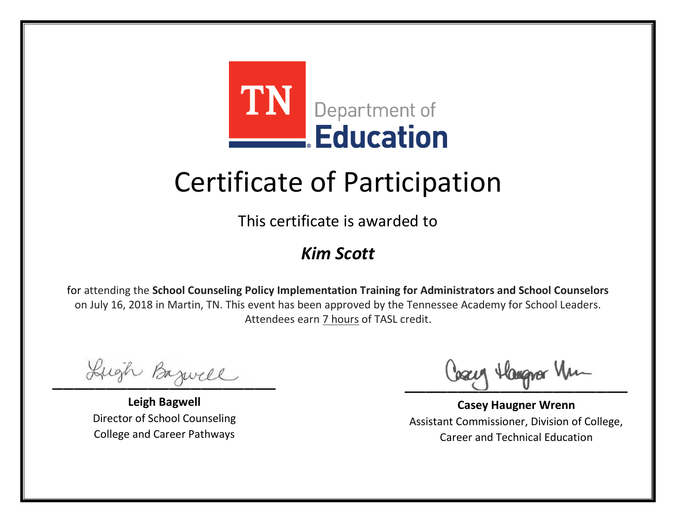

This certificate is awarded to

#### *Kim Scott*

Lugh Bazwell

**Leigh Bagwell** Director of School Counseling College and Career Pathways

Losey Hangra Um

**Casey Haugner Wrenn** Assistant Commissioner, Division of College, Career and Technical Education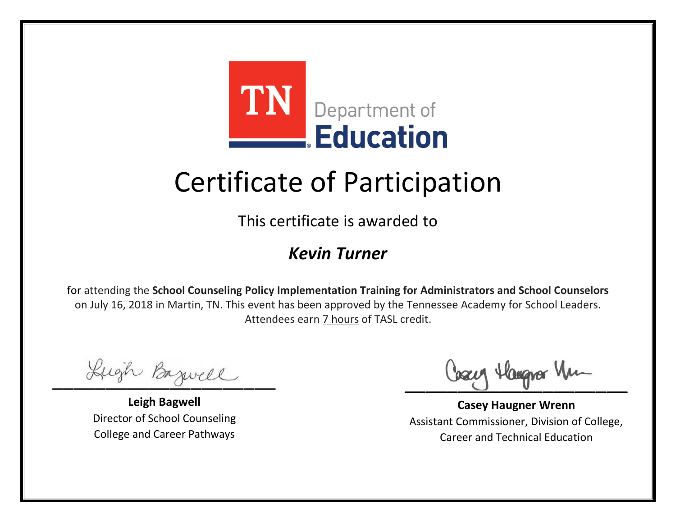

This certificate is awarded to

#### *Kevin Turner*

Lugh Bazwell

**Leigh Bagwell** Director of School Counseling College and Career Pathways

Losey Hangra Um

**Casey Haugner Wrenn** Assistant Commissioner, Division of College, Career and Technical Education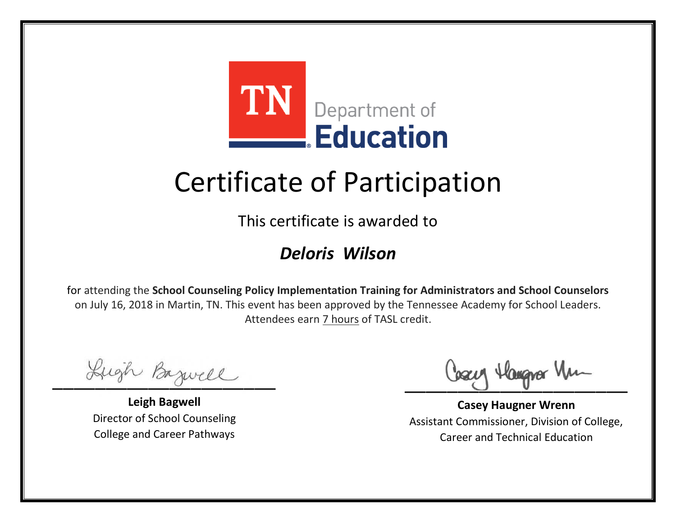

This certificate is awarded to

### *Deloris Wilson*

Lugh Bazwell

**Leigh Bagwell** Director of School Counseling College and Career Pathways

Losey Hangra Um

**Casey Haugner Wrenn** Assistant Commissioner, Division of College, Career and Technical Education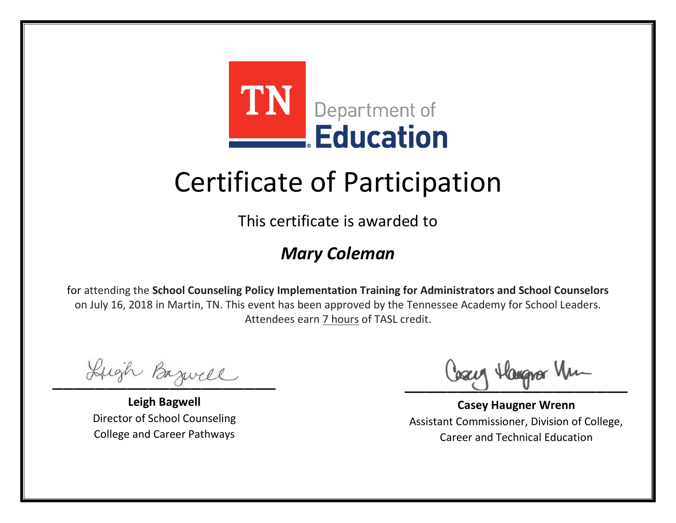

This certificate is awarded to

### *Mary Coleman*

Lugh Bazwell

**Leigh Bagwell** Director of School Counseling College and Career Pathways

Losey Hangra Um

**Casey Haugner Wrenn** Assistant Commissioner, Division of College, Career and Technical Education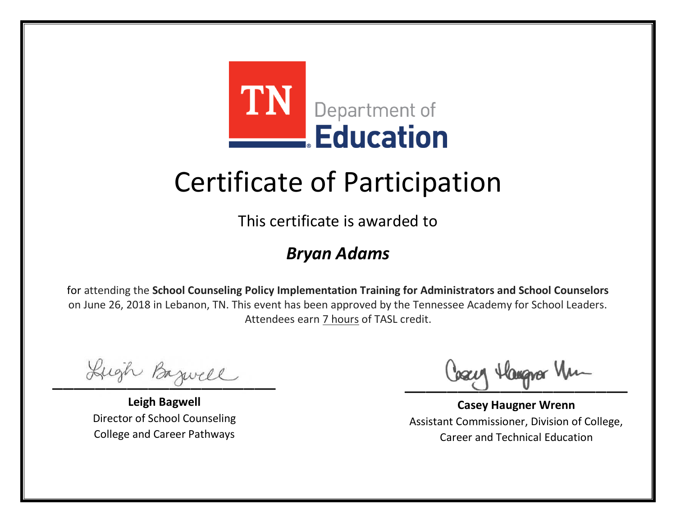

This certificate is awarded to

### *Bryan Adams*

Lugh Bazwell

**Leigh Bagwell** Director of School Counseling College and Career Pathways

Losey Hangra Um

**Casey Haugner Wrenn** Assistant Commissioner, Division of College, Career and Technical Education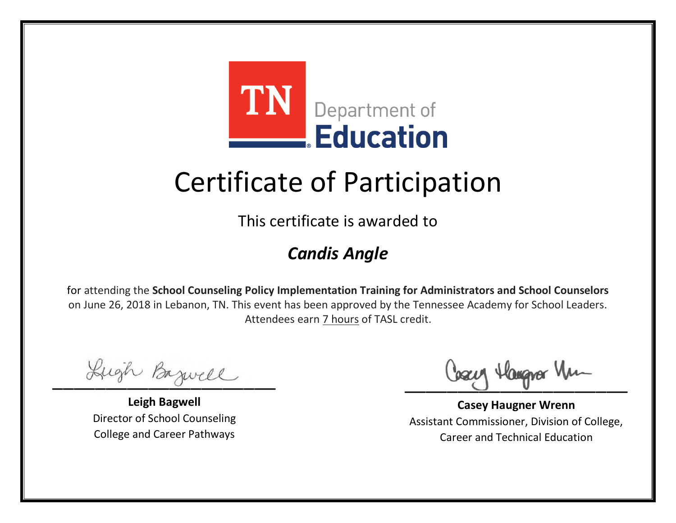

This certificate is awarded to

### *Candis Angle*

Lugh Bazwell

**Leigh Bagwell** Director of School Counseling College and Career Pathways

Losey Hangra Um

**Casey Haugner Wrenn** Assistant Commissioner, Division of College, Career and Technical Education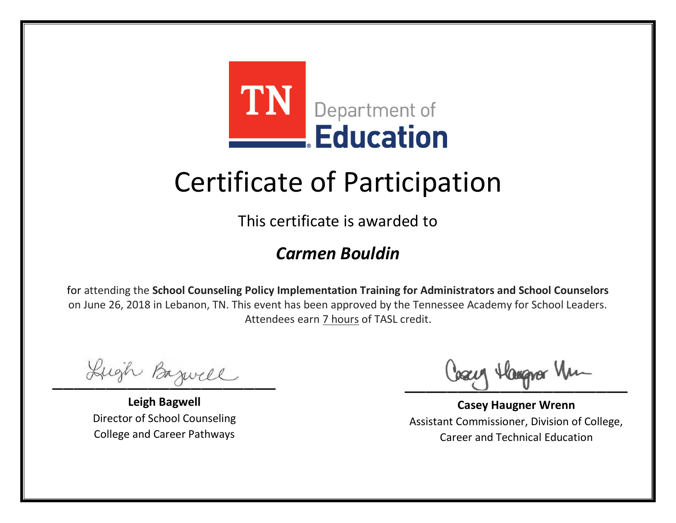

This certificate is awarded to

### *Carmen Bouldin*

Lugh Bazwell

**Leigh Bagwell** Director of School Counseling College and Career Pathways

Losey Hangra Um

**Casey Haugner Wrenn** Assistant Commissioner, Division of College, Career and Technical Education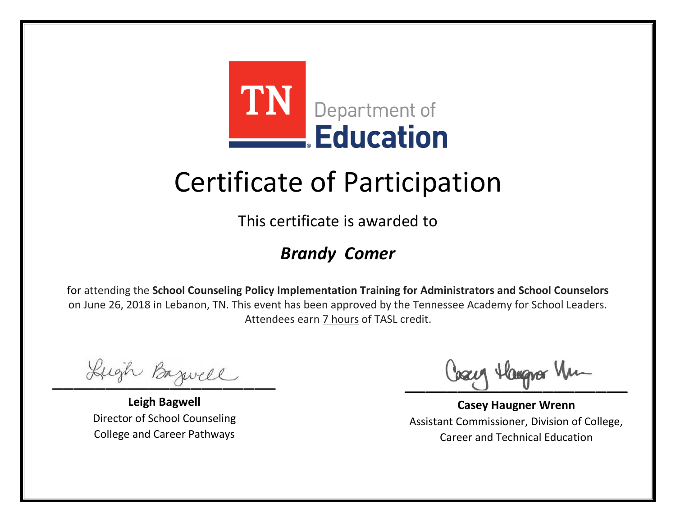

This certificate is awarded to

### *Brandy Comer*

Lugh Bazwell

**Leigh Bagwell** Director of School Counseling College and Career Pathways

Losey Hangra Um

**Casey Haugner Wrenn** Assistant Commissioner, Division of College, Career and Technical Education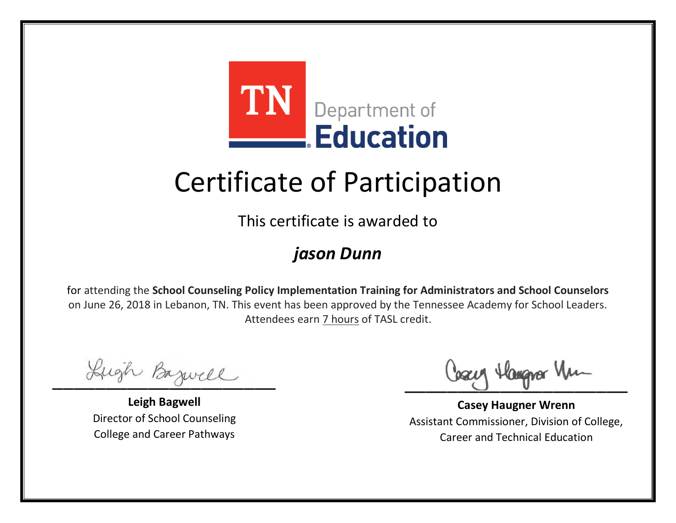

This certificate is awarded to

### *jason Dunn*

Lugh Bazwell

**Leigh Bagwell** Director of School Counseling College and Career Pathways

Losey Hangra Um

**Casey Haugner Wrenn** Assistant Commissioner, Division of College, Career and Technical Education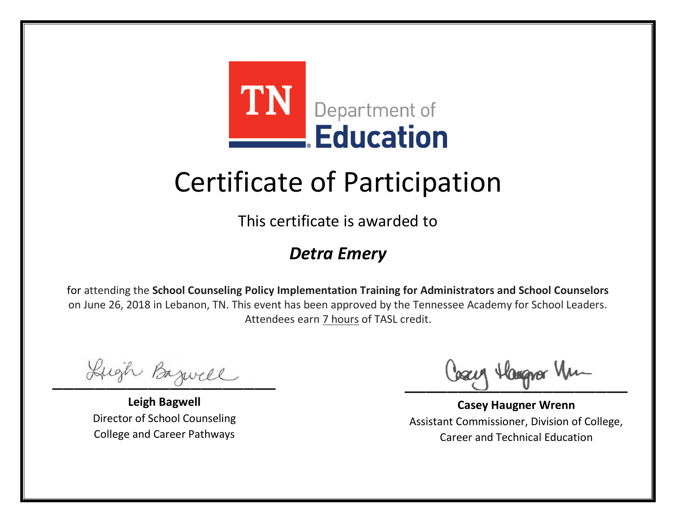

This certificate is awarded to

### *Detra Emery*

Lugh Bazwell

**Leigh Bagwell** Director of School Counseling College and Career Pathways

Losey Hangra Um

**Casey Haugner Wrenn** Assistant Commissioner, Division of College, Career and Technical Education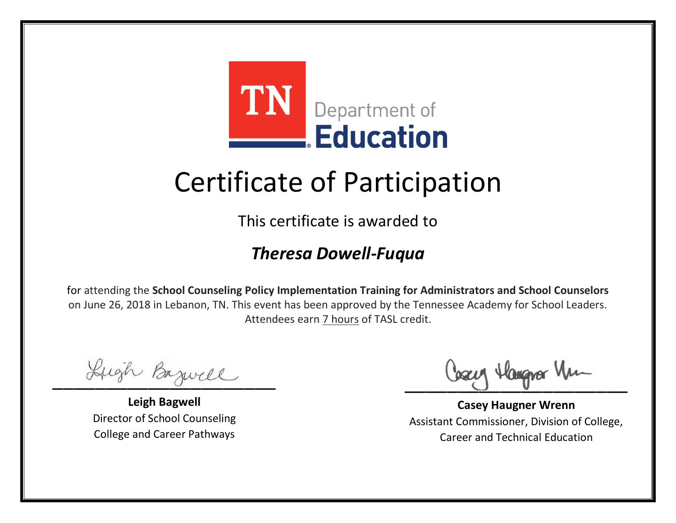

This certificate is awarded to

### *Theresa Dowell-Fuqua*

Lugh Bazwell

**Leigh Bagwell** Director of School Counseling College and Career Pathways

Losey Hangra Um

**Casey Haugner Wrenn** Assistant Commissioner, Division of College, Career and Technical Education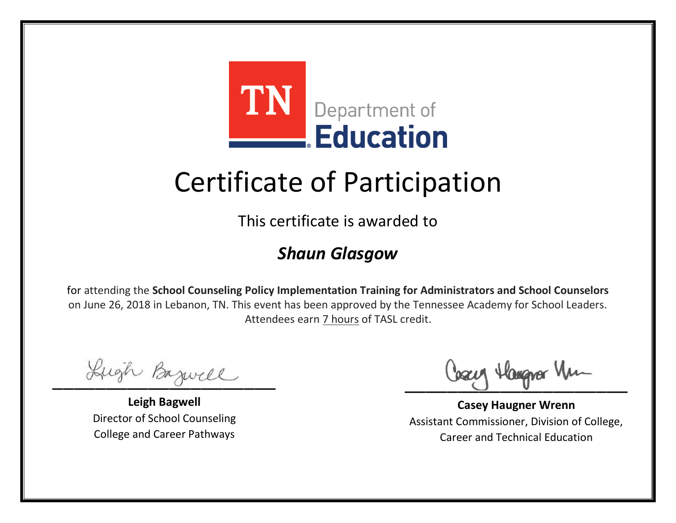

This certificate is awarded to

### *Shaun Glasgow*

Lugh Bazwell

**Leigh Bagwell** Director of School Counseling College and Career Pathways

Losey Hangra Um

**Casey Haugner Wrenn** Assistant Commissioner, Division of College, Career and Technical Education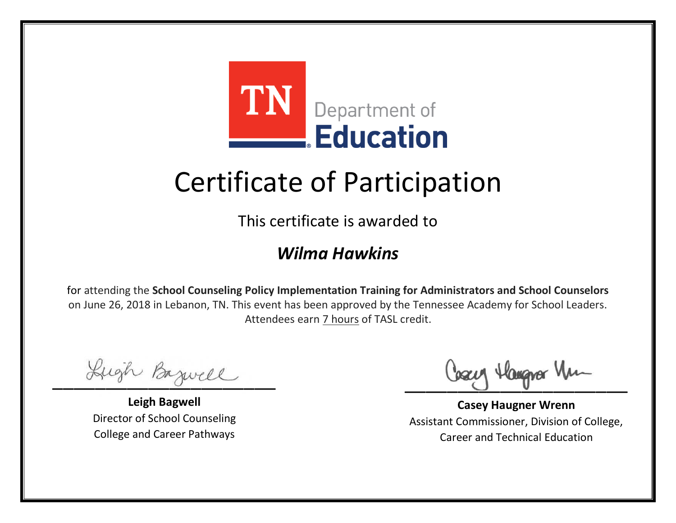

This certificate is awarded to

#### *Wilma Hawkins*

Lugh Bazwell

**Leigh Bagwell** Director of School Counseling College and Career Pathways

Losey Hangra Um

**Casey Haugner Wrenn** Assistant Commissioner, Division of College, Career and Technical Education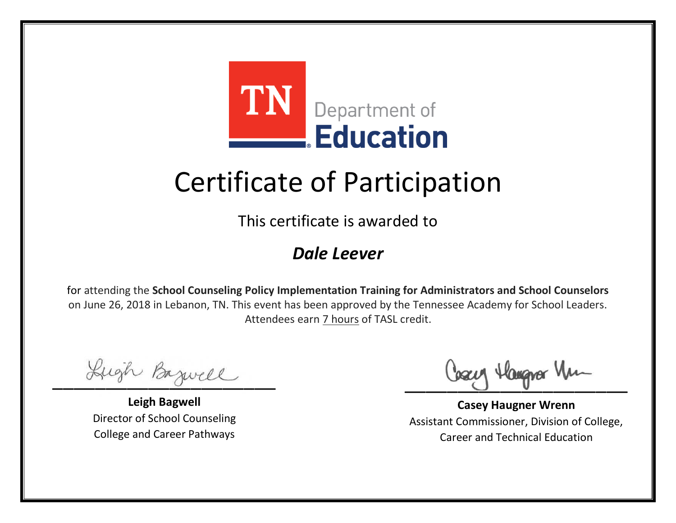

This certificate is awarded to

#### *Dale Leever*

Lugh Bazwell

**Leigh Bagwell** Director of School Counseling College and Career Pathways

Losey Hangra Um

**Casey Haugner Wrenn** Assistant Commissioner, Division of College, Career and Technical Education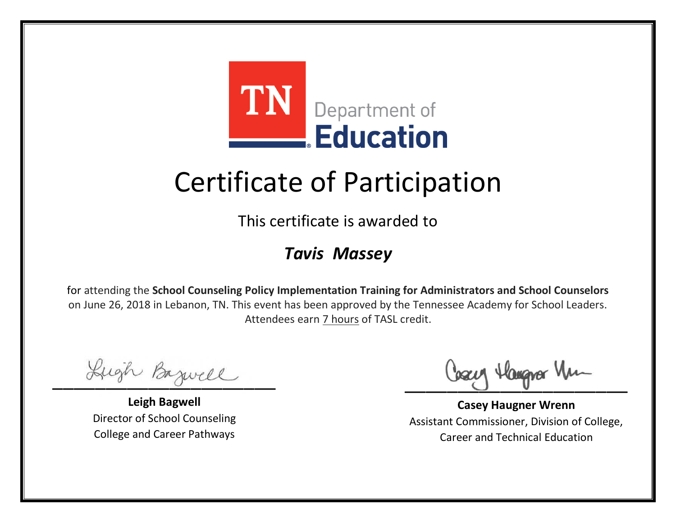

This certificate is awarded to

### *Tavis Massey*

Lugh Bazwell

**Leigh Bagwell** Director of School Counseling College and Career Pathways

Losey Hangra Um

**Casey Haugner Wrenn** Assistant Commissioner, Division of College, Career and Technical Education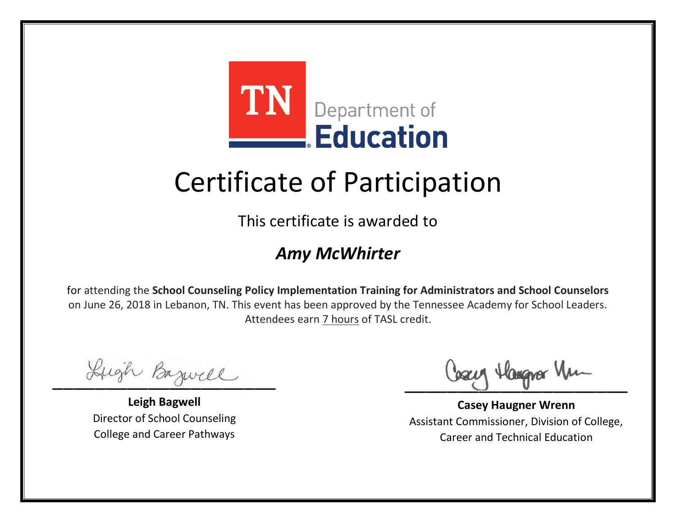

This certificate is awarded to

### *Amy McWhirter*

Lugh Bazwell

**Leigh Bagwell** Director of School Counseling College and Career Pathways

Losey Hangra Um

**Casey Haugner Wrenn** Assistant Commissioner, Division of College, Career and Technical Education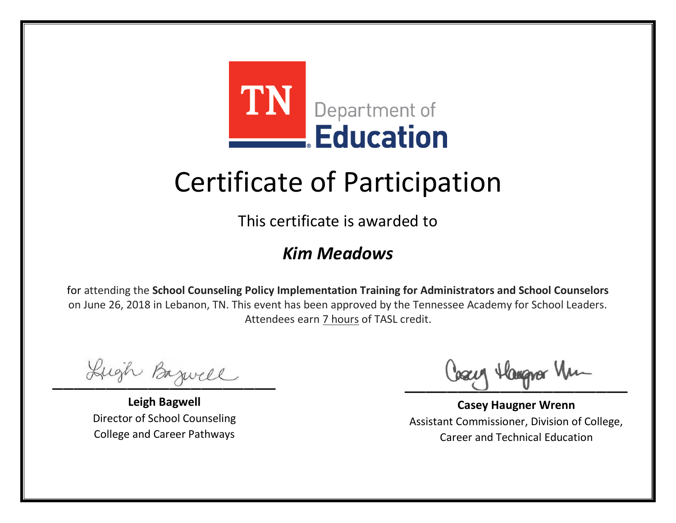

This certificate is awarded to

#### *Kim Meadows*

Lugh Bazwell

**Leigh Bagwell** Director of School Counseling College and Career Pathways

Losey Hangra Um

**Casey Haugner Wrenn** Assistant Commissioner, Division of College, Career and Technical Education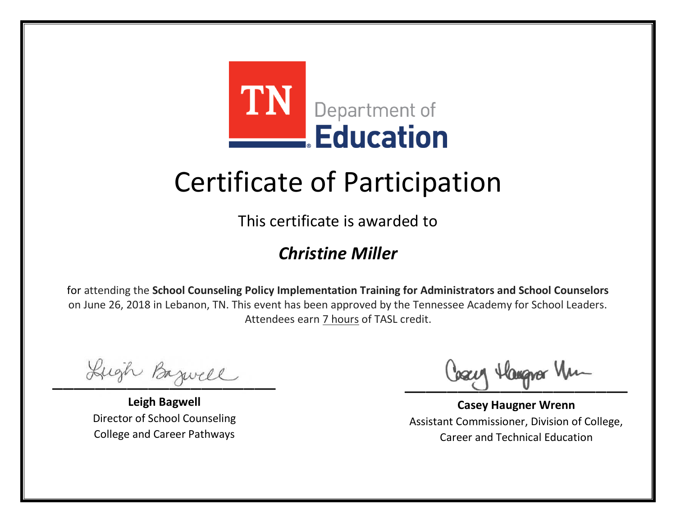

This certificate is awarded to

### *Christine Miller*

Lugh Bazwell

**Leigh Bagwell** Director of School Counseling College and Career Pathways

Losey Hangra Um

**Casey Haugner Wrenn** Assistant Commissioner, Division of College, Career and Technical Education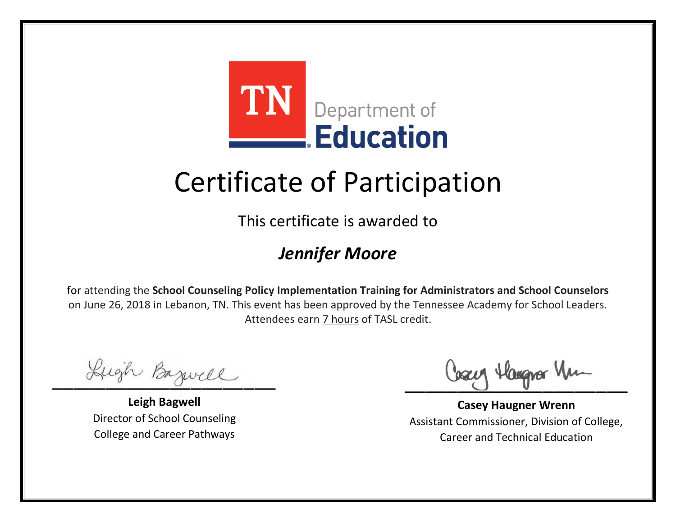

This certificate is awarded to

#### *Jennifer Moore*

Lugh Bazwell

**Leigh Bagwell** Director of School Counseling College and Career Pathways

Losey Hangra Um

**Casey Haugner Wrenn** Assistant Commissioner, Division of College, Career and Technical Education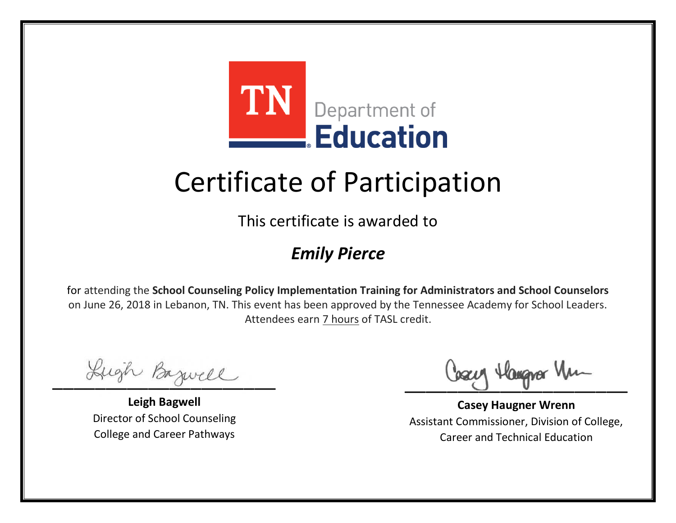

This certificate is awarded to

### *Emily Pierce*

Lugh Bazwell

**Leigh Bagwell** Director of School Counseling College and Career Pathways

Losey Hangra Um

**Casey Haugner Wrenn** Assistant Commissioner, Division of College, Career and Technical Education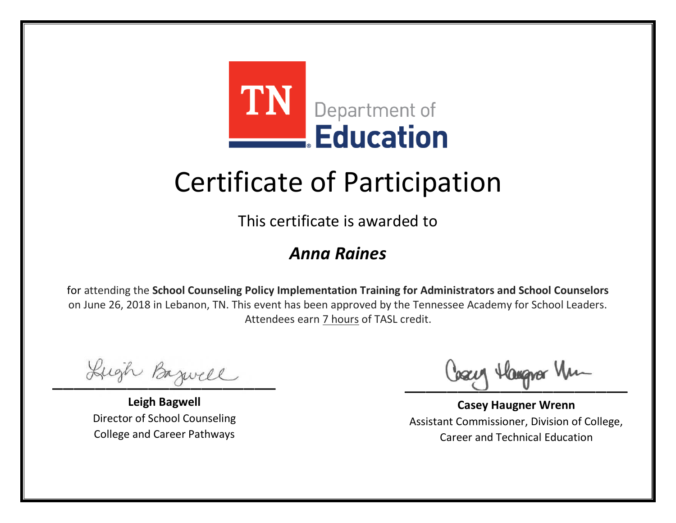

This certificate is awarded to

#### *Anna Raines*

Lugh Bazwell

**Leigh Bagwell** Director of School Counseling College and Career Pathways

Losey Hangra Um

**Casey Haugner Wrenn** Assistant Commissioner, Division of College, Career and Technical Education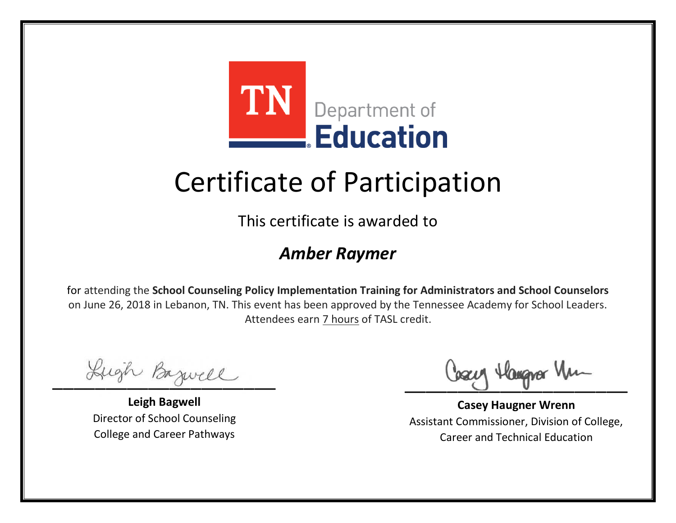

This certificate is awarded to

#### *Amber Raymer*

Lugh Bazwell

**Leigh Bagwell** Director of School Counseling College and Career Pathways

Losey Hangra Um

**Casey Haugner Wrenn** Assistant Commissioner, Division of College, Career and Technical Education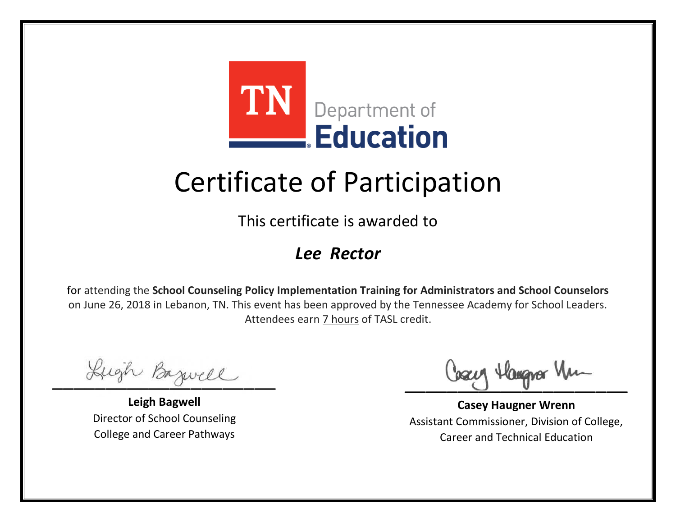

This certificate is awarded to

#### *Lee Rector*

Lugh Bazwell

**Leigh Bagwell** Director of School Counseling College and Career Pathways

Losey Hangra Um

**Casey Haugner Wrenn** Assistant Commissioner, Division of College, Career and Technical Education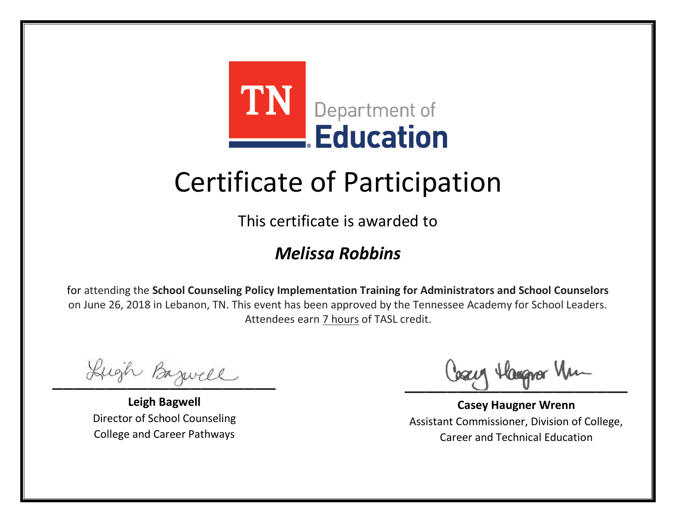

This certificate is awarded to

#### *Melissa Robbins*

Lugh Bazwell

**Leigh Bagwell** Director of School Counseling College and Career Pathways

Losey Hangra Um

**Casey Haugner Wrenn** Assistant Commissioner, Division of College, Career and Technical Education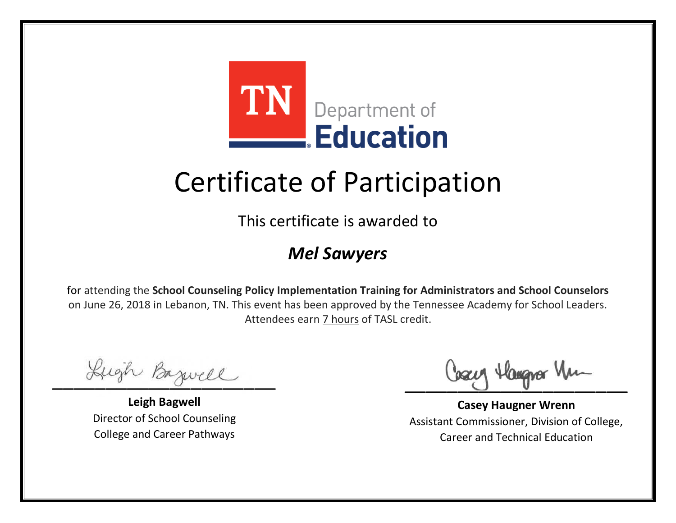

This certificate is awarded to

#### *Mel Sawyers*

Lugh Bazwell

**Leigh Bagwell** Director of School Counseling College and Career Pathways

Losey Hangra Um

**Casey Haugner Wrenn** Assistant Commissioner, Division of College, Career and Technical Education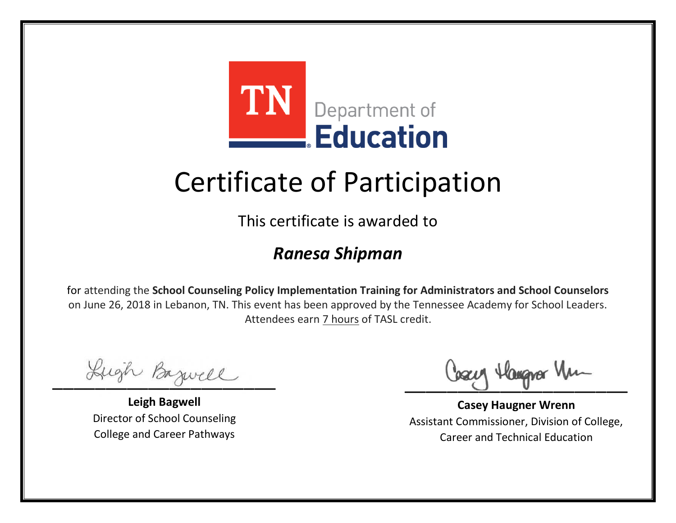

This certificate is awarded to

#### *Ranesa Shipman*

Lugh Bazwell

**Leigh Bagwell** Director of School Counseling College and Career Pathways

Losey Hangra Um

**Casey Haugner Wrenn** Assistant Commissioner, Division of College, Career and Technical Education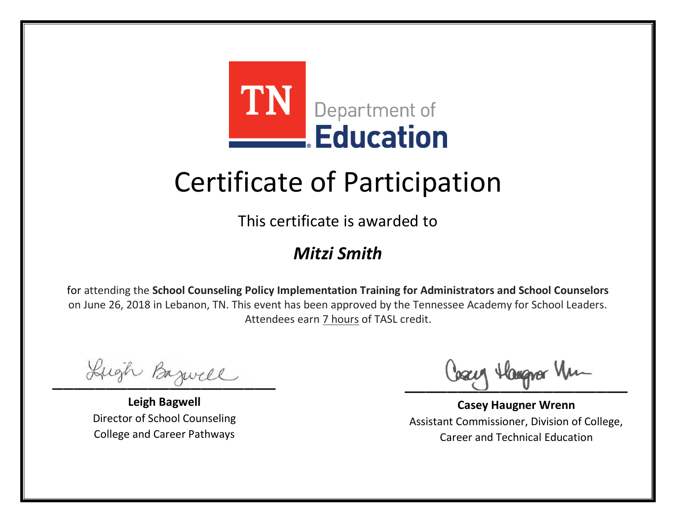

This certificate is awarded to

### *Mitzi Smith*

Lugh Bazwell

**Leigh Bagwell** Director of School Counseling College and Career Pathways

Losey Hangra Um

**Casey Haugner Wrenn** Assistant Commissioner, Division of College, Career and Technical Education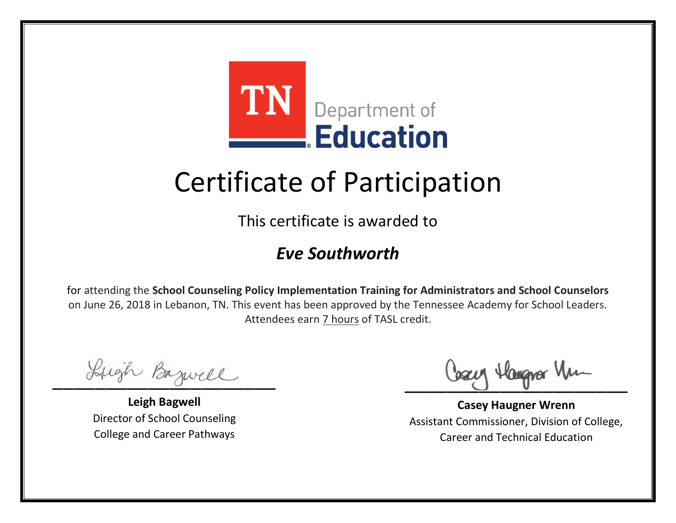

This certificate is awarded to

### *Eve Southworth*

Lugh Bazwell

**Leigh Bagwell** Director of School Counseling College and Career Pathways

Losey Hangra Um

**Casey Haugner Wrenn** Assistant Commissioner, Division of College, Career and Technical Education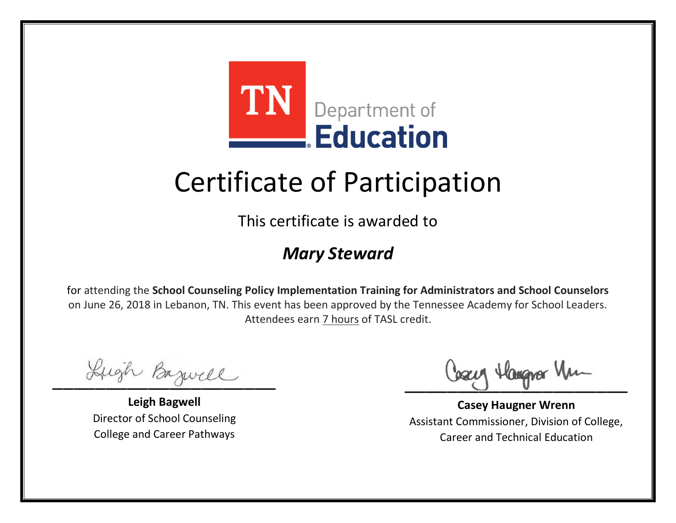

This certificate is awarded to

### *Mary Steward*

Lugh Bazwell

**Leigh Bagwell** Director of School Counseling College and Career Pathways

Losey Hangra Um

**Casey Haugner Wrenn** Assistant Commissioner, Division of College, Career and Technical Education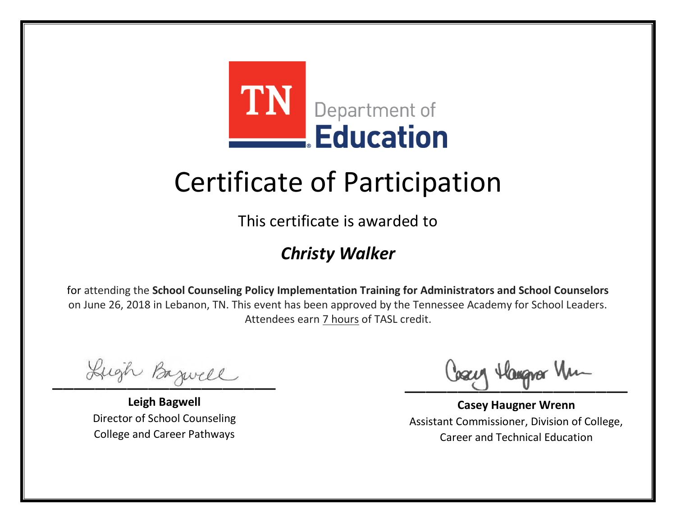

This certificate is awarded to

### *Christy Walker*

Lugh Bazwell

**Leigh Bagwell** Director of School Counseling College and Career Pathways

Losey Hangra Um

**Casey Haugner Wrenn** Assistant Commissioner, Division of College, Career and Technical Education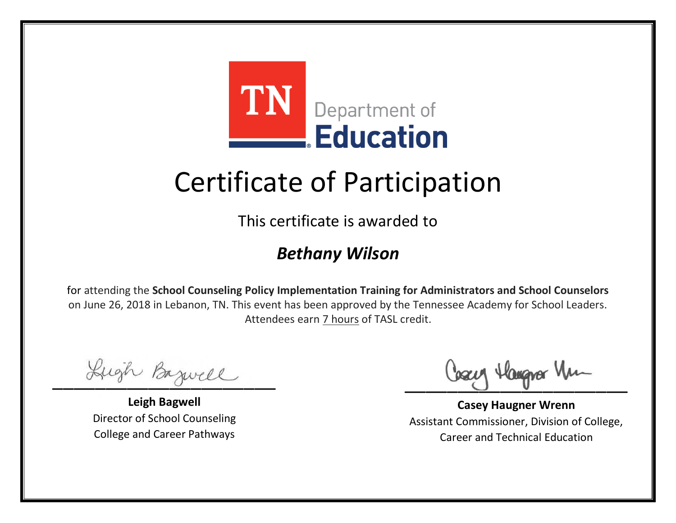

This certificate is awarded to

### *Bethany Wilson*

Lugh Bazwell

**Leigh Bagwell** Director of School Counseling College and Career Pathways

Losey Hangra Um

**Casey Haugner Wrenn** Assistant Commissioner, Division of College, Career and Technical Education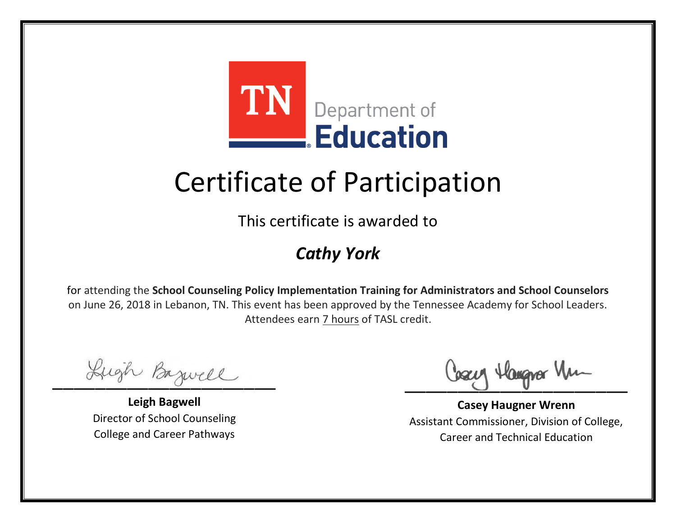

This certificate is awarded to

### *Cathy York*

Lugh Bazwell

**Leigh Bagwell** Director of School Counseling College and Career Pathways

Losey Hangra Um

**Casey Haugner Wrenn** Assistant Commissioner, Division of College, Career and Technical Education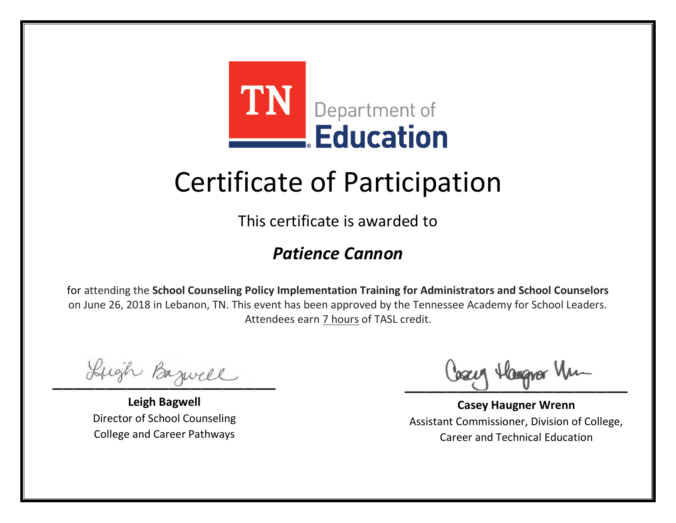

This certificate is awarded to

### *Patience Cannon*

Lugh Bazwell

**Leigh Bagwell** Director of School Counseling College and Career Pathways

Losey Hangra Um

**Casey Haugner Wrenn** Assistant Commissioner, Division of College, Career and Technical Education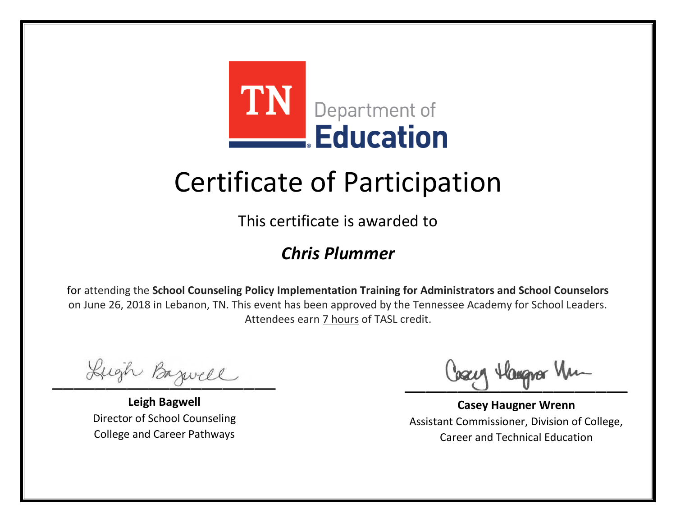

This certificate is awarded to

### *Chris Plummer*

Lugh Bazwell

**Leigh Bagwell** Director of School Counseling College and Career Pathways

Losey Hangra Um

**Casey Haugner Wrenn** Assistant Commissioner, Division of College, Career and Technical Education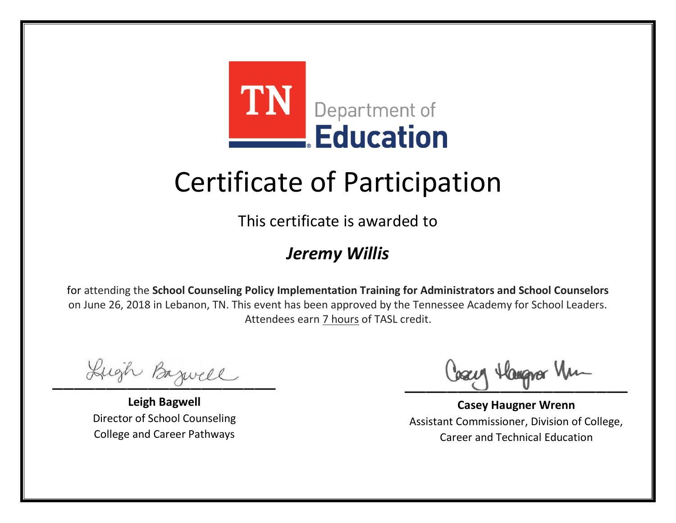

This certificate is awarded to

### *Jeremy Willis*

Lugh Bazwell

**Leigh Bagwell** Director of School Counseling College and Career Pathways

Losey Hangra Um

**Casey Haugner Wrenn** Assistant Commissioner, Division of College, Career and Technical Education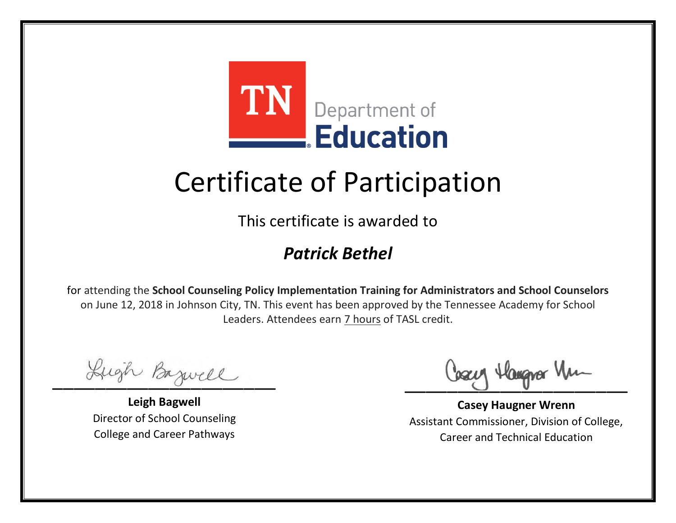

This certificate is awarded to

### *Patrick Bethel*

Lugh Bazwell

**Leigh Bagwell** Director of School Counseling College and Career Pathways

Losey Hangra Um

**Casey Haugner Wrenn** Assistant Commissioner, Division of College, Career and Technical Education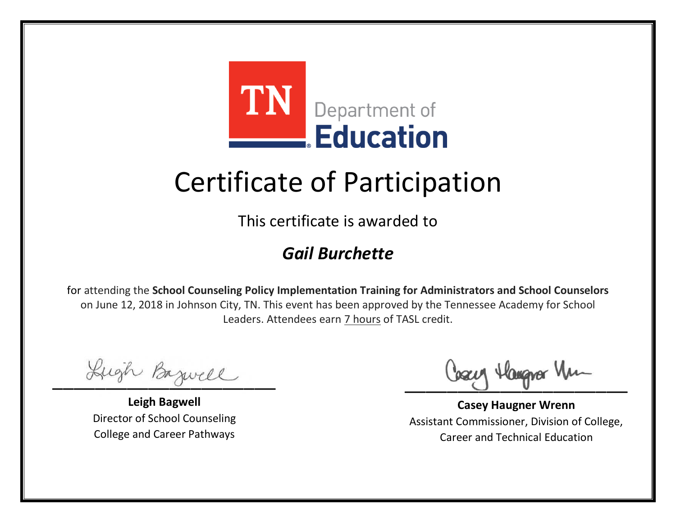

This certificate is awarded to

#### *Gail Burchette*

Lugh Bazwell

**Leigh Bagwell** Director of School Counseling College and Career Pathways

Losey Hangra Um

**Casey Haugner Wrenn** Assistant Commissioner, Division of College, Career and Technical Education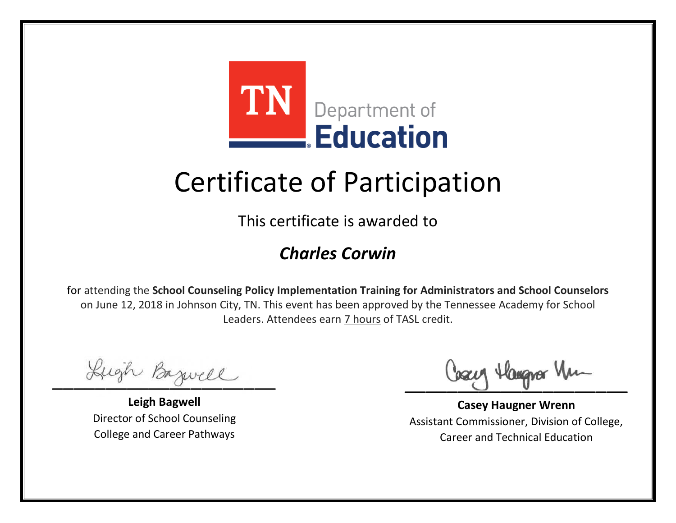

This certificate is awarded to

### *Charles Corwin*

Lugh Bazwell

**Leigh Bagwell** Director of School Counseling College and Career Pathways

Losey Hangra Um

**Casey Haugner Wrenn** Assistant Commissioner, Division of College, Career and Technical Education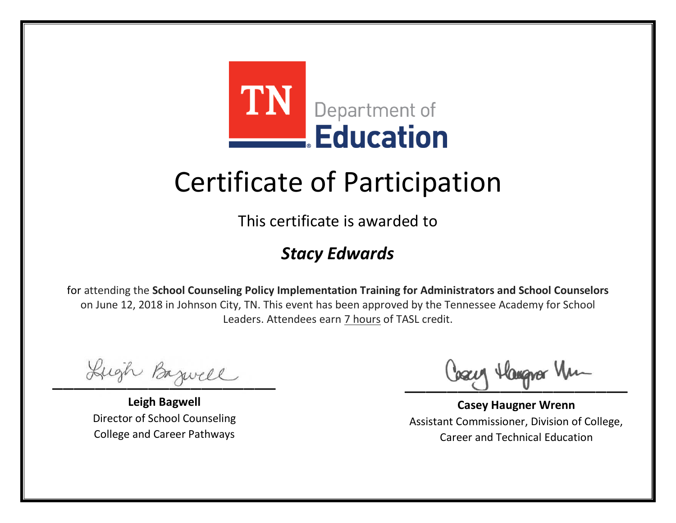

This certificate is awarded to

### *Stacy Edwards*

Lugh Bazwell

**Leigh Bagwell** Director of School Counseling College and Career Pathways

Losey Hangra Um

**Casey Haugner Wrenn** Assistant Commissioner, Division of College, Career and Technical Education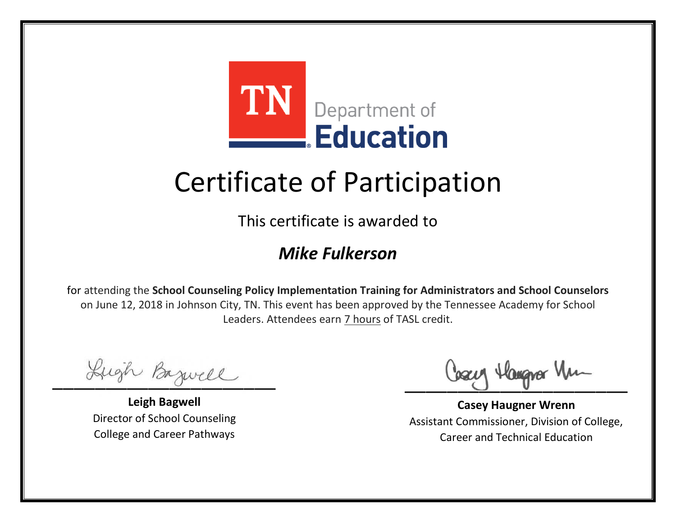

This certificate is awarded to

### *Mike Fulkerson*

Lugh Bazwell

**Leigh Bagwell** Director of School Counseling College and Career Pathways

Losey Hangra Um

**Casey Haugner Wrenn** Assistant Commissioner, Division of College, Career and Technical Education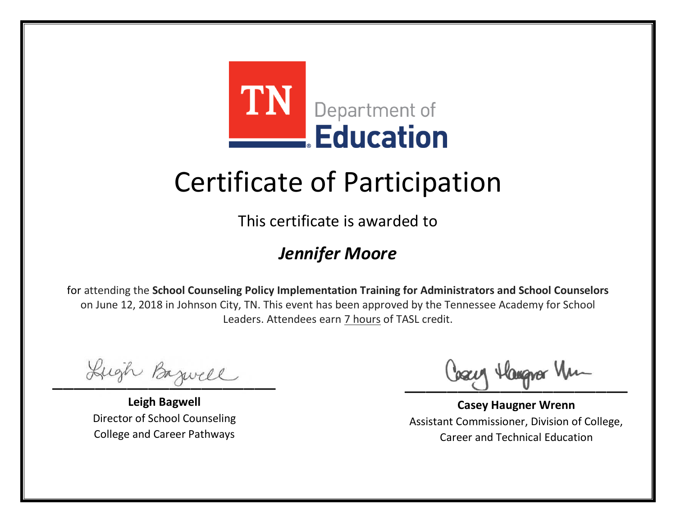

This certificate is awarded to

### *Jennifer Moore*

Lugh Bazwell

**Leigh Bagwell** Director of School Counseling College and Career Pathways

Losey Hangra Um

**Casey Haugner Wrenn** Assistant Commissioner, Division of College, Career and Technical Education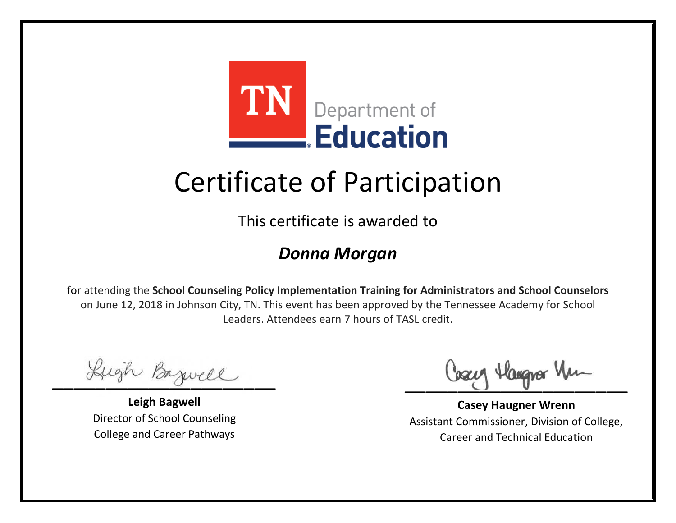

This certificate is awarded to

### *Donna Morgan*

Lugh Bazwell

**Leigh Bagwell** Director of School Counseling College and Career Pathways

Losey Hangra Um

**Casey Haugner Wrenn** Assistant Commissioner, Division of College, Career and Technical Education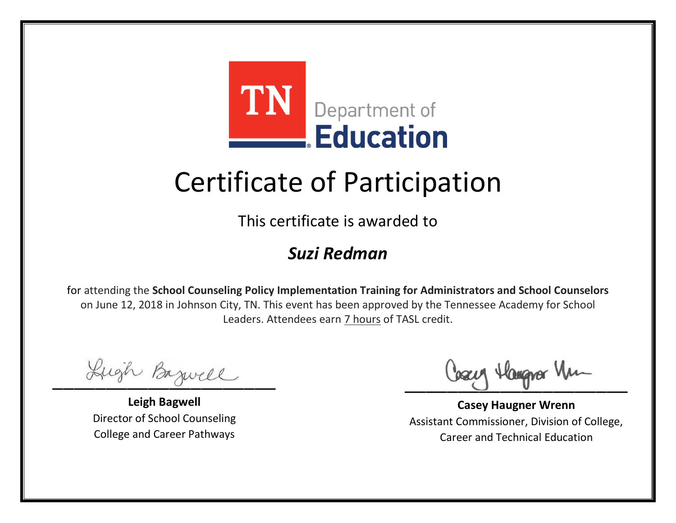

This certificate is awarded to

### *Suzi Redman*

Lugh Bazwell

**Leigh Bagwell** Director of School Counseling College and Career Pathways

Losey Hangra Um

**Casey Haugner Wrenn** Assistant Commissioner, Division of College, Career and Technical Education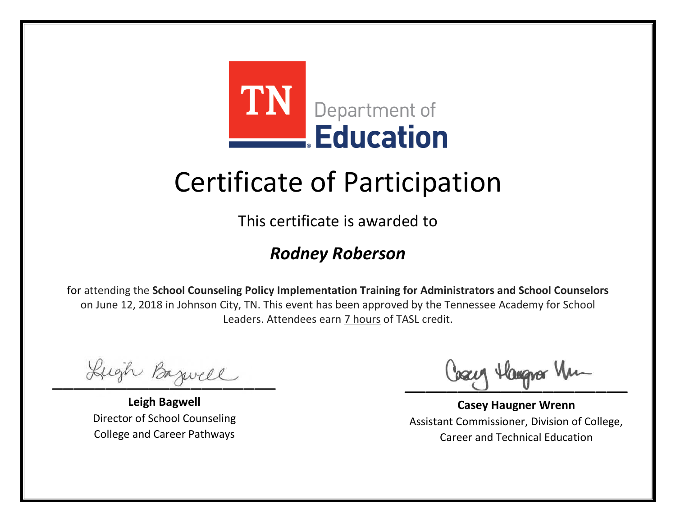

This certificate is awarded to

### *Rodney Roberson*

Lugh Bazwell

**Leigh Bagwell** Director of School Counseling College and Career Pathways

Losey Hangra Um

**Casey Haugner Wrenn** Assistant Commissioner, Division of College, Career and Technical Education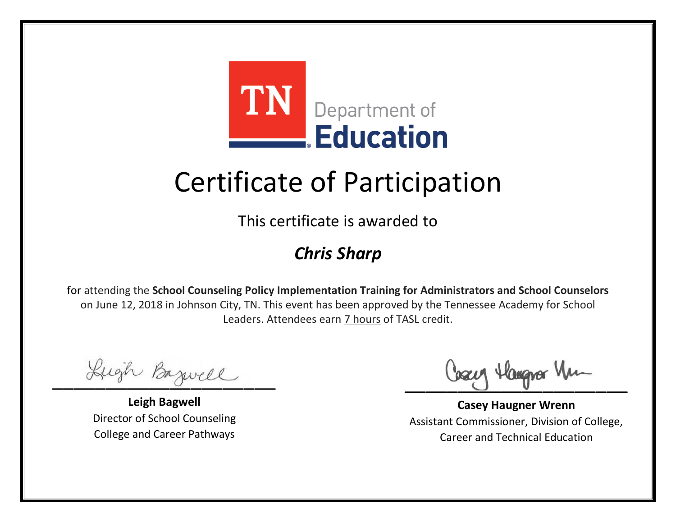

This certificate is awarded to

### *Chris Sharp*

Lugh Bazwell

**Leigh Bagwell** Director of School Counseling College and Career Pathways

Losey Hangra Um

**Casey Haugner Wrenn** Assistant Commissioner, Division of College, Career and Technical Education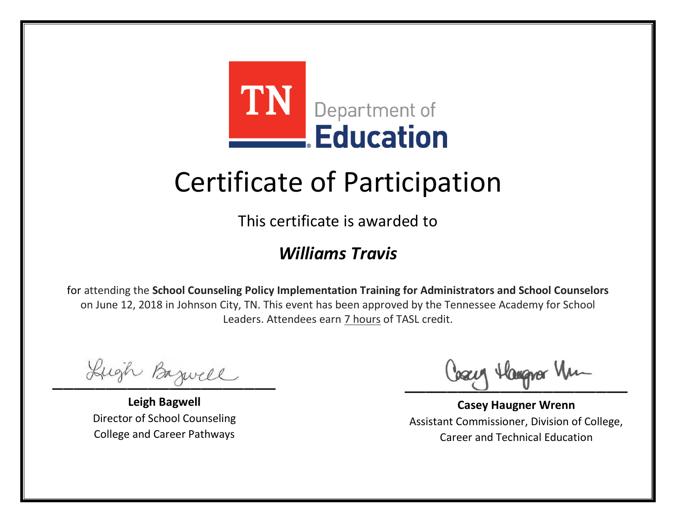

This certificate is awarded to

#### *Williams Travis*

Lugh Bazwell

**Leigh Bagwell** Director of School Counseling College and Career Pathways

Losey Hangra Um

**Casey Haugner Wrenn** Assistant Commissioner, Division of College, Career and Technical Education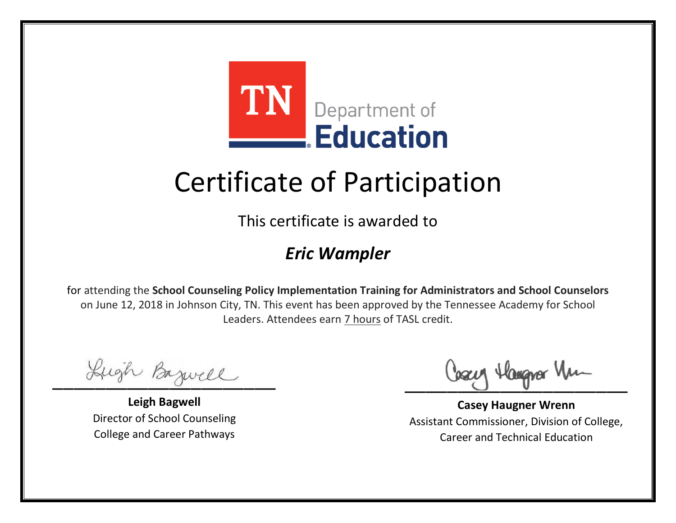

This certificate is awarded to

### *Eric Wampler*

Lugh Bazwell

**Leigh Bagwell** Director of School Counseling College and Career Pathways

Losey Hangra Um

**Casey Haugner Wrenn** Assistant Commissioner, Division of College, Career and Technical Education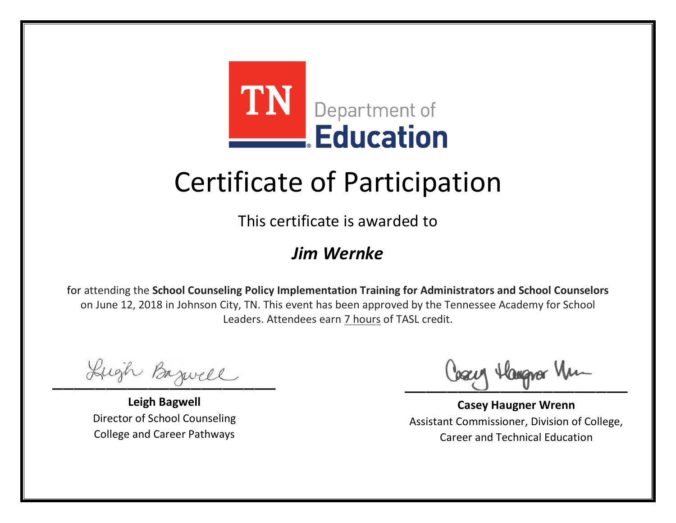

This certificate is awarded to

### *Jim Wernke*

Lugh Bazwell

**Leigh Bagwell** Director of School Counseling College and Career Pathways

Losey Hangra Um

**Casey Haugner Wrenn** Assistant Commissioner, Division of College, Career and Technical Education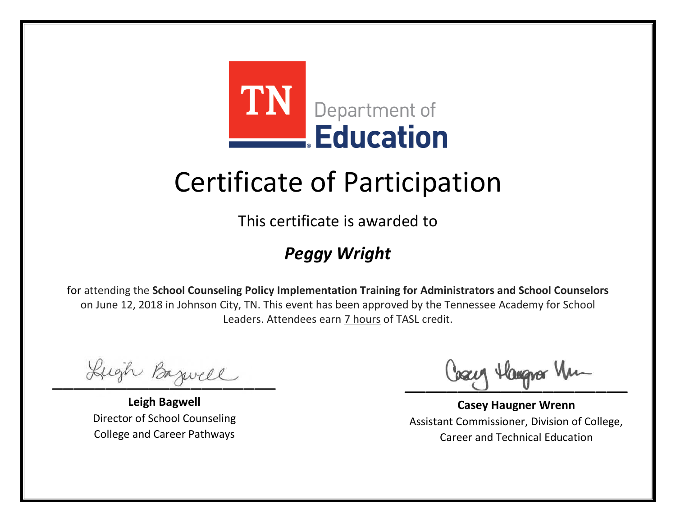

This certificate is awarded to

### *Peggy Wright*

Lugh Bazwell

**Leigh Bagwell** Director of School Counseling College and Career Pathways

Losey Hangra Um

**Casey Haugner Wrenn** Assistant Commissioner, Division of College, Career and Technical Education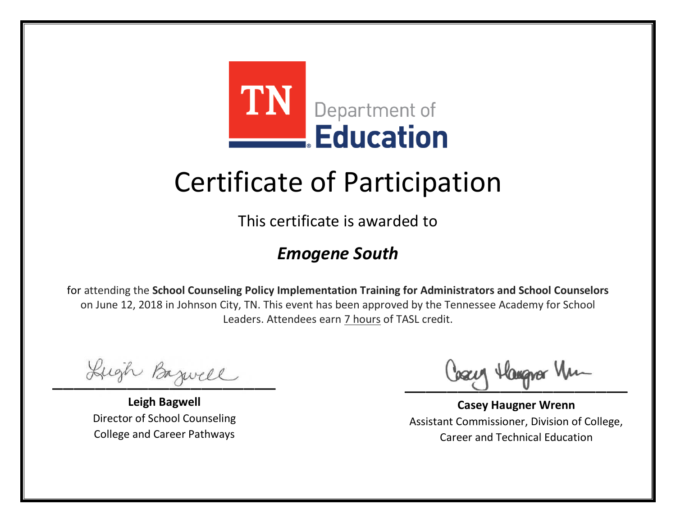

This certificate is awarded to

### *Emogene South*

Lugh Bazwell

**Leigh Bagwell** Director of School Counseling College and Career Pathways

Losey Hangra Um

**Casey Haugner Wrenn** Assistant Commissioner, Division of College, Career and Technical Education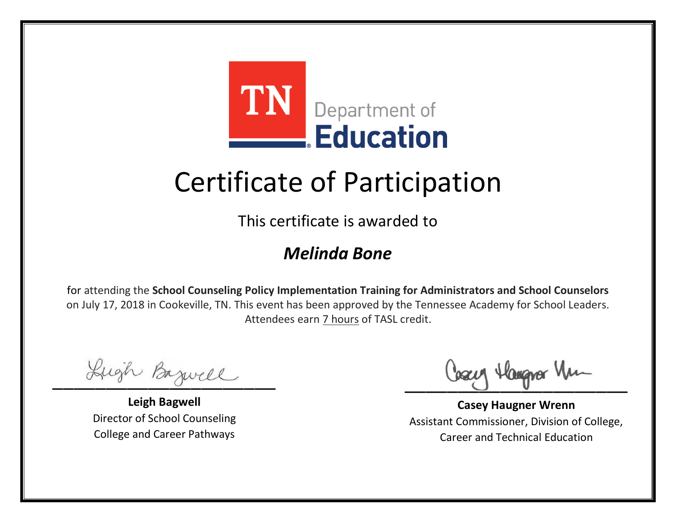

This certificate is awarded to

### *Melinda Bone*

Lugh Bazwell

**Leigh Bagwell** Director of School Counseling College and Career Pathways

Losey Hangra Um

**Casey Haugner Wrenn** Assistant Commissioner, Division of College, Career and Technical Education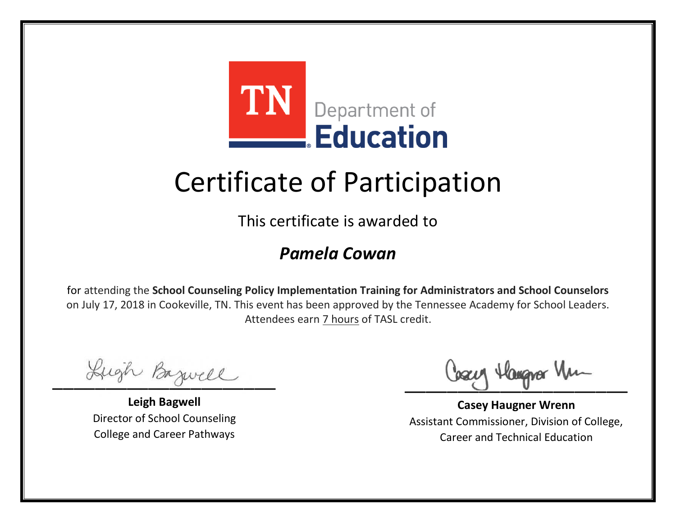

This certificate is awarded to

#### *Pamela Cowan*

Lugh Bazwell

**Leigh Bagwell** Director of School Counseling College and Career Pathways

Losey Hangra Um

**Casey Haugner Wrenn** Assistant Commissioner, Division of College, Career and Technical Education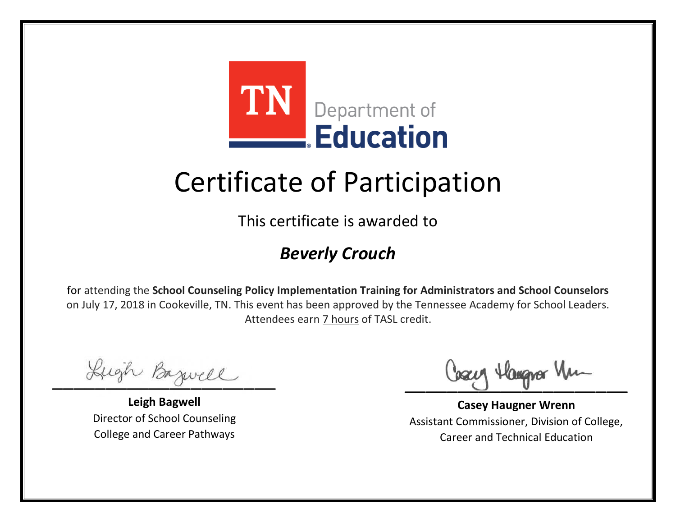

This certificate is awarded to

### *Beverly Crouch*

Lugh Bazwell

**Leigh Bagwell** Director of School Counseling College and Career Pathways

Losey Hangra Um

**Casey Haugner Wrenn** Assistant Commissioner, Division of College, Career and Technical Education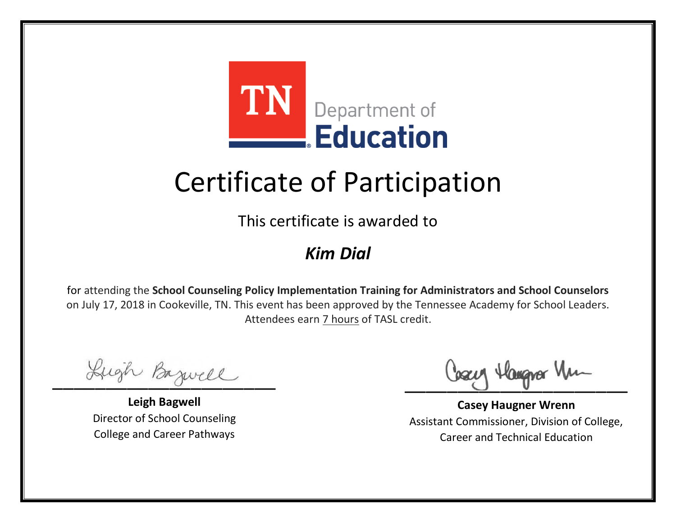

This certificate is awarded to

### *Kim Dial*

Lugh Bazwell

**Leigh Bagwell** Director of School Counseling College and Career Pathways

Losey Hangra Um

**Casey Haugner Wrenn** Assistant Commissioner, Division of College, Career and Technical Education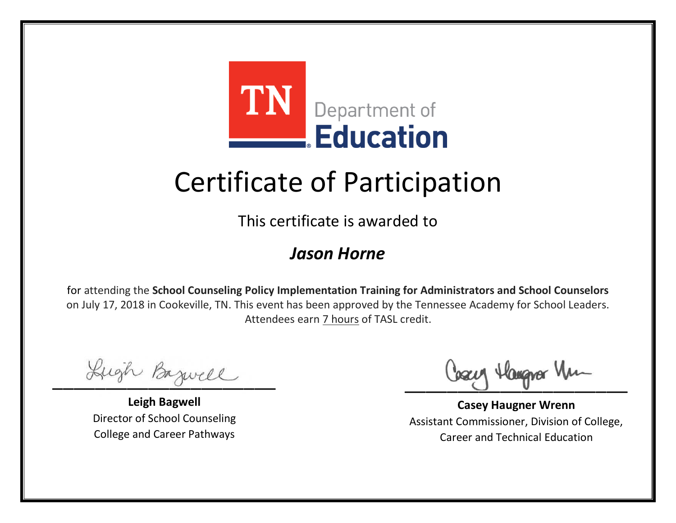

This certificate is awarded to

#### *Jason Horne*

Lugh Bazwell

**Leigh Bagwell** Director of School Counseling College and Career Pathways

Losey Hangra Um

**Casey Haugner Wrenn** Assistant Commissioner, Division of College, Career and Technical Education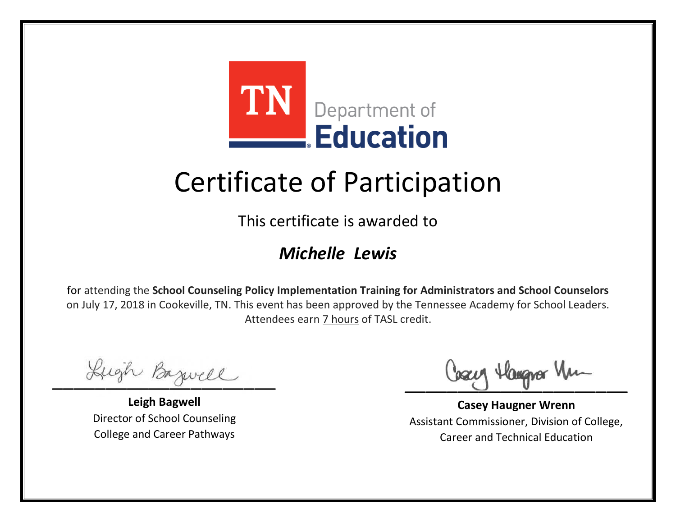

This certificate is awarded to

#### *Michelle Lewis*

Lugh Bazwell

**Leigh Bagwell** Director of School Counseling College and Career Pathways

Losey Hangra Um

**Casey Haugner Wrenn** Assistant Commissioner, Division of College, Career and Technical Education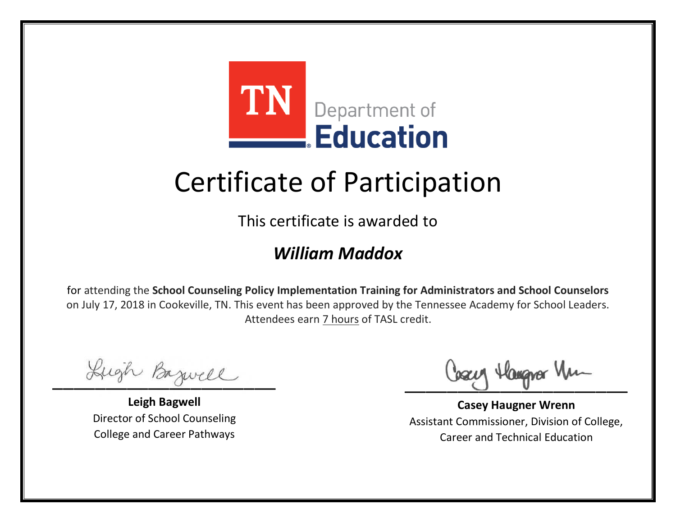

This certificate is awarded to

### *William Maddox*

Lugh Bazwell

**Leigh Bagwell** Director of School Counseling College and Career Pathways

Losey Hangra Um

**Casey Haugner Wrenn** Assistant Commissioner, Division of College, Career and Technical Education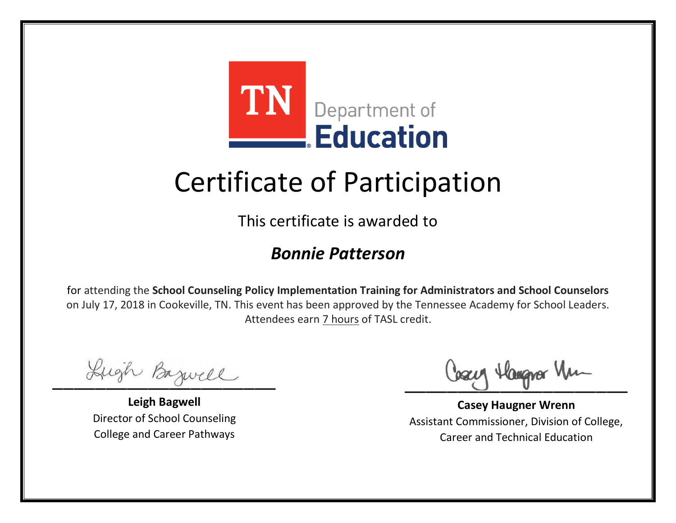

This certificate is awarded to

#### *Bonnie Patterson*

Lugh Bazwell

**Leigh Bagwell** Director of School Counseling College and Career Pathways

Losey Hangra Um

**Casey Haugner Wrenn** Assistant Commissioner, Division of College, Career and Technical Education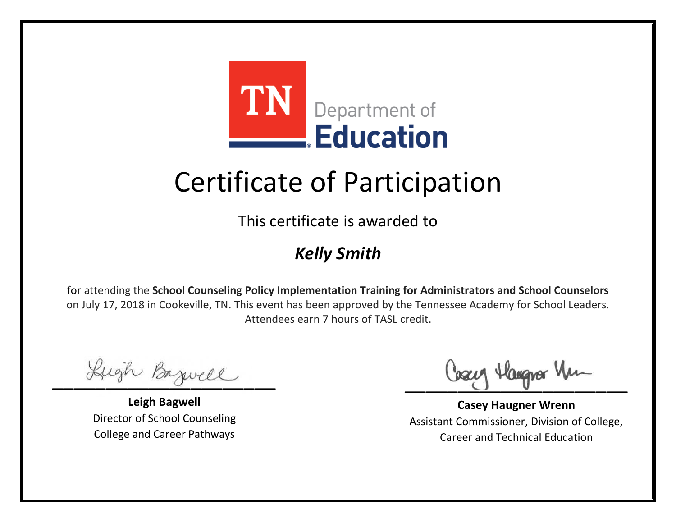

This certificate is awarded to

### *Kelly Smith*

Lugh Bazwell

**Leigh Bagwell** Director of School Counseling College and Career Pathways

Losey Hangra Um

**Casey Haugner Wrenn** Assistant Commissioner, Division of College, Career and Technical Education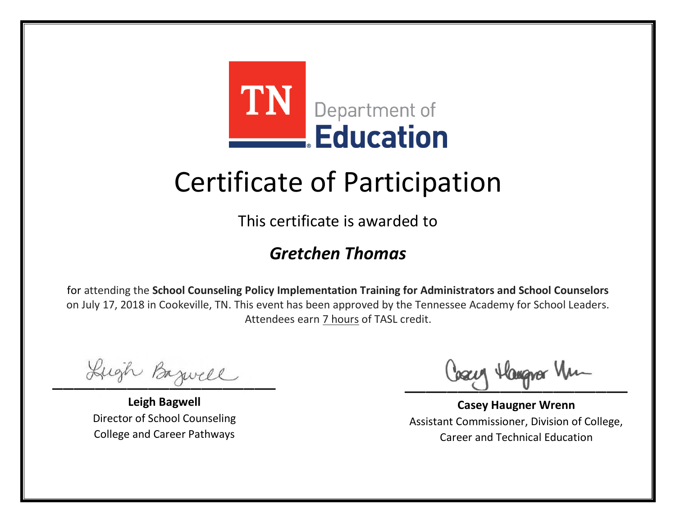

This certificate is awarded to

### *Gretchen Thomas*

Lugh Bazwell

**Leigh Bagwell** Director of School Counseling College and Career Pathways

Losey Hangra Um

**Casey Haugner Wrenn** Assistant Commissioner, Division of College, Career and Technical Education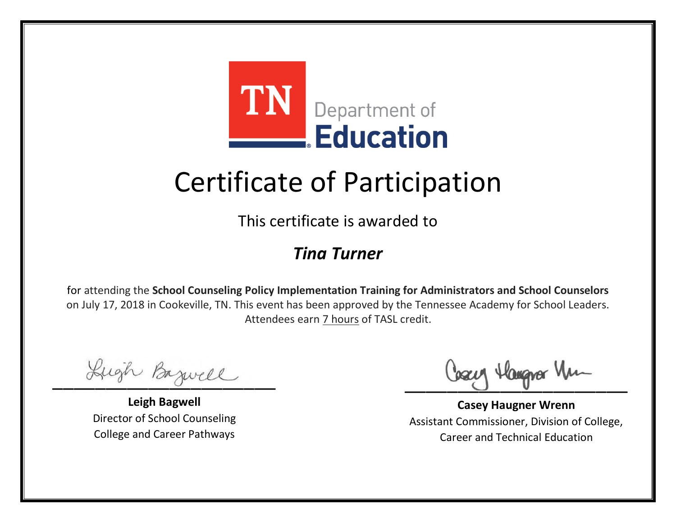

This certificate is awarded to

### *Tina Turner*

Lugh Bazwell

**Leigh Bagwell** Director of School Counseling College and Career Pathways

Losey Hangra Um

**Casey Haugner Wrenn** Assistant Commissioner, Division of College, Career and Technical Education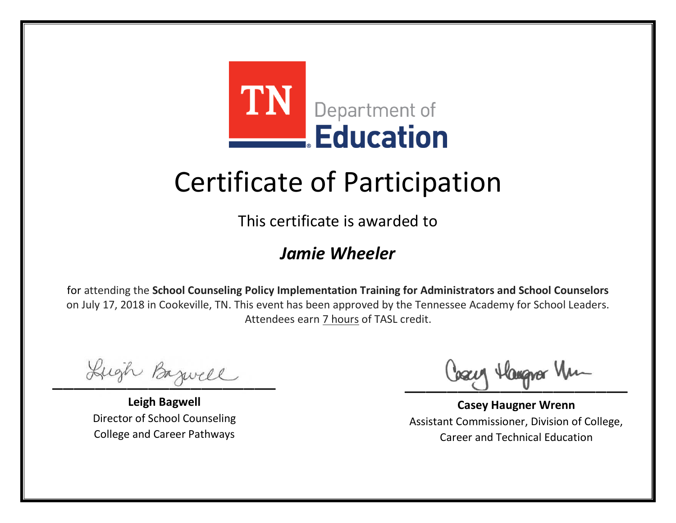

This certificate is awarded to

#### *Jamie Wheeler*

Lugh Bazwell

**Leigh Bagwell** Director of School Counseling College and Career Pathways

Losey Hangra Um

**Casey Haugner Wrenn** Assistant Commissioner, Division of College, Career and Technical Education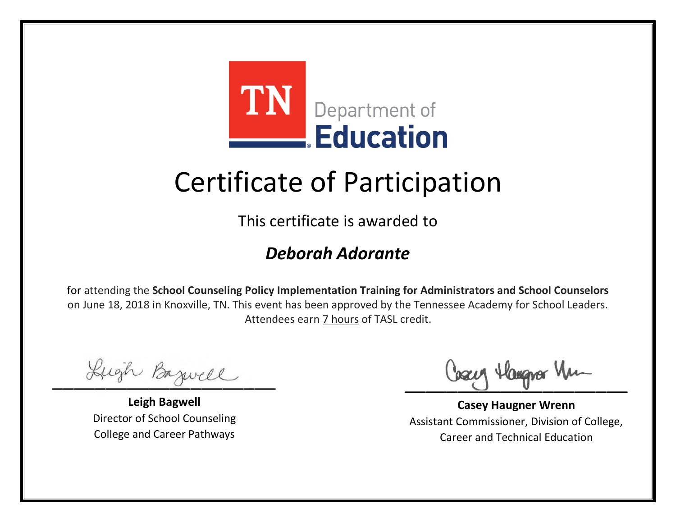

This certificate is awarded to

### *Deborah Adorante*

Lugh Bazwell

**Leigh Bagwell** Director of School Counseling College and Career Pathways

Losey Hangra Um

**Casey Haugner Wrenn** Assistant Commissioner, Division of College, Career and Technical Education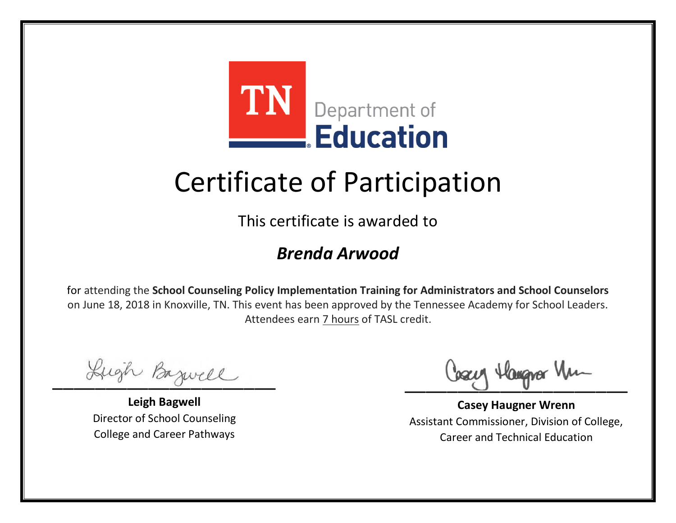

This certificate is awarded to

### *Brenda Arwood*

Lugh Bazwell

**Leigh Bagwell** Director of School Counseling College and Career Pathways

Losey Hangra Um

**Casey Haugner Wrenn** Assistant Commissioner, Division of College, Career and Technical Education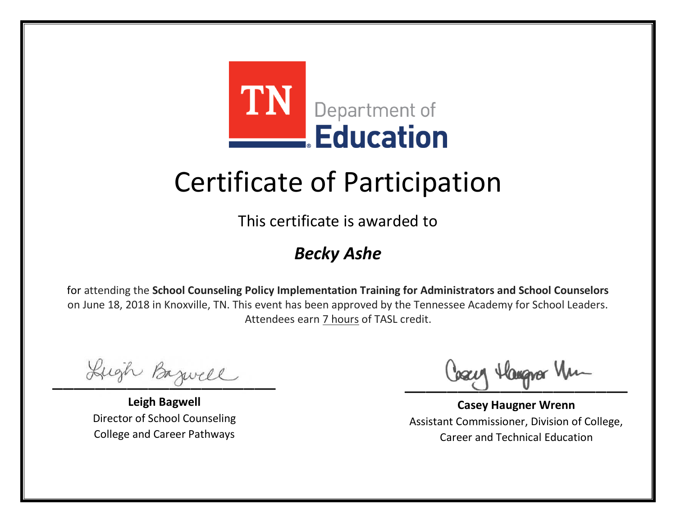

This certificate is awarded to

### *Becky Ashe*

Lugh Bazwell

**Leigh Bagwell** Director of School Counseling College and Career Pathways

Losey Hangra Um

**Casey Haugner Wrenn** Assistant Commissioner, Division of College, Career and Technical Education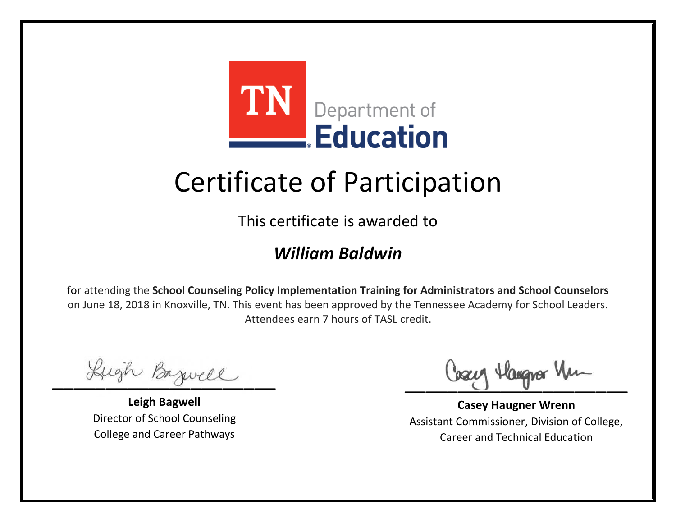

This certificate is awarded to

### *William Baldwin*

Lugh Bazwell

**Leigh Bagwell** Director of School Counseling College and Career Pathways

Losey Hangra Um

**Casey Haugner Wrenn** Assistant Commissioner, Division of College, Career and Technical Education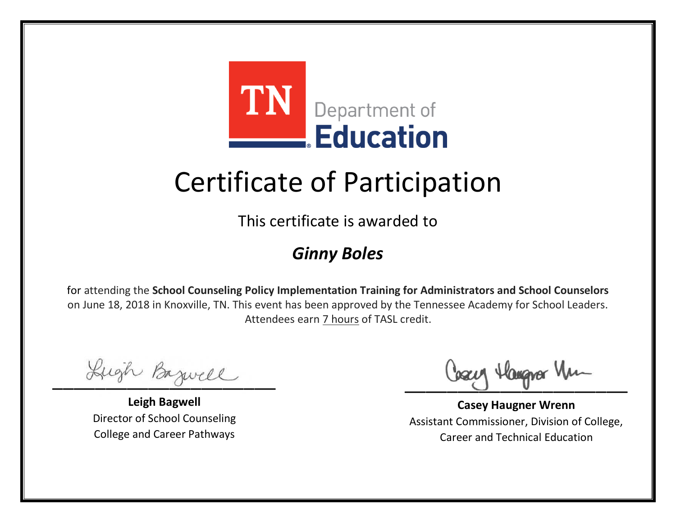

This certificate is awarded to

### *Ginny Boles*

Lugh Bazwell

**Leigh Bagwell** Director of School Counseling College and Career Pathways

Losey Hangra Um

**Casey Haugner Wrenn** Assistant Commissioner, Division of College, Career and Technical Education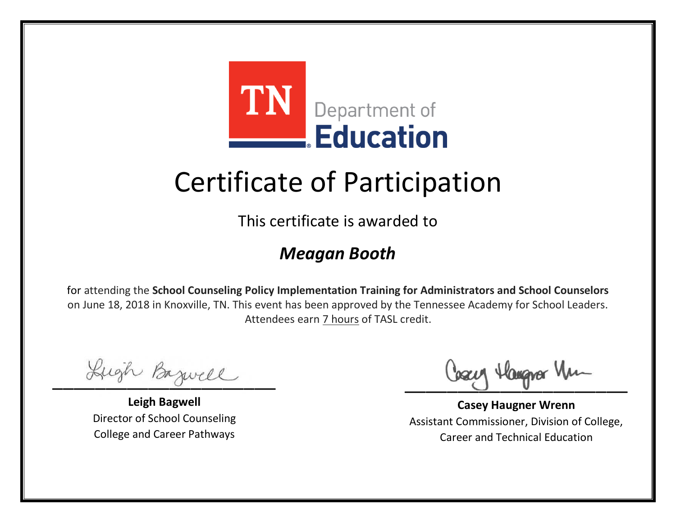

This certificate is awarded to

#### *Meagan Booth*

Lugh Bazwell

**Leigh Bagwell** Director of School Counseling College and Career Pathways

Losey Hangra Um

**Casey Haugner Wrenn** Assistant Commissioner, Division of College, Career and Technical Education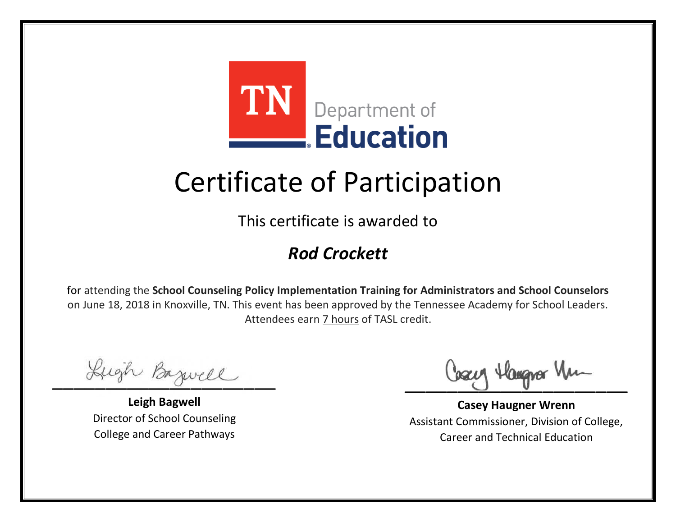

This certificate is awarded to

### *Rod Crockett*

Lugh Bazwell

**Leigh Bagwell** Director of School Counseling College and Career Pathways

Losey Hangra Um

**Casey Haugner Wrenn** Assistant Commissioner, Division of College, Career and Technical Education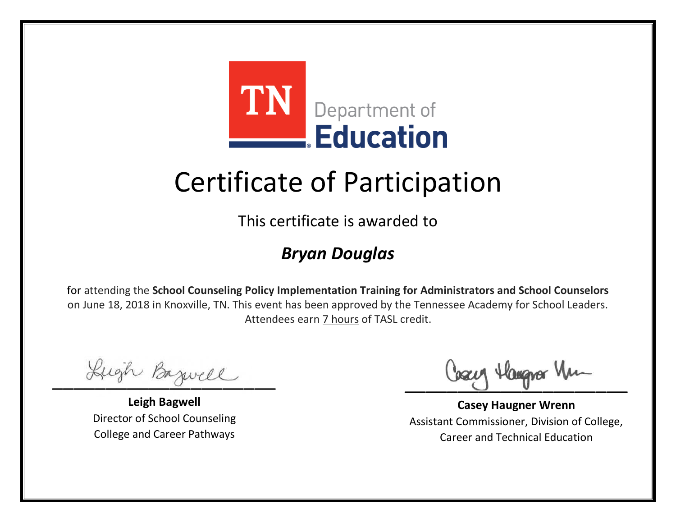

This certificate is awarded to

### *Bryan Douglas*

Lugh Bazwell

**Leigh Bagwell** Director of School Counseling College and Career Pathways

Losey Hangra Um

**Casey Haugner Wrenn** Assistant Commissioner, Division of College, Career and Technical Education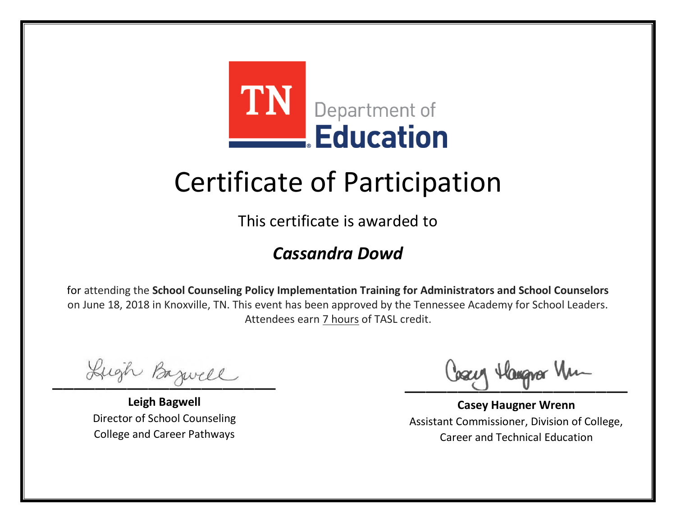

This certificate is awarded to

### *Cassandra Dowd*

Lugh Bazwell

**Leigh Bagwell** Director of School Counseling College and Career Pathways

Losey Hangra Um

**Casey Haugner Wrenn** Assistant Commissioner, Division of College, Career and Technical Education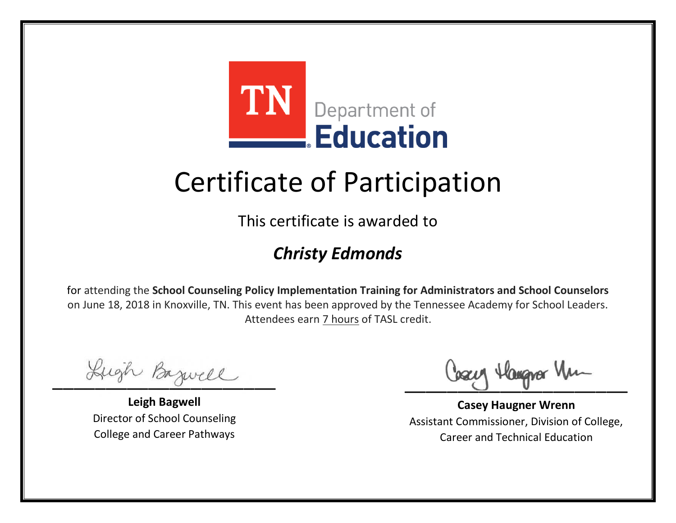

This certificate is awarded to

### *Christy Edmonds*

Lugh Bazwell

**Leigh Bagwell** Director of School Counseling College and Career Pathways

Losey Hangra Um

**Casey Haugner Wrenn** Assistant Commissioner, Division of College, Career and Technical Education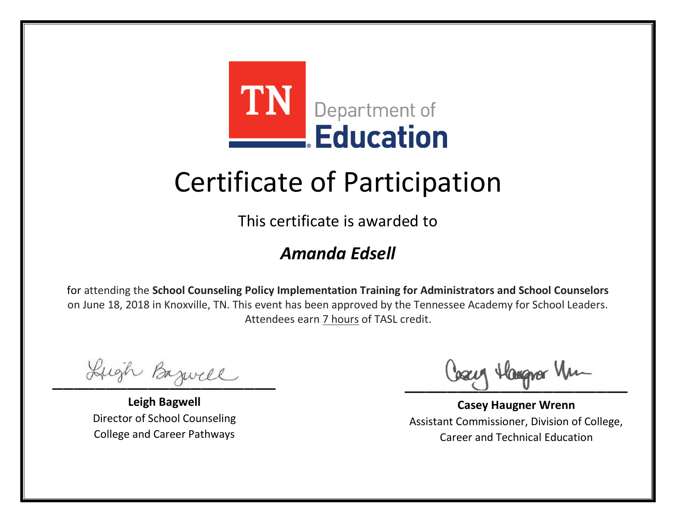

This certificate is awarded to

### *Amanda Edsell*

Lugh Bazwell

**Leigh Bagwell** Director of School Counseling College and Career Pathways

Losey Hangra Um

**Casey Haugner Wrenn** Assistant Commissioner, Division of College, Career and Technical Education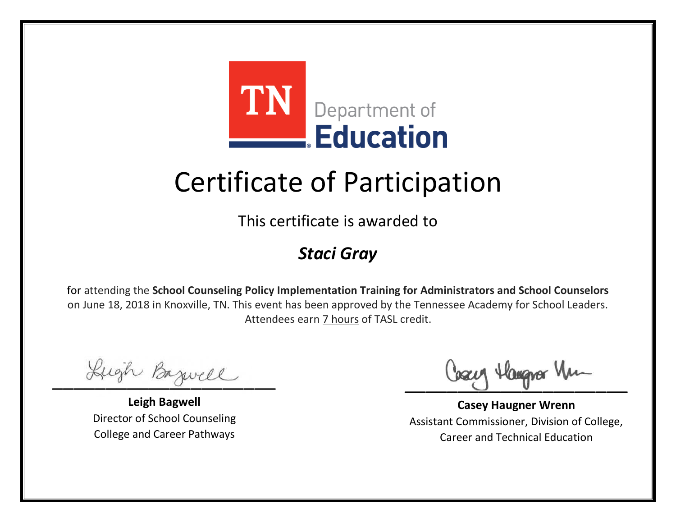

This certificate is awarded to

### *Staci Gray*

Lugh Bazwell

**Leigh Bagwell** Director of School Counseling College and Career Pathways

Losey Hangra Um

**Casey Haugner Wrenn** Assistant Commissioner, Division of College, Career and Technical Education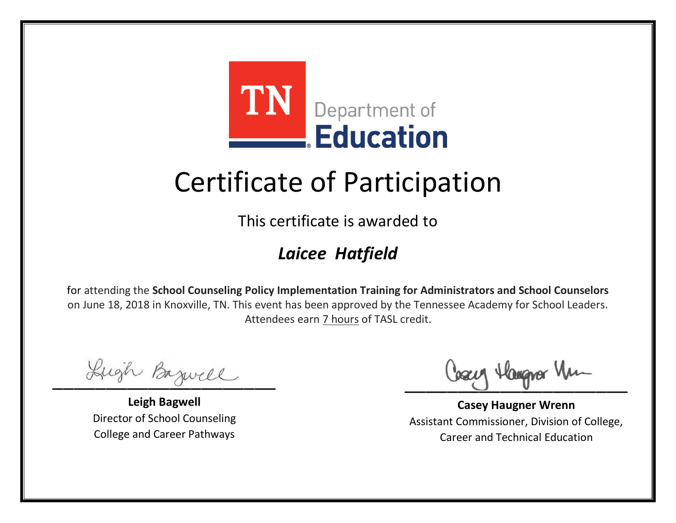

This certificate is awarded to

### *Laicee Hatfield*

Lugh Bazwell

**Leigh Bagwell** Director of School Counseling College and Career Pathways

Losey Hangra Um

**Casey Haugner Wrenn** Assistant Commissioner, Division of College, Career and Technical Education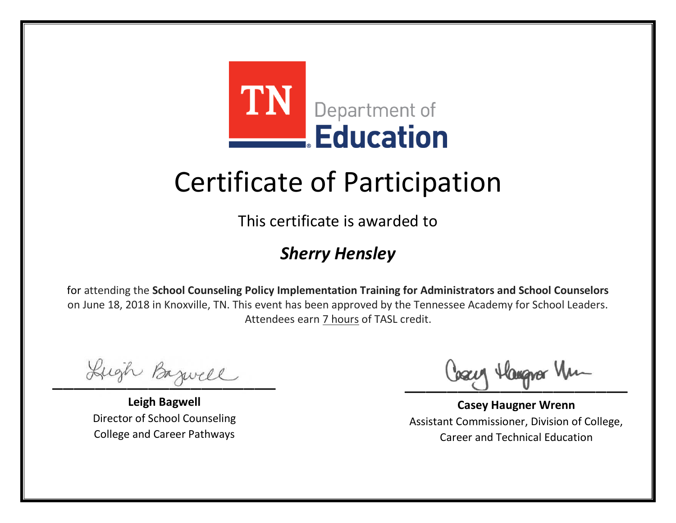

This certificate is awarded to

### *Sherry Hensley*

Lugh Bazwell

**Leigh Bagwell** Director of School Counseling College and Career Pathways

Losey Hangra Um

**Casey Haugner Wrenn** Assistant Commissioner, Division of College, Career and Technical Education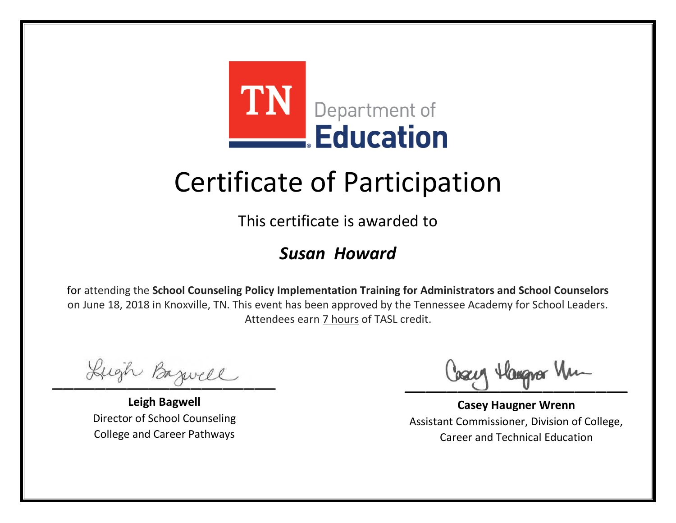

This certificate is awarded to

#### *Susan Howard*

Lugh Bazwell

**Leigh Bagwell** Director of School Counseling College and Career Pathways

Losey Hangra Um

**Casey Haugner Wrenn** Assistant Commissioner, Division of College, Career and Technical Education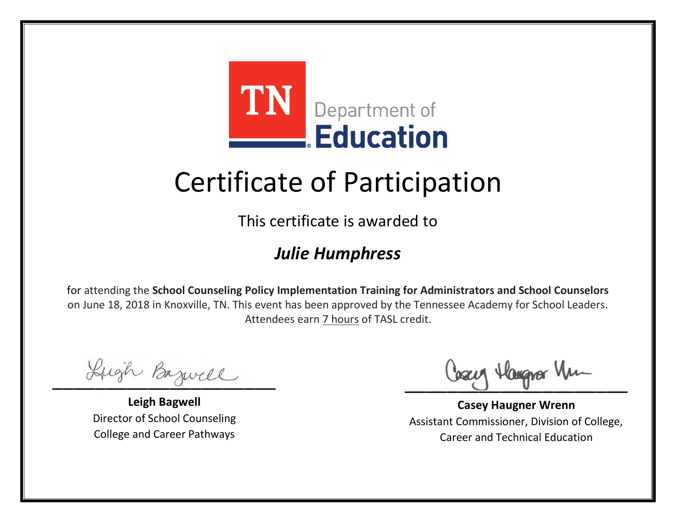

This certificate is awarded to

#### *Julie Humphress*

Lugh Bazwell

**Leigh Bagwell** Director of School Counseling College and Career Pathways

Losey Hangra Um

**Casey Haugner Wrenn** Assistant Commissioner, Division of College, Career and Technical Education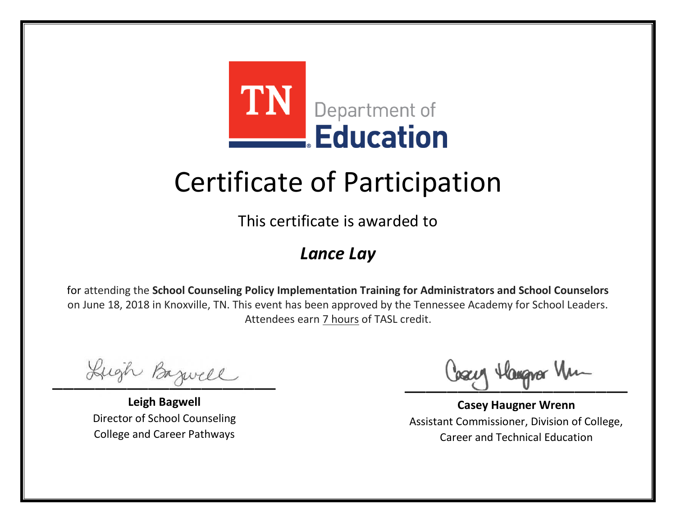

This certificate is awarded to

### *Lance Lay*

Lugh Bazwell

**Leigh Bagwell** Director of School Counseling College and Career Pathways

Losey Hangra Um

**Casey Haugner Wrenn** Assistant Commissioner, Division of College, Career and Technical Education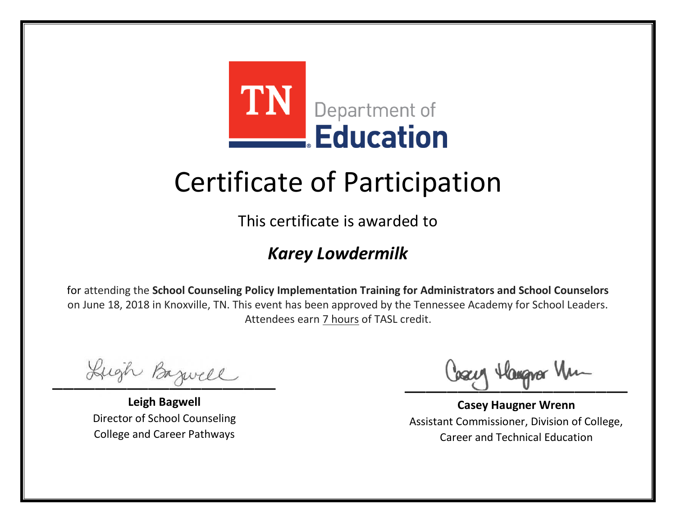

This certificate is awarded to

### *Karey Lowdermilk*

Lugh Bazwell

**Leigh Bagwell** Director of School Counseling College and Career Pathways

Losey Hangra Um

**Casey Haugner Wrenn** Assistant Commissioner, Division of College, Career and Technical Education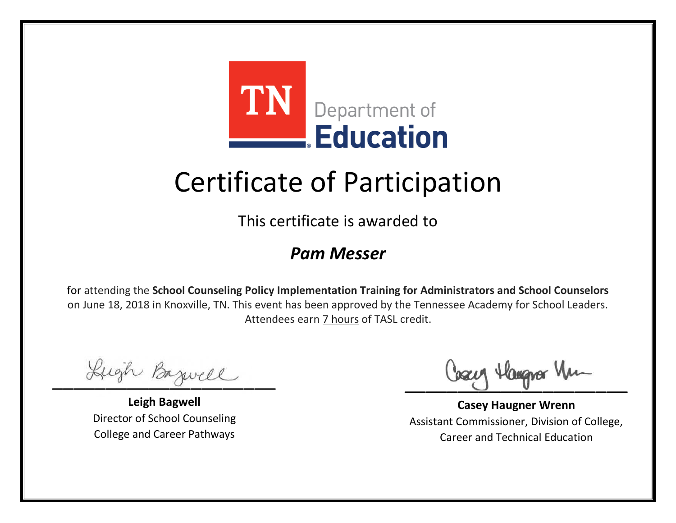

This certificate is awarded to

#### *Pam Messer*

Lugh Bazwell

**Leigh Bagwell** Director of School Counseling College and Career Pathways

Losey Hangra Um

**Casey Haugner Wrenn** Assistant Commissioner, Division of College, Career and Technical Education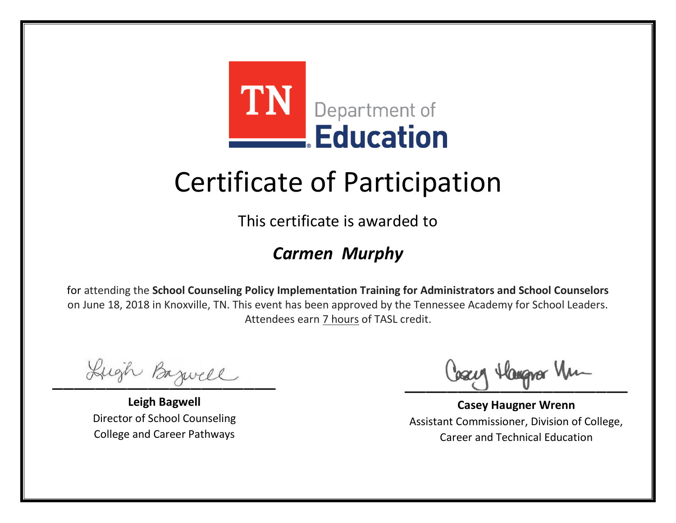

This certificate is awarded to

### *Carmen Murphy*

Lugh Bazwell

**Leigh Bagwell** Director of School Counseling College and Career Pathways

Losey Hangra Um

**Casey Haugner Wrenn** Assistant Commissioner, Division of College, Career and Technical Education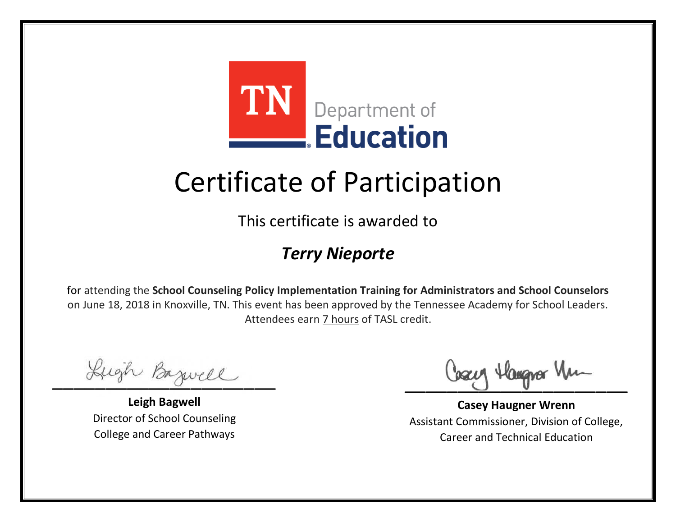

This certificate is awarded to

### *Terry Nieporte*

Lugh Bazwell

**Leigh Bagwell** Director of School Counseling College and Career Pathways

Losey Hangra Um

**Casey Haugner Wrenn** Assistant Commissioner, Division of College, Career and Technical Education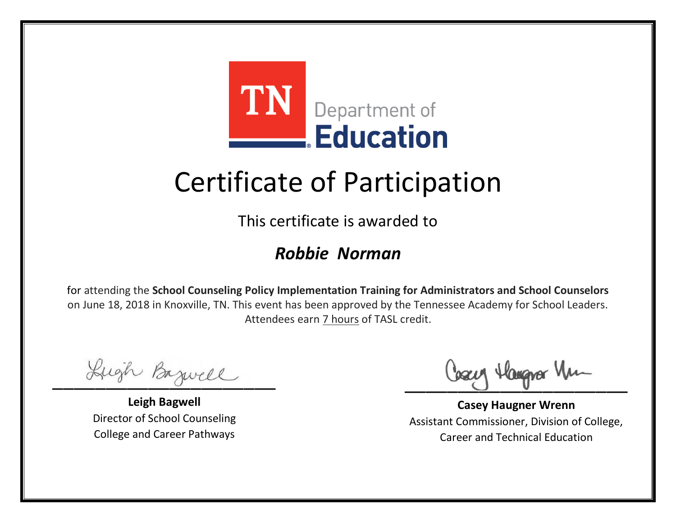

This certificate is awarded to

#### *Robbie Norman*

Lugh Bazwell

**Leigh Bagwell** Director of School Counseling College and Career Pathways

Losey Hangra Um

**Casey Haugner Wrenn** Assistant Commissioner, Division of College, Career and Technical Education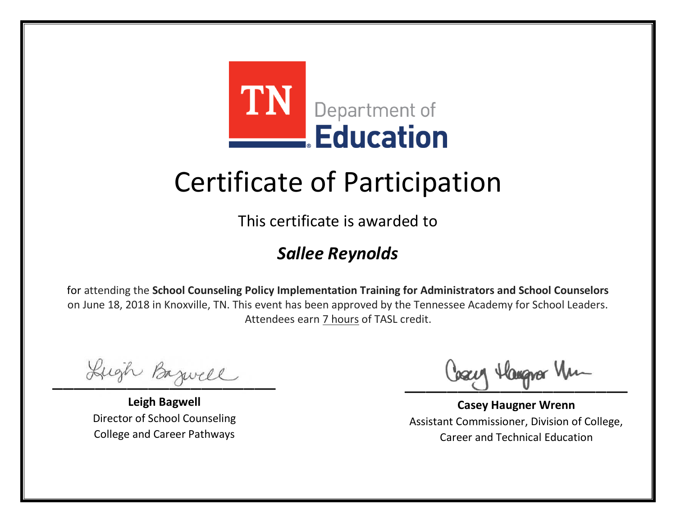

This certificate is awarded to

### *Sallee Reynolds*

Lugh Bazwell

**Leigh Bagwell** Director of School Counseling College and Career Pathways

Losey Hangra Um

**Casey Haugner Wrenn** Assistant Commissioner, Division of College, Career and Technical Education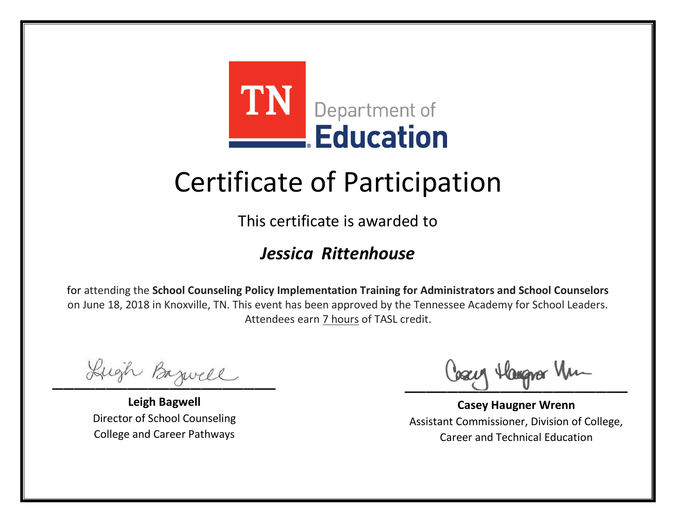

This certificate is awarded to

#### *Jessica Rittenhouse*

Lugh Bazwell

**Leigh Bagwell** Director of School Counseling College and Career Pathways

Losey Hangra Um

**Casey Haugner Wrenn** Assistant Commissioner, Division of College, Career and Technical Education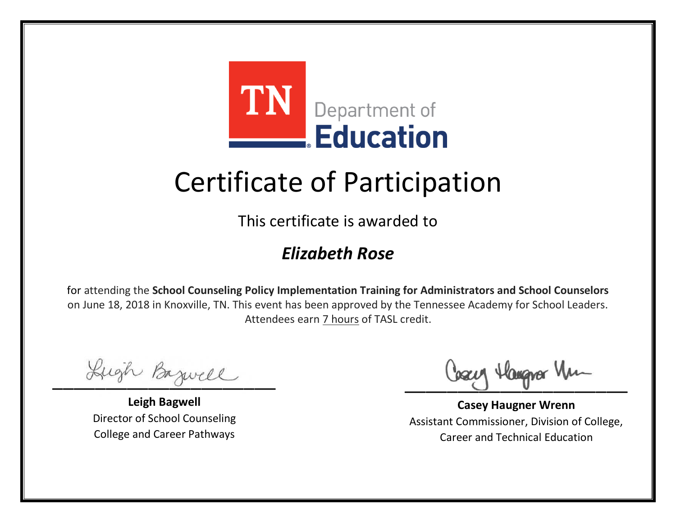

This certificate is awarded to

### *Elizabeth Rose*

Lugh Bazwell

**Leigh Bagwell** Director of School Counseling College and Career Pathways

Losey Hangra Um

**Casey Haugner Wrenn** Assistant Commissioner, Division of College, Career and Technical Education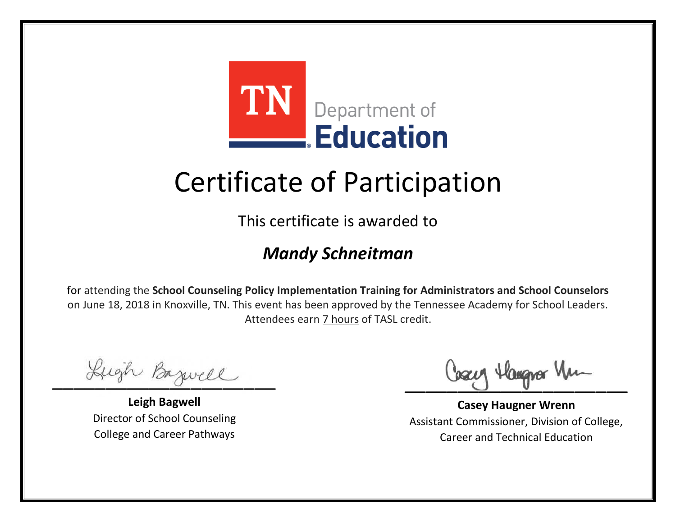

This certificate is awarded to

### *Mandy Schneitman*

Lugh Bazwell

**Leigh Bagwell** Director of School Counseling College and Career Pathways

Losey Hangra Um

**Casey Haugner Wrenn** Assistant Commissioner, Division of College, Career and Technical Education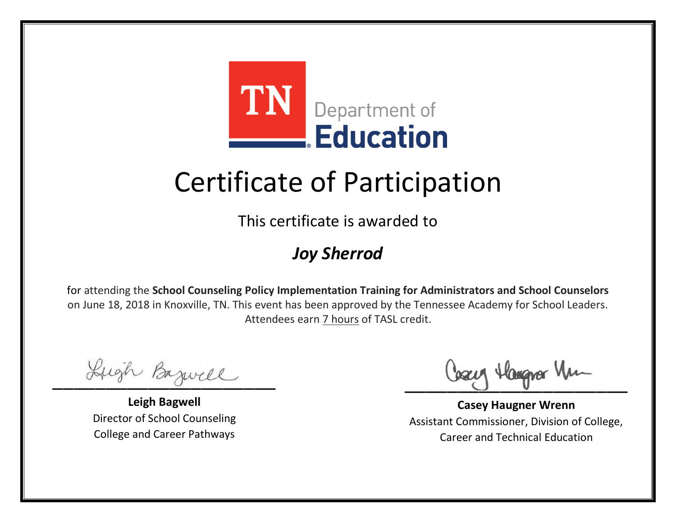

This certificate is awarded to

### *Joy Sherrod*

Lugh Bazwell

**Leigh Bagwell** Director of School Counseling College and Career Pathways

Losey Hangra Um

**Casey Haugner Wrenn** Assistant Commissioner, Division of College, Career and Technical Education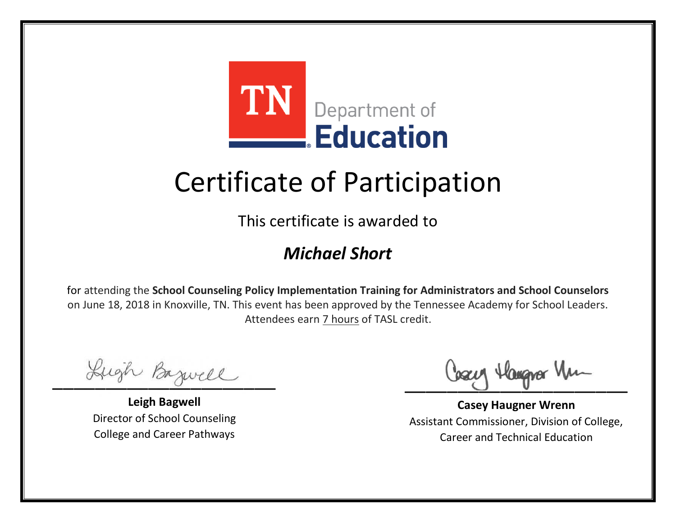

This certificate is awarded to

### *Michael Short*

Lugh Bazwell

**Leigh Bagwell** Director of School Counseling College and Career Pathways

Losey Hangra Um

**Casey Haugner Wrenn** Assistant Commissioner, Division of College, Career and Technical Education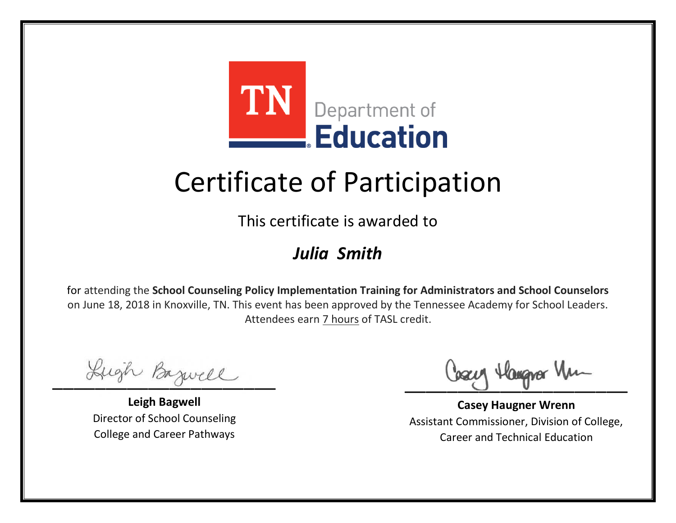

This certificate is awarded to

### *Julia Smith*

Lugh Bazwell

**Leigh Bagwell** Director of School Counseling College and Career Pathways

Losey Hangra Um

**Casey Haugner Wrenn** Assistant Commissioner, Division of College, Career and Technical Education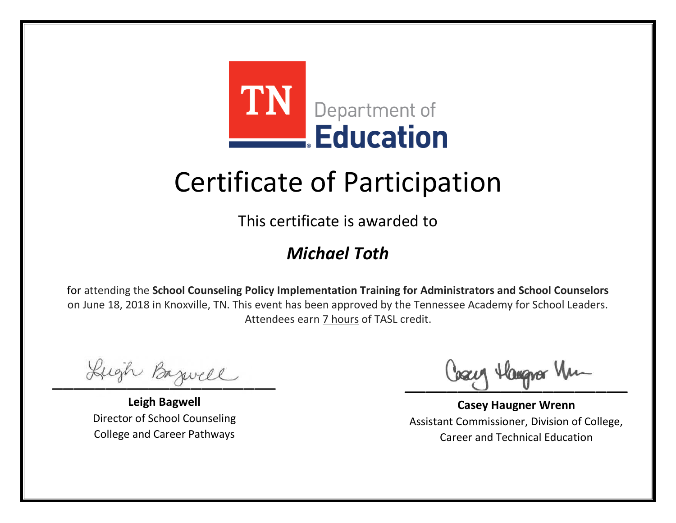

This certificate is awarded to

### *Michael Toth*

Lugh Bazwell

**Leigh Bagwell** Director of School Counseling College and Career Pathways

Losey Hangra Um

**Casey Haugner Wrenn** Assistant Commissioner, Division of College, Career and Technical Education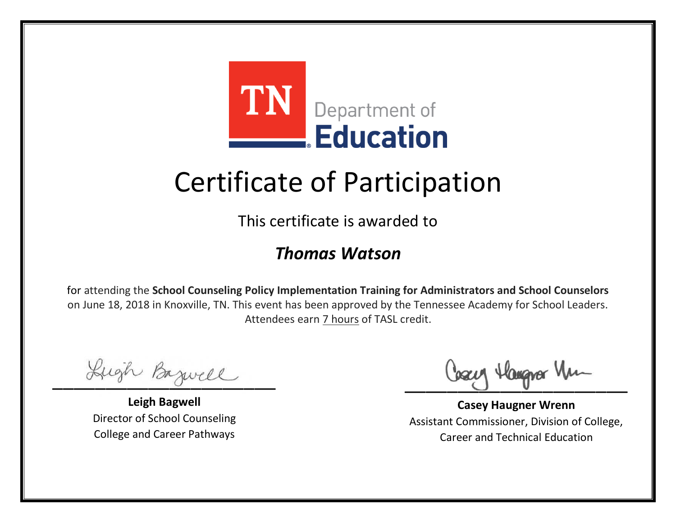

This certificate is awarded to

#### *Thomas Watson*

Lugh Bazwell

**Leigh Bagwell** Director of School Counseling College and Career Pathways

Losey Hangra Um

**Casey Haugner Wrenn** Assistant Commissioner, Division of College, Career and Technical Education